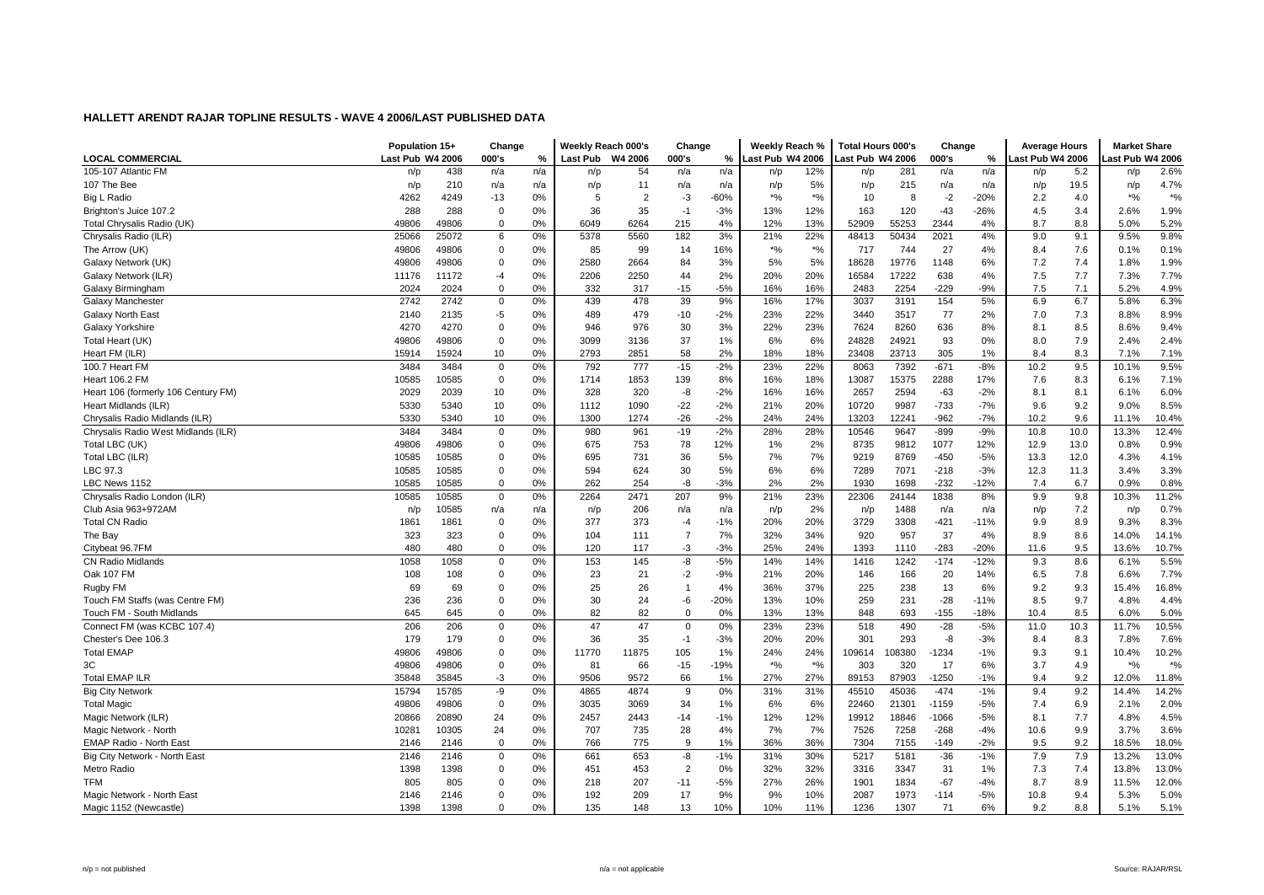|                                     | Population 15+   |       | Change      |     | Weekly Reach 000's |                | Change         |        | Weekly Reach %     |        | <b>Total Hours 000's</b> |        | Change  |        | <b>Average Hours</b> |      | <b>Market Share</b> |        |
|-------------------------------------|------------------|-------|-------------|-----|--------------------|----------------|----------------|--------|--------------------|--------|--------------------------|--------|---------|--------|----------------------|------|---------------------|--------|
| <b>LOCAL COMMERCIAL</b>             | Last Pub W4 2006 |       | 000's       | %   | <b>Last Pub</b>    | W4 2006        | 000's          | %      | Last Pub W4 2006   |        | Last Pub W4 2006         |        | 000's   | %      | ast Pub W4 2006      |      | ast Pub W4 2006     |        |
| 105-107 Atlantic FM                 | n/p              | 438   | n/a         | n/a | n/p                | 54             | n/a            | n/a    | n/p                | 12%    | n/p                      | 281    | n/a     | n/a    | n/p                  | 5.2  | n/p                 | 2.6%   |
| 107 The Bee                         | n/p              | 210   | n/a         | n/a | n/p                | 11             | n/a            | n/a    | n/p                | 5%     | n/p                      | 215    | n/a     | n/a    | n/p                  | 19.5 | n/p                 | 4.7%   |
| Big L Radio                         | 4262             | 4249  | $-13$       | 0%  | 5                  | $\overline{2}$ | -3             | $-60%$ | $*9/6$             | $*$ %  | 10                       | 8      | $-2$    | $-20%$ | 2.2                  | 4.0  | $*9/6$              | $*9/0$ |
| Brighton's Juice 107.2              | 288              | 288   | 0           | 0%  | 36                 | 35             | $-1$           | $-3%$  | 13%                | 12%    | 163                      | 120    | $-43$   | $-26%$ | 4.5                  | 3.4  | 2.6%                | 1.9%   |
| Total Chrysalis Radio (UK)          | 49806            | 49806 | $\mathbf 0$ | 0%  | 6049               | 6264           | 215            | 4%     | 12%                | 13%    | 52909                    | 55253  | 2344    | 4%     | 8.7                  | 8.8  | 5.0%                | 5.2%   |
| Chrysalis Radio (ILR)               | 25066            | 25072 | 6           | 0%  | 5378               | 5560           | 182            | 3%     | 21%                | 22%    | 48413                    | 50434  | 2021    | 4%     | 9.0                  | 9.1  | 9.5%                | 9.8%   |
| The Arrow (UK)                      | 49806            | 49806 | 0           | 0%  | 85                 | 99             | 14             | 16%    | $*9/6$             | $*9/6$ | 717                      | 744    | 27      | 4%     | 8.4                  | 7.6  | 0.1%                | 0.1%   |
| Galaxy Network (UK)                 | 49806            | 49806 | $\mathbf 0$ | 0%  | 2580               | 2664           | 84             | 3%     | 5%                 | 5%     | 18628                    | 19776  | 1148    | 6%     | 7.2                  | 7.4  | 1.8%                | 1.9%   |
| Galaxy Network (ILR)                | 11176            | 11172 | $-4$        | 0%  | 2206               | 2250           | 44             | 2%     | 20%                | 20%    | 16584                    | 17222  | 638     | 4%     | 7.5                  | 7.7  | 7.3%                | 7.7%   |
| Galaxy Birmingham                   | 2024             | 2024  | $\mathbf 0$ | 0%  | 332                | 317            | $-15$          | $-5%$  | 16%                | 16%    | 2483                     | 2254   | $-229$  | $-9%$  | 7.5                  | 7.1  | 5.2%                | 4.9%   |
| Galaxy Manchester                   | 2742             | 2742  | 0           | 0%  | 439                | 478            | 39             | 9%     | 16%                | 17%    | 3037                     | 3191   | 154     | 5%     | 6.9                  | 6.7  | 5.8%                | 6.3%   |
| <b>Galaxy North East</b>            | 2140             | 2135  | $-5$        | 0%  | 489                | 479            | $-10$          | $-2%$  | 23%                | 22%    | 3440                     | 3517   | 77      | 2%     | 7.0                  | 7.3  | 8.8%                | 8.9%   |
| Galaxy Yorkshire                    | 4270             | 4270  | 0           | 0%  | 946                | 976            | 30             | 3%     | 22%                | 23%    | 7624                     | 8260   | 636     | 8%     | 8.1                  | 8.5  | 8.6%                | 9.4%   |
| Total Heart (UK)                    | 49806            | 49806 | 0           | 0%  | 3099               | 3136           | 37             | 1%     | 6%                 | 6%     | 24828                    | 24921  | 93      | 0%     | 8.0                  | 7.9  | 2.4%                | 2.4%   |
| Heart FM (ILR)                      | 15914            | 15924 | 10          | 0%  | 2793               | 2851           | 58             | 2%     | 18%                | 18%    | 23408                    | 23713  | 305     | 1%     | 8.4                  | 8.3  | 7.1%                | 7.1%   |
| 100.7 Heart FM                      | 3484             | 3484  | $\mathbf 0$ | 0%  | 792                | 777            | $-15$          | $-2%$  | 23%                | 22%    | 8063                     | 7392   | $-671$  | $-8%$  | 10.2                 | 9.5  | 10.1%               | 9.5%   |
| <b>Heart 106.2 FM</b>               | 10585            | 10585 | 0           | 0%  | 1714               | 1853           | 139            | 8%     | 16%                | 18%    | 13087                    | 15375  | 2288    | 17%    | 7.6                  | 8.3  | 6.1%                | 7.1%   |
| Heart 106 (formerly 106 Century FM) | 2029             | 2039  | 10          | 0%  | 328                | 320            | -8             | $-2%$  | 16%                | 16%    | 2657                     | 2594   | -63     | $-2%$  | 8.1                  | 8.1  | 6.1%                | 6.0%   |
| Heart Midlands (ILR)                | 5330             | 5340  | 10          | 0%  | 1112               | 1090           | $-22$          | $-2%$  | 21%                | 20%    | 10720                    | 9987   | $-733$  | $-7%$  | 9.6                  | 9.2  | 9.0%                | 8.5%   |
| Chrysalis Radio Midlands (ILR)      | 5330             | 5340  | 10          | 0%  | 1300               | 1274           | $-26$          | $-2%$  | 24%                | 24%    | 13203                    | 12241  | $-962$  | $-7%$  | 10.2                 | 9.6  | 11.1%               | 10.4%  |
| Chrysalis Radio West Midlands (ILR) | 3484             | 3484  | $\mathbf 0$ | 0%  | 980                | 961            | $-19$          | $-2%$  | 28%                | 28%    | 10546                    | 9647   | $-899$  | $-9%$  | 10.8                 | 10.0 | 13.3%               | 12.4%  |
| Total LBC (UK)                      | 49806            | 49806 | 0           | 0%  | 675                | 753            | 78             | 12%    | 1%                 | 2%     | 8735                     | 9812   | 1077    | 12%    | 12.9                 | 13.0 | 0.8%                | 0.9%   |
| Total LBC (ILR)                     | 10585            | 10585 | 0           | 0%  | 695                | 731            | 36             | 5%     | 7%                 | 7%     | 9219                     | 8769   | $-450$  | $-5%$  | 13.3                 | 12.0 | 4.3%                | 4.1%   |
| LBC 97.3                            | 10585            | 10585 | 0           | 0%  | 594                | 624            | 30             | 5%     | 6%                 | 6%     | 7289                     | 7071   | $-218$  | $-3%$  | 12.3                 | 11.3 | 3.4%                | 3.3%   |
| LBC News 1152                       | 10585            | 10585 | 0           | 0%  | 262                | 254            | -8             | $-3%$  | 2%                 | 2%     | 1930                     | 1698   | $-232$  | $-12%$ | 7.4                  | 6.7  | 0.9%                | 0.8%   |
| Chrysalis Radio London (ILR)        | 10585            | 10585 | $\mathbf 0$ | 0%  | 2264               | 2471           | 207            | 9%     | 21%                | 23%    | 22306                    | 24144  | 1838    | 8%     | 9.9                  | 9.8  | 10.3%               | 11.2%  |
| Club Asia 963+972AM                 | n/p              | 10585 | n/a         | n/a | n/p                | 206            | n/a            | n/a    | n/p                | 2%     | n/p                      | 1488   | n/a     | n/a    | n/p                  | 7.2  | n/p                 | 0.7%   |
| <b>Total CN Radio</b>               | 1861             | 1861  | 0           | 0%  | 377                | 373            | -4             | $-1%$  | 20%                | 20%    | 3729                     | 3308   | $-421$  | $-11%$ | 9.9                  | 8.9  | 9.3%                | 8.3%   |
| The Bay                             | 323              | 323   | 0           | 0%  | 104                | 111            | $\overline{7}$ | 7%     | 32%                | 34%    | 920                      | 957    | 37      | 4%     | 8.9                  | 8.6  | 14.0%               | 14.1%  |
| Citybeat 96.7FM                     | 480              | 480   | $\mathbf 0$ | 0%  | 120                | 117            | -3             | $-3%$  | 25%                | 24%    | 1393                     | 1110   | $-283$  | $-20%$ | 11.6                 | 9.5  | 13.6%               | 10.7%  |
| <b>CN Radio Midlands</b>            | 1058             | 1058  | $\mathbf 0$ | 0%  | 153                | 145            | -8             | $-5%$  | 14%                | 14%    | 1416                     | 1242   | $-174$  | $-12%$ | 9.3                  | 8.6  | 6.1%                | 5.5%   |
| Oak 107 FM                          | 108              | 108   | 0           | 0%  | 23                 | 21             | $-2$           | $-9%$  | 21%                | 20%    | 146                      | 166    | 20      | 14%    | 6.5                  | 7.8  | 6.6%                | 7.7%   |
| Rugby FM                            | 69               | 69    | $\mathbf 0$ | 0%  | 25                 | 26             | $\overline{1}$ | 4%     | 36%                | 37%    | 225                      | 238    | 13      | 6%     | 9.2                  | 9.3  | 15.4%               | 16.8%  |
| Touch FM Staffs (was Centre FM)     | 236              | 236   | 0           | 0%  | 30                 | 24             | -6             | $-20%$ | 13%                | 10%    | 259                      | 231    | $-28$   | $-11%$ | 8.5                  | 9.7  | 4.8%                | 4.4%   |
| Touch FM - South Midlands           | 645              | 645   | 0           | 0%  | 82                 | 82             | $\mathbf 0$    | 0%     | 13%                | 13%    | 848                      | 693    | $-155$  | $-18%$ | 10.4                 | 8.5  | 6.0%                | 5.0%   |
| Connect FM (was KCBC 107.4)         | 206              | 206   | $\mathbf 0$ | 0%  | 47                 | 47             | $\mathbf 0$    | 0%     | 23%                | 23%    | 518                      | 490    | $-28$   | $-5%$  | 11.0                 | 10.3 | 11.7%               | 10.5%  |
| Chester's Dee 106.3                 | 179              | 179   | 0           | 0%  | 36                 | 35             | $-1$           | $-3%$  | 20%                | 20%    | 301                      | 293    | -8      | $-3%$  | 8.4                  | 8.3  | 7.8%                | 7.6%   |
| <b>Total EMAP</b>                   | 49806            | 49806 | $\mathbf 0$ | 0%  | 11770              | 11875          | 105            | 1%     | 24%                | 24%    | 109614                   | 108380 | $-1234$ | $-1%$  | 9.3                  | 9.1  | 10.4%               | 10.2%  |
| 3C                                  | 49806            | 49806 | $\mathbf 0$ | 0%  | 81                 | 66             | $-15$          | $-19%$ | $\boldsymbol{*}$ % | $*$ %  | 303                      | 320    | 17      | 6%     | 3.7                  | 4.9  | $*$ %               | $*$ %  |
| <b>Total EMAP ILR</b>               | 35848            | 35845 | $-3$        | 0%  | 9506               | 9572           | 66             | 1%     | 27%                | 27%    | 89153                    | 87903  | $-1250$ | $-1%$  | 9.4                  | 9.2  | 12.0%               | 11.8%  |
| <b>Big City Network</b>             | 15794            | 15785 | -9          | 0%  | 4865               | 4874           | 9              | 0%     | 31%                | 31%    | 45510                    | 45036  | $-474$  | $-1%$  | 9.4                  | 9.2  | 14.4%               | 14.2%  |
| <b>Total Magic</b>                  | 49806            | 49806 | 0           | 0%  | 3035               | 3069           | 34             | 1%     | 6%                 | 6%     | 22460                    | 21301  | $-1159$ | $-5%$  | 7.4                  | 6.9  | 2.1%                | 2.0%   |
| Magic Network (ILR)                 | 20866            | 20890 | 24          | 0%  | 2457               | 2443           | $-14$          | $-1%$  | 12%                | 12%    | 19912                    | 18846  | $-1066$ | $-5%$  | 8.1                  | 7.7  | 4.8%                | 4.5%   |
| Magic Network - North               | 10281            | 10305 | 24          | 0%  | 707                | 735            | 28             | 4%     | 7%                 | 7%     | 7526                     | 7258   | $-268$  | $-4%$  | 10.6                 | 9.9  | 3.7%                | 3.6%   |
| EMAP Radio - North East             | 2146             | 2146  | $\mathbf 0$ | 0%  | 766                | 775            | 9              | 1%     | 36%                | 36%    | 7304                     | 7155   | $-149$  | $-2%$  | 9.5                  | 9.2  | 18.5%               | 18.0%  |
| Big City Network - North East       | 2146             | 2146  | 0           | 0%  | 661                | 653            | -8             | $-1%$  | 31%                | 30%    | 5217                     | 5181   | $-36$   | $-1%$  | 7.9                  | 7.9  | 13.2%               | 13.0%  |
| Metro Radio                         | 1398             | 1398  | 0           | 0%  | 451                | 453            | $\overline{2}$ | 0%     | 32%                | 32%    | 3316                     | 3347   | 31      | 1%     | 7.3                  | 7.4  | 13.8%               | 13.0%  |
| <b>TFM</b>                          | 805              | 805   | 0           | 0%  | 218                | 207            | $-11$          | $-5%$  | 27%                | 26%    | 1901                     | 1834   | $-67$   | $-4%$  | 8.7                  | 8.9  | 11.5%               | 12.0%  |
| Magic Network - North East          | 2146             | 2146  | 0           | 0%  | 192                | 209            | 17             | 9%     | 9%                 | 10%    | 2087                     | 1973   | $-114$  | $-5%$  | 10.8                 | 9.4  | 5.3%                | 5.0%   |
| Magic 1152 (Newcastle)              | 1398             | 1398  | $\Omega$    | 0%  | 135                | 148            | 13             | 10%    | 10%                | 11%    | 1236                     | 1307   | 71      | 6%     | 9.2                  | 8.8  | 5.1%                | 5.1%   |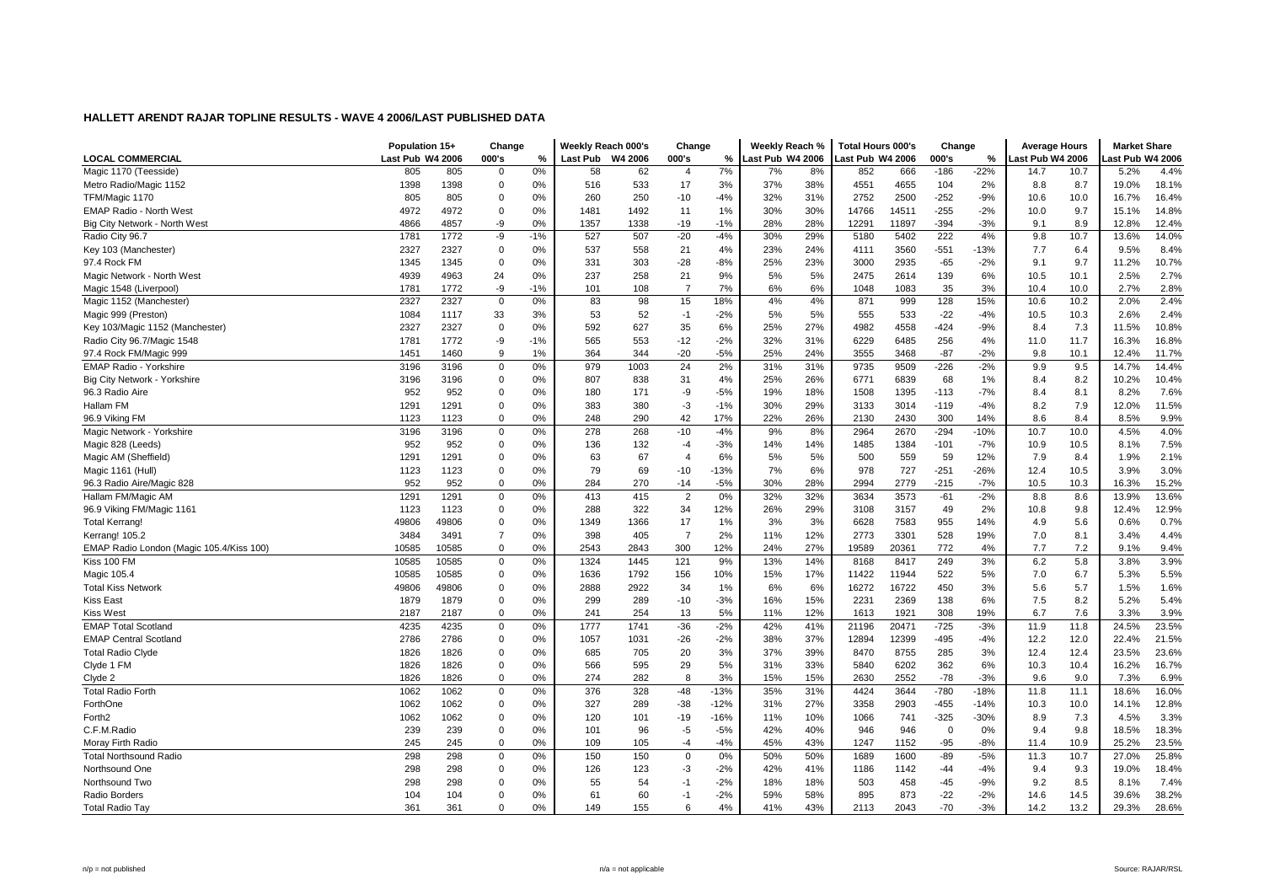| Last Pub W4 2006<br><b>LOCAL COMMERCIAL</b><br>Last Pub W4 2006<br>000's<br>%<br>Last Pub<br>W4 2006<br>000's<br>%<br>ast Pub W4 2006<br>000's<br>ast Pub W4 2006<br>ast Pub W4 2006<br>%<br>0%<br>7%<br>$-186$<br>$-22%$<br>Magic 1170 (Teesside)<br>805<br>805<br>62<br>8%<br>852<br>666<br>10.7<br>5.2%<br>$\mathbf 0$<br>58<br>$\overline{4}$<br>7%<br>14.7<br>1398<br>1398<br>$\mathbf 0$<br>0%<br>533<br>17<br>37%<br>38%<br>4551<br>4655<br>Metro Radio/Magic 1152<br>516<br>3%<br>104<br>2%<br>8.8<br>8.7<br>19.0%<br>805<br>805<br>0%<br>260<br>250<br>$-4%$<br>32%<br>31%<br>2752<br>2500<br>$-252$<br>$-9%$<br>10.0<br>16.7%<br>TFM/Magic 1170<br>$\Omega$<br>$-10$<br>10.6<br>4972<br>4972<br>$\mathbf 0$<br>0%<br>1481<br>1492<br>1%<br>30%<br>30%<br>14766<br>14511<br>$-255$<br>$-2%$<br>10.0<br>9.7<br>15.1%<br><b>EMAP Radio - North West</b><br>11<br>0%<br>28%<br>4866<br>-9<br>1357<br>1338<br>$-19$<br>$-1%$<br>28%<br>11897<br>$-394$<br>$-3%$<br>9.1<br>8.9<br>Big City Network - North West<br>4857<br>12291<br>12.8%<br>1781<br>1772<br>-9<br>$-1%$<br>527<br>507<br>$-20$<br>$-4%$<br>30%<br>29%<br>5180<br>5402<br>222<br>4%<br>9.8<br>10.7<br>13.6%<br>Radio City 96.7<br>2327<br>537<br>24%<br>3560<br>$-551$<br>Key 103 (Manchester)<br>2327<br>$\mathbf 0$<br>0%<br>558<br>21<br>4%<br>23%<br>4111<br>$-13%$<br>7.7<br>6.4<br>9.5%<br>331<br>23%<br>2935<br>$-65$<br>$-2%$<br>9.7<br>11.2%<br>97.4 Rock FM<br>1345<br>1345<br>$\mathbf 0$<br>0%<br>303<br>$-28$<br>$-8%$<br>25%<br>3000<br>9.1<br>237<br>4939<br>4963<br>24<br>0%<br>258<br>21<br>9%<br>5%<br>5%<br>2475<br>2614<br>139<br>6%<br>10.5<br>10.1<br>2.5%<br>Magic Network - North West<br>$\overline{7}$<br>1781<br>1772<br>-9<br>$-1%$<br>101<br>108<br>7%<br>6%<br>6%<br>1048<br>1083<br>35<br>3%<br>10.4<br>10.0<br>2.7%<br>Magic 1548 (Liverpool)<br>2327<br>0%<br>98<br>15<br>4%<br>4%<br>128<br>15%<br>10.2<br>Magic 1152 (Manchester)<br>2327<br>$\mathbf 0$<br>83<br>18%<br>871<br>999<br>10.6<br>2.0%<br>52<br>$-2%$<br>5%<br>5%<br>$-22$<br>$-4%$<br>10.3<br>Magic 999 (Preston)<br>1084<br>1117<br>33<br>3%<br>53<br>$-1$<br>555<br>533<br>2.6%<br>10.5<br>2327<br>2327<br>$\mathbf 0$<br>592<br>627<br>35<br>6%<br>25%<br>27%<br>4982<br>4558<br>$-424$<br>$-9%$<br>7.3<br>11.5%<br>Key 103/Magic 1152 (Manchester)<br>0%<br>8.4 | <b>Market Share</b> |
|------------------------------------------------------------------------------------------------------------------------------------------------------------------------------------------------------------------------------------------------------------------------------------------------------------------------------------------------------------------------------------------------------------------------------------------------------------------------------------------------------------------------------------------------------------------------------------------------------------------------------------------------------------------------------------------------------------------------------------------------------------------------------------------------------------------------------------------------------------------------------------------------------------------------------------------------------------------------------------------------------------------------------------------------------------------------------------------------------------------------------------------------------------------------------------------------------------------------------------------------------------------------------------------------------------------------------------------------------------------------------------------------------------------------------------------------------------------------------------------------------------------------------------------------------------------------------------------------------------------------------------------------------------------------------------------------------------------------------------------------------------------------------------------------------------------------------------------------------------------------------------------------------------------------------------------------------------------------------------------------------------------------------------------------------------------------------------------------------------------------------------------------------------------------------------------------------------------------------------------------------------------------------------------------------------------------------------------|---------------------|
|                                                                                                                                                                                                                                                                                                                                                                                                                                                                                                                                                                                                                                                                                                                                                                                                                                                                                                                                                                                                                                                                                                                                                                                                                                                                                                                                                                                                                                                                                                                                                                                                                                                                                                                                                                                                                                                                                                                                                                                                                                                                                                                                                                                                                                                                                                                                          |                     |
|                                                                                                                                                                                                                                                                                                                                                                                                                                                                                                                                                                                                                                                                                                                                                                                                                                                                                                                                                                                                                                                                                                                                                                                                                                                                                                                                                                                                                                                                                                                                                                                                                                                                                                                                                                                                                                                                                                                                                                                                                                                                                                                                                                                                                                                                                                                                          | 4.4%                |
|                                                                                                                                                                                                                                                                                                                                                                                                                                                                                                                                                                                                                                                                                                                                                                                                                                                                                                                                                                                                                                                                                                                                                                                                                                                                                                                                                                                                                                                                                                                                                                                                                                                                                                                                                                                                                                                                                                                                                                                                                                                                                                                                                                                                                                                                                                                                          | 18.1%               |
|                                                                                                                                                                                                                                                                                                                                                                                                                                                                                                                                                                                                                                                                                                                                                                                                                                                                                                                                                                                                                                                                                                                                                                                                                                                                                                                                                                                                                                                                                                                                                                                                                                                                                                                                                                                                                                                                                                                                                                                                                                                                                                                                                                                                                                                                                                                                          | 16.4%               |
|                                                                                                                                                                                                                                                                                                                                                                                                                                                                                                                                                                                                                                                                                                                                                                                                                                                                                                                                                                                                                                                                                                                                                                                                                                                                                                                                                                                                                                                                                                                                                                                                                                                                                                                                                                                                                                                                                                                                                                                                                                                                                                                                                                                                                                                                                                                                          | 14.8%               |
|                                                                                                                                                                                                                                                                                                                                                                                                                                                                                                                                                                                                                                                                                                                                                                                                                                                                                                                                                                                                                                                                                                                                                                                                                                                                                                                                                                                                                                                                                                                                                                                                                                                                                                                                                                                                                                                                                                                                                                                                                                                                                                                                                                                                                                                                                                                                          | 12.4%               |
|                                                                                                                                                                                                                                                                                                                                                                                                                                                                                                                                                                                                                                                                                                                                                                                                                                                                                                                                                                                                                                                                                                                                                                                                                                                                                                                                                                                                                                                                                                                                                                                                                                                                                                                                                                                                                                                                                                                                                                                                                                                                                                                                                                                                                                                                                                                                          | 14.0%               |
|                                                                                                                                                                                                                                                                                                                                                                                                                                                                                                                                                                                                                                                                                                                                                                                                                                                                                                                                                                                                                                                                                                                                                                                                                                                                                                                                                                                                                                                                                                                                                                                                                                                                                                                                                                                                                                                                                                                                                                                                                                                                                                                                                                                                                                                                                                                                          | 8.4%                |
|                                                                                                                                                                                                                                                                                                                                                                                                                                                                                                                                                                                                                                                                                                                                                                                                                                                                                                                                                                                                                                                                                                                                                                                                                                                                                                                                                                                                                                                                                                                                                                                                                                                                                                                                                                                                                                                                                                                                                                                                                                                                                                                                                                                                                                                                                                                                          | 10.7%               |
|                                                                                                                                                                                                                                                                                                                                                                                                                                                                                                                                                                                                                                                                                                                                                                                                                                                                                                                                                                                                                                                                                                                                                                                                                                                                                                                                                                                                                                                                                                                                                                                                                                                                                                                                                                                                                                                                                                                                                                                                                                                                                                                                                                                                                                                                                                                                          | 2.7%                |
|                                                                                                                                                                                                                                                                                                                                                                                                                                                                                                                                                                                                                                                                                                                                                                                                                                                                                                                                                                                                                                                                                                                                                                                                                                                                                                                                                                                                                                                                                                                                                                                                                                                                                                                                                                                                                                                                                                                                                                                                                                                                                                                                                                                                                                                                                                                                          | 2.8%                |
|                                                                                                                                                                                                                                                                                                                                                                                                                                                                                                                                                                                                                                                                                                                                                                                                                                                                                                                                                                                                                                                                                                                                                                                                                                                                                                                                                                                                                                                                                                                                                                                                                                                                                                                                                                                                                                                                                                                                                                                                                                                                                                                                                                                                                                                                                                                                          | 2.4%                |
|                                                                                                                                                                                                                                                                                                                                                                                                                                                                                                                                                                                                                                                                                                                                                                                                                                                                                                                                                                                                                                                                                                                                                                                                                                                                                                                                                                                                                                                                                                                                                                                                                                                                                                                                                                                                                                                                                                                                                                                                                                                                                                                                                                                                                                                                                                                                          | 2.4%                |
|                                                                                                                                                                                                                                                                                                                                                                                                                                                                                                                                                                                                                                                                                                                                                                                                                                                                                                                                                                                                                                                                                                                                                                                                                                                                                                                                                                                                                                                                                                                                                                                                                                                                                                                                                                                                                                                                                                                                                                                                                                                                                                                                                                                                                                                                                                                                          | 10.8%               |
| 1781<br>565<br>553<br>$-2%$<br>32%<br>31%<br>6229<br>6485<br>256<br>4%<br>11.7<br>16.3%<br>Radio City 96.7/Magic 1548<br>1772<br>-9<br>$-1%$<br>$-12$<br>11.0                                                                                                                                                                                                                                                                                                                                                                                                                                                                                                                                                                                                                                                                                                                                                                                                                                                                                                                                                                                                                                                                                                                                                                                                                                                                                                                                                                                                                                                                                                                                                                                                                                                                                                                                                                                                                                                                                                                                                                                                                                                                                                                                                                            | 16.8%               |
| 364<br>344<br>$-20$<br>$-5%$<br>25%<br>24%<br>3555<br>3468<br>$-87$<br>$-2%$<br>9.8<br>10.1<br>12.4%<br>97.4 Rock FM/Magic 999<br>1451<br>1460<br>9<br>1%                                                                                                                                                                                                                                                                                                                                                                                                                                                                                                                                                                                                                                                                                                                                                                                                                                                                                                                                                                                                                                                                                                                                                                                                                                                                                                                                                                                                                                                                                                                                                                                                                                                                                                                                                                                                                                                                                                                                                                                                                                                                                                                                                                                | 11.7%               |
| $-226$<br>EMAP Radio - Yorkshire<br>$\mathbf 0$<br>0%<br>979<br>1003<br>24<br>2%<br>31%<br>9735<br>9509<br>$-2%$<br>9.5<br>14.7%<br>3196<br>3196<br>31%<br>9.9                                                                                                                                                                                                                                                                                                                                                                                                                                                                                                                                                                                                                                                                                                                                                                                                                                                                                                                                                                                                                                                                                                                                                                                                                                                                                                                                                                                                                                                                                                                                                                                                                                                                                                                                                                                                                                                                                                                                                                                                                                                                                                                                                                           | 14.4%               |
| 807<br>26%<br>6771<br>6839<br>68<br>8.2<br>10.2%<br>3196<br>3196<br>$\mathbf 0$<br>0%<br>838<br>31<br>4%<br>25%<br>1%<br>Big City Network - Yorkshire<br>8.4                                                                                                                                                                                                                                                                                                                                                                                                                                                                                                                                                                                                                                                                                                                                                                                                                                                                                                                                                                                                                                                                                                                                                                                                                                                                                                                                                                                                                                                                                                                                                                                                                                                                                                                                                                                                                                                                                                                                                                                                                                                                                                                                                                             | 10.4%               |
| 180<br>$-5%$<br>$-7%$<br>8.1<br>96.3 Radio Aire<br>952<br>952<br>$\mathbf 0$<br>0%<br>171<br>-9<br>19%<br>18%<br>1508<br>1395<br>$-113$<br>8.2%<br>8.4                                                                                                                                                                                                                                                                                                                                                                                                                                                                                                                                                                                                                                                                                                                                                                                                                                                                                                                                                                                                                                                                                                                                                                                                                                                                                                                                                                                                                                                                                                                                                                                                                                                                                                                                                                                                                                                                                                                                                                                                                                                                                                                                                                                   | 7.6%                |
| 7.9<br>$\mathbf 0$<br>0%<br>383<br>380<br>$-3$<br>$-1%$<br>29%<br>3014<br>$-119$<br>$-4%$<br>Hallam FM<br>1291<br>1291<br>30%<br>3133<br>8.2<br>12.0%                                                                                                                                                                                                                                                                                                                                                                                                                                                                                                                                                                                                                                                                                                                                                                                                                                                                                                                                                                                                                                                                                                                                                                                                                                                                                                                                                                                                                                                                                                                                                                                                                                                                                                                                                                                                                                                                                                                                                                                                                                                                                                                                                                                    | 11.5%               |
| 26%<br>96.9 Vikina FM<br>1123<br>0%<br>248<br>290<br>42<br>17%<br>22%<br>300<br>14%<br>8.6<br>8.4<br>1123<br>$\Omega$<br>2130<br>2430<br>8.5%                                                                                                                                                                                                                                                                                                                                                                                                                                                                                                                                                                                                                                                                                                                                                                                                                                                                                                                                                                                                                                                                                                                                                                                                                                                                                                                                                                                                                                                                                                                                                                                                                                                                                                                                                                                                                                                                                                                                                                                                                                                                                                                                                                                            | 9.9%                |
| Magic Network - Yorkshire<br>3196<br>3196<br>$\Omega$<br>0%<br>278<br>268<br>$-10$<br>$-4%$<br>9%<br>8%<br>2964<br>2670<br>$-294$<br>$-10%$<br>10.7<br>10.0<br>4.5%                                                                                                                                                                                                                                                                                                                                                                                                                                                                                                                                                                                                                                                                                                                                                                                                                                                                                                                                                                                                                                                                                                                                                                                                                                                                                                                                                                                                                                                                                                                                                                                                                                                                                                                                                                                                                                                                                                                                                                                                                                                                                                                                                                      | 4.0%                |
| 952<br>952<br>$\mathbf 0$<br>0%<br>136<br>132<br>$-4$<br>$-3%$<br>14%<br>14%<br>1485<br>1384<br>$-101$<br>$-7%$<br>10.9<br>10.5<br>8.1%<br>Magic 828 (Leeds)                                                                                                                                                                                                                                                                                                                                                                                                                                                                                                                                                                                                                                                                                                                                                                                                                                                                                                                                                                                                                                                                                                                                                                                                                                                                                                                                                                                                                                                                                                                                                                                                                                                                                                                                                                                                                                                                                                                                                                                                                                                                                                                                                                             | 7.5%                |
| 1291<br>$\mathbf 0$<br>67<br>6%<br>5%<br>559<br>59<br>12%<br>Magic AM (Sheffield)<br>1291<br>0%<br>63<br>$\overline{4}$<br>5%<br>500<br>7.9<br>8.4<br>1.9%                                                                                                                                                                                                                                                                                                                                                                                                                                                                                                                                                                                                                                                                                                                                                                                                                                                                                                                                                                                                                                                                                                                                                                                                                                                                                                                                                                                                                                                                                                                                                                                                                                                                                                                                                                                                                                                                                                                                                                                                                                                                                                                                                                               | 2.1%                |
| 1123<br>1123<br>0%<br>79<br>69<br>$-13%$<br>6%<br>978<br>727<br>$-251$<br>$-26%$<br>12.4<br>10.5<br>3.9%<br>Magic 1161 (Hull)<br>$\mathbf 0$<br>7%<br>$-10$                                                                                                                                                                                                                                                                                                                                                                                                                                                                                                                                                                                                                                                                                                                                                                                                                                                                                                                                                                                                                                                                                                                                                                                                                                                                                                                                                                                                                                                                                                                                                                                                                                                                                                                                                                                                                                                                                                                                                                                                                                                                                                                                                                              | 3.0%                |
| 952<br>0%<br>284<br>270<br>$-5%$<br>30%<br>28%<br>2779<br>96.3 Radio Aire/Magic 828<br>952<br>$\mathbf 0$<br>$-14$<br>2994<br>$-215$<br>$-7%$<br>10.5<br>10.3<br>16.3%                                                                                                                                                                                                                                                                                                                                                                                                                                                                                                                                                                                                                                                                                                                                                                                                                                                                                                                                                                                                                                                                                                                                                                                                                                                                                                                                                                                                                                                                                                                                                                                                                                                                                                                                                                                                                                                                                                                                                                                                                                                                                                                                                                   | 15.2%               |
| $\overline{2}$<br>Hallam FM/Magic AM<br>1291<br>1291<br>$\mathbf 0$<br>0%<br>413<br>415<br>0%<br>32%<br>32%<br>3634<br>3573<br>$-61$<br>$-2%$<br>8.6<br>8.8<br>13.9%                                                                                                                                                                                                                                                                                                                                                                                                                                                                                                                                                                                                                                                                                                                                                                                                                                                                                                                                                                                                                                                                                                                                                                                                                                                                                                                                                                                                                                                                                                                                                                                                                                                                                                                                                                                                                                                                                                                                                                                                                                                                                                                                                                     | 13.6%               |
| 96.9 Viking FM/Magic 1161<br>1123<br>1123<br>$\Omega$<br>0%<br>288<br>322<br>34<br>12%<br>26%<br>29%<br>3157<br>49<br>2%<br>9.8<br>3108<br>10.8<br>12.4%                                                                                                                                                                                                                                                                                                                                                                                                                                                                                                                                                                                                                                                                                                                                                                                                                                                                                                                                                                                                                                                                                                                                                                                                                                                                                                                                                                                                                                                                                                                                                                                                                                                                                                                                                                                                                                                                                                                                                                                                                                                                                                                                                                                 | 12.9%               |
| 3%<br><b>Total Kerrang!</b><br>49806<br>49806<br>$\mathbf 0$<br>0%<br>1349<br>1366<br>17<br>1%<br>3%<br>6628<br>7583<br>955<br>14%<br>5.6<br>0.6%<br>4.9                                                                                                                                                                                                                                                                                                                                                                                                                                                                                                                                                                                                                                                                                                                                                                                                                                                                                                                                                                                                                                                                                                                                                                                                                                                                                                                                                                                                                                                                                                                                                                                                                                                                                                                                                                                                                                                                                                                                                                                                                                                                                                                                                                                 | 0.7%                |
| $\overline{7}$<br>3301<br>528<br>3484<br>3491<br>$\overline{7}$<br>0%<br>398<br>405<br>2%<br>11%<br>12%<br>2773<br>19%<br>7.0<br>8.1<br>3.4%<br>Kerrang! 105.2                                                                                                                                                                                                                                                                                                                                                                                                                                                                                                                                                                                                                                                                                                                                                                                                                                                                                                                                                                                                                                                                                                                                                                                                                                                                                                                                                                                                                                                                                                                                                                                                                                                                                                                                                                                                                                                                                                                                                                                                                                                                                                                                                                           | 4.4%                |
| 0%<br>300<br>12%<br>27%<br>772<br>7.2<br>EMAP Radio London (Magic 105.4/Kiss 100)<br>10585<br>10585<br>$\Omega$<br>2543<br>2843<br>24%<br>19589<br>20361<br>4%<br>7.7<br>9.1%                                                                                                                                                                                                                                                                                                                                                                                                                                                                                                                                                                                                                                                                                                                                                                                                                                                                                                                                                                                                                                                                                                                                                                                                                                                                                                                                                                                                                                                                                                                                                                                                                                                                                                                                                                                                                                                                                                                                                                                                                                                                                                                                                            | 9.4%                |
| 0%<br>121<br>9%<br>14%<br>3%<br>5.8<br>Kiss 100 FM<br>10585<br>10585<br>$\mathbf 0$<br>1324<br>1445<br>13%<br>8168<br>8417<br>249<br>6.2<br>3.8%                                                                                                                                                                                                                                                                                                                                                                                                                                                                                                                                                                                                                                                                                                                                                                                                                                                                                                                                                                                                                                                                                                                                                                                                                                                                                                                                                                                                                                                                                                                                                                                                                                                                                                                                                                                                                                                                                                                                                                                                                                                                                                                                                                                         | 3.9%                |
| 0%<br>1636<br>17%<br>11422<br>522<br>6.7<br>5.3%<br>Magic 105.4<br>10585<br>10585<br>$\mathbf 0$<br>1792<br>156<br>10%<br>15%<br>11944<br>5%<br>7.0                                                                                                                                                                                                                                                                                                                                                                                                                                                                                                                                                                                                                                                                                                                                                                                                                                                                                                                                                                                                                                                                                                                                                                                                                                                                                                                                                                                                                                                                                                                                                                                                                                                                                                                                                                                                                                                                                                                                                                                                                                                                                                                                                                                      | 5.5%                |
| 5.7<br>$\mathbf 0$<br>0%<br>2922<br>1%<br>6%<br>16722<br>450<br>3%<br><b>Total Kiss Network</b><br>49806<br>49806<br>2888<br>34<br>6%<br>16272<br>5.6<br>1.5%                                                                                                                                                                                                                                                                                                                                                                                                                                                                                                                                                                                                                                                                                                                                                                                                                                                                                                                                                                                                                                                                                                                                                                                                                                                                                                                                                                                                                                                                                                                                                                                                                                                                                                                                                                                                                                                                                                                                                                                                                                                                                                                                                                            | 1.6%                |
| 299<br>289<br>$-3%$<br>15%<br>2369<br>138<br>8.2<br>1879<br>1879<br>$\mathbf 0$<br>0%<br>$-10$<br>16%<br>2231<br>6%<br>7.5<br>5.2%<br>Kiss East                                                                                                                                                                                                                                                                                                                                                                                                                                                                                                                                                                                                                                                                                                                                                                                                                                                                                                                                                                                                                                                                                                                                                                                                                                                                                                                                                                                                                                                                                                                                                                                                                                                                                                                                                                                                                                                                                                                                                                                                                                                                                                                                                                                          | 5.4%                |
| 12%<br><b>Kiss West</b><br>2187<br>2187<br>$\mathbf 0$<br>0%<br>241<br>254<br>13<br>5%<br>11%<br>1613<br>1921<br>308<br>19%<br>6.7<br>7.6<br>3.3%                                                                                                                                                                                                                                                                                                                                                                                                                                                                                                                                                                                                                                                                                                                                                                                                                                                                                                                                                                                                                                                                                                                                                                                                                                                                                                                                                                                                                                                                                                                                                                                                                                                                                                                                                                                                                                                                                                                                                                                                                                                                                                                                                                                        | 3.9%                |
| 0%<br>1777<br>1741<br>$-36$<br>$-2%$<br>42%<br>41%<br>20471<br>$-725$<br>$-3%$<br>11.8<br><b>EMAP Total Scotland</b><br>4235<br>4235<br>$\mathbf 0$<br>21196<br>11.9<br>24.5%                                                                                                                                                                                                                                                                                                                                                                                                                                                                                                                                                                                                                                                                                                                                                                                                                                                                                                                                                                                                                                                                                                                                                                                                                                                                                                                                                                                                                                                                                                                                                                                                                                                                                                                                                                                                                                                                                                                                                                                                                                                                                                                                                            | 23.5%               |
| <b>EMAP Central Scotland</b><br>37%<br>12399<br>22.4%<br>2786<br>2786<br>$\mathbf 0$<br>0%<br>1057<br>1031<br>$-26$<br>$-2%$<br>38%<br>12894<br>$-495$<br>$-4%$<br>12.2<br>12.0                                                                                                                                                                                                                                                                                                                                                                                                                                                                                                                                                                                                                                                                                                                                                                                                                                                                                                                                                                                                                                                                                                                                                                                                                                                                                                                                                                                                                                                                                                                                                                                                                                                                                                                                                                                                                                                                                                                                                                                                                                                                                                                                                          | 21.5%               |
| 39%<br>1826<br>1826<br>0%<br>685<br>705<br>20<br>3%<br>37%<br>8470<br>8755<br>285<br>3%<br>12.4<br>12.4<br>23.5%<br><b>Total Radio Clyde</b><br>$\Omega$                                                                                                                                                                                                                                                                                                                                                                                                                                                                                                                                                                                                                                                                                                                                                                                                                                                                                                                                                                                                                                                                                                                                                                                                                                                                                                                                                                                                                                                                                                                                                                                                                                                                                                                                                                                                                                                                                                                                                                                                                                                                                                                                                                                 | 23.6%               |
| 1826<br>1826<br>$\mathbf 0$<br>0%<br>566<br>595<br>29<br>5%<br>31%<br>33%<br>5840<br>6202<br>362<br>6%<br>10.3<br>10.4<br>16.2%<br>Clyde 1 FM                                                                                                                                                                                                                                                                                                                                                                                                                                                                                                                                                                                                                                                                                                                                                                                                                                                                                                                                                                                                                                                                                                                                                                                                                                                                                                                                                                                                                                                                                                                                                                                                                                                                                                                                                                                                                                                                                                                                                                                                                                                                                                                                                                                            | 16.7%               |
| 8<br>3%<br>1826<br>1826<br>$\mathbf 0$<br>0%<br>274<br>282<br>15%<br>15%<br>2630<br>2552<br>$-78$<br>$-3%$<br>9.6<br>9.0<br>7.3%<br>Clyde 2                                                                                                                                                                                                                                                                                                                                                                                                                                                                                                                                                                                                                                                                                                                                                                                                                                                                                                                                                                                                                                                                                                                                                                                                                                                                                                                                                                                                                                                                                                                                                                                                                                                                                                                                                                                                                                                                                                                                                                                                                                                                                                                                                                                              | 6.9%                |
| 0%<br>376<br>$-13%$<br>31%<br>3644<br>$-780$<br>$-18%$<br><b>Total Radio Forth</b><br>1062<br>1062<br>$\mathbf 0$<br>328<br>$-48$<br>35%<br>4424<br>11.8<br>11.1<br>18.6%                                                                                                                                                                                                                                                                                                                                                                                                                                                                                                                                                                                                                                                                                                                                                                                                                                                                                                                                                                                                                                                                                                                                                                                                                                                                                                                                                                                                                                                                                                                                                                                                                                                                                                                                                                                                                                                                                                                                                                                                                                                                                                                                                                | 16.0%               |
| ForthOne<br>1062<br>1062<br>$\mathbf 0$<br>327<br>$-12%$<br>27%<br>2903<br>$-455$<br>$-14%$<br>10.0<br>14.1%<br>0%<br>289<br>$-38$<br>31%<br>3358<br>10.3                                                                                                                                                                                                                                                                                                                                                                                                                                                                                                                                                                                                                                                                                                                                                                                                                                                                                                                                                                                                                                                                                                                                                                                                                                                                                                                                                                                                                                                                                                                                                                                                                                                                                                                                                                                                                                                                                                                                                                                                                                                                                                                                                                                | 12.8%               |
| 1062<br>120<br>$-16%$<br>10%<br>1066<br>741<br>$-325$<br>$-30%$<br>7.3<br>Forth <sub>2</sub><br>1062<br>$\mathbf 0$<br>0%<br>101<br>$-19$<br>11%<br>8.9<br>4.5%                                                                                                                                                                                                                                                                                                                                                                                                                                                                                                                                                                                                                                                                                                                                                                                                                                                                                                                                                                                                                                                                                                                                                                                                                                                                                                                                                                                                                                                                                                                                                                                                                                                                                                                                                                                                                                                                                                                                                                                                                                                                                                                                                                          | 3.3%                |
| C.F.M.Radio<br>239<br>$\mathbf 0$<br>0%<br>101<br>96<br>42%<br>40%<br>946<br>9.8<br>239<br>$-5$<br>$-5%$<br>946<br>$\Omega$<br>0%<br>9.4<br>18.5%                                                                                                                                                                                                                                                                                                                                                                                                                                                                                                                                                                                                                                                                                                                                                                                                                                                                                                                                                                                                                                                                                                                                                                                                                                                                                                                                                                                                                                                                                                                                                                                                                                                                                                                                                                                                                                                                                                                                                                                                                                                                                                                                                                                        | 18.3%               |
| 0%<br>$-4%$<br>43%<br>25.2%<br>245<br>245<br>$\mathbf 0$<br>109<br>105<br>$-4$<br>45%<br>1247<br>1152<br>$-95$<br>$-8%$<br>10.9<br>Moray Firth Radio<br>11.4                                                                                                                                                                                                                                                                                                                                                                                                                                                                                                                                                                                                                                                                                                                                                                                                                                                                                                                                                                                                                                                                                                                                                                                                                                                                                                                                                                                                                                                                                                                                                                                                                                                                                                                                                                                                                                                                                                                                                                                                                                                                                                                                                                             | 23.5%               |
| 298<br>0%<br>150<br>150<br>$\mathbf 0$<br>0%<br>50%<br>$-5%$<br>10.7<br><b>Total Northsound Radio</b><br>298<br>$\mathbf 0$<br>50%<br>1689<br>1600<br>$-89$<br>11.3<br>27.0%                                                                                                                                                                                                                                                                                                                                                                                                                                                                                                                                                                                                                                                                                                                                                                                                                                                                                                                                                                                                                                                                                                                                                                                                                                                                                                                                                                                                                                                                                                                                                                                                                                                                                                                                                                                                                                                                                                                                                                                                                                                                                                                                                             | 25.8%               |
| 9.3<br>298<br>298<br>$\mathbf 0$<br>0%<br>126<br>123<br>-3<br>$-2%$<br>42%<br>41%<br>1186<br>1142<br>$-44$<br>$-4%$<br>9.4<br>19.0%<br>Northsound One                                                                                                                                                                                                                                                                                                                                                                                                                                                                                                                                                                                                                                                                                                                                                                                                                                                                                                                                                                                                                                                                                                                                                                                                                                                                                                                                                                                                                                                                                                                                                                                                                                                                                                                                                                                                                                                                                                                                                                                                                                                                                                                                                                                    | 18.4%               |
| 298<br>55<br>54<br>$-2%$<br>18%<br>458<br>$-9%$<br>8.5<br>298<br>$\mathbf 0$<br>0%<br>$-1$<br>18%<br>503<br>$-45$<br>8.1%<br>Northsound Two<br>9.2                                                                                                                                                                                                                                                                                                                                                                                                                                                                                                                                                                                                                                                                                                                                                                                                                                                                                                                                                                                                                                                                                                                                                                                                                                                                                                                                                                                                                                                                                                                                                                                                                                                                                                                                                                                                                                                                                                                                                                                                                                                                                                                                                                                       | 7.4%                |
| 104<br>104<br>$\Omega$<br>0%<br>60<br>$-2%$<br>58%<br>895<br>873<br>$-22$<br>$-2%$<br>14.5<br>Radio Borders<br>61<br>$-1$<br>59%<br>39.6%<br>14.6                                                                                                                                                                                                                                                                                                                                                                                                                                                                                                                                                                                                                                                                                                                                                                                                                                                                                                                                                                                                                                                                                                                                                                                                                                                                                                                                                                                                                                                                                                                                                                                                                                                                                                                                                                                                                                                                                                                                                                                                                                                                                                                                                                                        |                     |
| 361<br>361<br>$\Omega$<br>0%<br>149<br>155<br>6<br>4%<br>41%<br>43%<br>2113<br>2043<br>$-70$<br>$-3%$<br>14.2<br>13.2<br>29.3%<br>28.6%<br><b>Total Radio Tay</b>                                                                                                                                                                                                                                                                                                                                                                                                                                                                                                                                                                                                                                                                                                                                                                                                                                                                                                                                                                                                                                                                                                                                                                                                                                                                                                                                                                                                                                                                                                                                                                                                                                                                                                                                                                                                                                                                                                                                                                                                                                                                                                                                                                        | 38.2%               |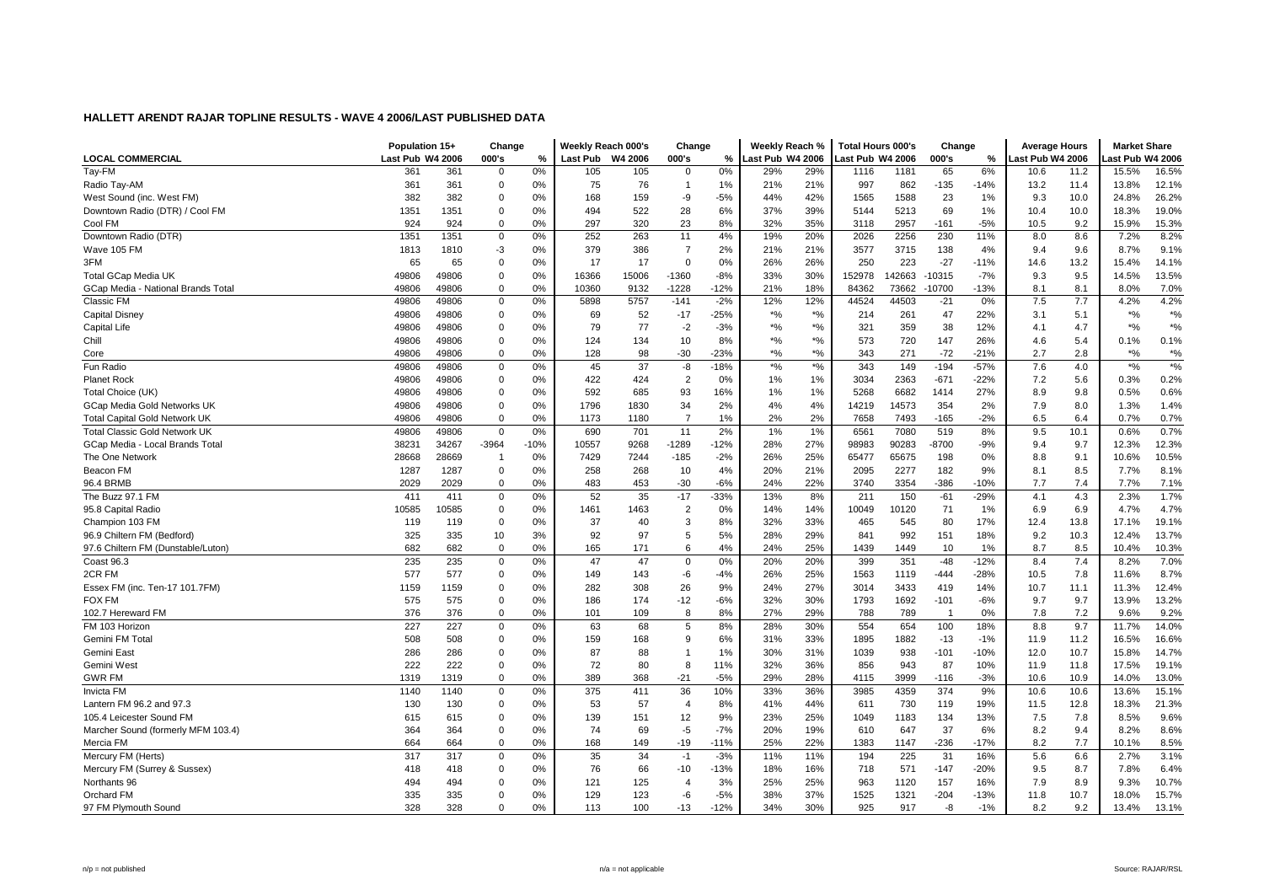|                                      | Population 15+   |       | Change         |        | Weekly Reach 000's |         | Change         |        | Weekly Reach %              |               | <b>Total Hours 000's</b> |        | Change         |        | <b>Average Hours</b> |      | <b>Market Share</b> |                                               |
|--------------------------------------|------------------|-------|----------------|--------|--------------------|---------|----------------|--------|-----------------------------|---------------|--------------------------|--------|----------------|--------|----------------------|------|---------------------|-----------------------------------------------|
| <b>LOCAL COMMERCIAL</b>              | Last Pub W4 2006 |       | 000's          | ℅      | Last Pub           | W4 2006 | 000's          | %      | Last Pub W4 2006            |               | Last Pub W4 2006         |        | 000's          | %      | ast Pub W4 2006      |      | ast Pub W4 2006     |                                               |
| Tay-FM                               | 361              | 361   | $\mathbf 0$    | 0%     | 105                | 105     | $^{\circ}$     | 0%     | 29%                         | 29%           | 1116                     | 1181   | 65             | 6%     | 10.6                 | 11.2 | 15.5%               | 16.5%                                         |
| Radio Tay-AM                         | 361              | 361   | $\mathbf 0$    | 0%     | 75                 | 76      | $\overline{1}$ | 1%     | 21%                         | 21%           | 997                      | 862    | $-135$         | $-14%$ | 13.2                 | 11.4 | 13.8%               | 12.1%                                         |
| West Sound (inc. West FM)            | 382              | 382   | 0              | 0%     | 168                | 159     | -9             | $-5%$  | 44%                         | 42%           | 1565                     | 1588   | 23             | 1%     | 9.3                  | 10.0 | 24.8%               | 26.2%                                         |
| Downtown Radio (DTR) / Cool FM       | 1351             | 1351  | 0              | $0\%$  | 494                | 522     | 28             | 6%     | 37%                         | 39%           | 5144                     | 5213   | 69             | 1%     | 10.4                 | 10.0 | 18.3%               | 19.0%                                         |
| Cool FM                              | 924              | 924   | 0              | 0%     | 297                | 320     | 23             | 8%     | 32%                         | 35%           | 3118                     | 2957   | $-161$         | $-5%$  | 10.5                 | 9.2  | 15.9%               | 15.3%                                         |
| Downtown Radio (DTR)                 | 1351             | 1351  | 0              | 0%     | 252                | 263     | 11             | 4%     | 19%                         | 20%           | 2026                     | 2256   | 230            | 11%    | 8.0                  | 8.6  | 7.2%                | 8.2%                                          |
| Wave 105 FM                          | 1813             | 1810  | $-3$           | 0%     | 379                | 386     | $\overline{7}$ | 2%     | 21%                         | 21%           | 3577                     | 3715   | 138            | 4%     | 9.4                  | 9.6  | 8.7%                | 9.1%                                          |
| 3FM                                  | 65               | 65    | $\mathbf 0$    | 0%     | 17                 | 17      | $\Omega$       | 0%     | 26%                         | 26%           | 250                      | 223    | $-27$          | $-11%$ | 14.6                 | 13.2 | 15.4%               | 14.1%                                         |
| Total GCap Media UK                  | 49806            | 49806 | $\mathbf 0$    | 0%     | 16366              | 15006   | $-1360$        | $-8%$  | 33%                         | 30%           | 152978                   | 142663 | 10315          | $-7%$  | 9.3                  | 9.5  | 14.5%               | 13.5%                                         |
| GCap Media - National Brands Total   | 49806            | 49806 | 0              | 0%     | 10360              | 9132    | $-1228$        | $-12%$ | 21%                         | 18%           | 84362                    | 73662  | 10700          | $-13%$ | 8.1                  | 8.1  | 8.0%                | 7.0%                                          |
| Classic FM                           | 49806            | 49806 | 0              | 0%     | 5898               | 5757    | $-141$         | $-2%$  | 12%                         | 12%           | 44524                    | 44503  | $-21$          | $0\%$  | 7.5                  | 7.7  | 4.2%                | 4.2%                                          |
| <b>Capital Disney</b>                | 49806            | 49806 | 0              | 0%     | 69                 | 52      | $-17$          | $-25%$ | $*9/6$                      | $*$ %         | 214                      | 261    | 47             | 22%    | 3.1                  | 5.1  | $*9/6$              | $*9/6$                                        |
| <b>Capital Life</b>                  | 49806            | 49806 | 0              | 0%     | 79                 | 77      | $-2$           | $-3%$  | $*9/6$                      | $*$ %         | 321                      | 359    | 38             | 12%    | 4.1                  | 4.7  | $*$ %               | $*$ %                                         |
| Chill                                | 49806            | 49806 | 0              | 0%     | 124                | 134     | 10             | 8%     | $\boldsymbol{^{*0}}\!/\!_0$ | $*$ %         | 573                      | 720    | 147            | 26%    | 4.6                  | 5.4  | 0.1%                | 0.1%                                          |
| Core                                 | 49806            | 49806 | $\mathbf 0$    | 0%     | 128                | 98      | $-30$          | $-23%$ | $*9/6$                      | $*$ %         | 343                      | 271    | $-72$          | $-21%$ | 2.7                  | 2.8  | $^{\star}{}\%$      | $\boldsymbol{^{*0}}\!\mathstrut_{\mathbf{0}}$ |
| Fun Radio                            | 49806            | 49806 | 0              | 0%     | 45                 | 37      | -8             | $-18%$ | $^{\ast}$ %                 | $\frac{1}{2}$ | 343                      | 149    | $-194$         | $-57%$ | 7.6                  | 4.0  | $*9/6$              | $\boldsymbol{*}$ %                            |
| <b>Planet Rock</b>                   | 49806            | 49806 | 0              | 0%     | 422                | 424     | $\overline{2}$ | 0%     | 1%                          | 1%            | 3034                     | 2363   | $-671$         | $-22%$ | 7.2                  | 5.6  | 0.3%                | 0.2%                                          |
| Total Choice (UK)                    | 49806            | 49806 | 0              | 0%     | 592                | 685     | 93             | 16%    | 1%                          | 1%            | 5268                     | 6682   | 1414           | 27%    | 8.9                  | 9.8  | 0.5%                | 0.6%                                          |
| GCap Media Gold Networks UK          | 49806            | 49806 | $\mathbf 0$    | 0%     | 1796               | 1830    | 34             | 2%     | 4%                          | 4%            | 14219                    | 14573  | 354            | 2%     | 7.9                  | 8.0  | 1.3%                | 1.4%                                          |
| <b>Total Capital Gold Network UK</b> | 49806            | 49806 | 0              | 0%     | 1173               | 1180    | $\overline{7}$ | 1%     | 2%                          | 2%            | 7658                     | 7493   | $-165$         | $-2%$  | 6.5                  | 6.4  | 0.7%                | 0.7%                                          |
| <b>Total Classic Gold Network UK</b> | 49806            | 49806 | $\mathbf 0$    | 0%     | 690                | 701     | 11             | 2%     | 1%                          | 1%            | 6561                     | 7080   | 519            | 8%     | 9.5                  | 10.1 | 0.6%                | 0.7%                                          |
| GCap Media - Local Brands Total      | 38231            | 34267 | $-3964$        | $-10%$ | 10557              | 9268    | $-1289$        | $-12%$ | 28%                         | 27%           | 98983                    | 90283  | -8700          | $-9%$  | 9.4                  | 9.7  | 12.3%               | 12.3%                                         |
| The One Network                      | 28668            | 28669 | $\overline{1}$ | 0%     | 7429               | 7244    | $-185$         | $-2%$  | 26%                         | 25%           | 65477                    | 65675  | 198            | 0%     | 8.8                  | 9.1  | 10.6%               | 10.5%                                         |
| Beacon FM                            | 1287             | 1287  | 0              | 0%     | 258                | 268     | 10             | 4%     | 20%                         | 21%           | 2095                     | 2277   | 182            | 9%     | 8.1                  | 8.5  | 7.7%                | 8.1%                                          |
| 96.4 BRMB                            | 2029             | 2029  | 0              | 0%     | 483                | 453     | $-30$          | $-6%$  | 24%                         | 22%           | 3740                     | 3354   | $-386$         | -10%   | 7.7                  | 7.4  | 7.7%                | 7.1%                                          |
| The Buzz 97.1 FM                     | 411              | 411   | 0              | 0%     | 52                 | 35      | $-17$          | $-33%$ | 13%                         | 8%            | 211                      | 150    | $-61$          | $-29%$ | 4.1                  | 4.3  | 2.3%                | 1.7%                                          |
| 95.8 Capital Radio                   | 10585            | 10585 | 0              | 0%     | 1461               | 1463    | $\overline{2}$ | 0%     | 14%                         | 14%           | 10049                    | 10120  | 71             | 1%     | 6.9                  | 6.9  | 4.7%                | 4.7%                                          |
| Champion 103 FM                      | 119              | 119   | $\mathbf 0$    | 0%     | 37                 | 40      | 3              | 8%     | 32%                         | 33%           | 465                      | 545    | 80             | 17%    | 12.4                 | 13.8 | 17.1%               | 19.1%                                         |
| 96.9 Chiltern FM (Bedford)           | 325              | 335   | 10             | 3%     | 92                 | 97      | 5              | 5%     | 28%                         | 29%           | 841                      | 992    | 151            | 18%    | 9.2                  | 10.3 | 12.4%               | 13.7%                                         |
| 97.6 Chiltern FM (Dunstable/Luton)   | 682              | 682   | $\mathbf 0$    | 0%     | 165                | 171     | 6              | 4%     | 24%                         | 25%           | 1439                     | 1449   | 10             | 1%     | 8.7                  | 8.5  | 10.4%               | 10.3%                                         |
| <b>Coast 96.3</b>                    | 235              | 235   | 0              | 0%     | 47                 | 47      | $\overline{0}$ | 0%     | 20%                         | 20%           | 399                      | 351    | $-48$          | $-12%$ | 8.4                  | 7.4  | 8.2%                | 7.0%                                          |
| 2CR FM                               | 577              | 577   | 0              | 0%     | 149                | 143     | -6             | $-4%$  | 26%                         | 25%           | 1563                     | 1119   | $-444$         | $-28%$ | 10.5                 | 7.8  | 11.6%               | 8.7%                                          |
| Essex FM (inc. Ten-17 101.7FM)       | 1159             | 1159  | $\mathbf 0$    | 0%     | 282                | 308     | 26             | 9%     | 24%                         | 27%           | 3014                     | 3433   | 419            | 14%    | 10.7                 | 11.1 | 11.3%               | 12.4%                                         |
| <b>FOX FM</b>                        | 575              | 575   | 0              | 0%     | 186                | 174     | $-12$          | $-6%$  | 32%                         | 30%           | 1793                     | 1692   | $-101$         | $-6%$  | 9.7                  | 9.7  | 13.9%               | 13.2%                                         |
| 102.7 Hereward FM                    | 376              | 376   | $\mathbf 0$    | 0%     | 101                | 109     | 8              | 8%     | 27%                         | 29%           | 788                      | 789    | $\overline{1}$ | 0%     | 7.8                  | 7.2  | 9.6%                | 9.2%                                          |
| FM 103 Horizon                       | 227              | 227   | $\mathbf 0$    | 0%     | 63                 | 68      | 5              | 8%     | 28%                         | 30%           | 554                      | 654    | 100            | 18%    | 8.8                  | 9.7  | 11.7%               | 14.0%                                         |
| Gemini FM Total                      | 508              | 508   | 0              | 0%     | 159                | 168     | 9              | 6%     | 31%                         | 33%           | 1895                     | 1882   | $-13$          | $-1%$  | 11.9                 | 11.2 | 16.5%               | 16.6%                                         |
| Gemini East                          | 286              | 286   | 0              | 0%     | 87                 | 88      | $\overline{1}$ | 1%     | 30%                         | 31%           | 1039                     | 938    | $-101$         | $-10%$ | 12.0                 | 10.7 | 15.8%               | 14.7%                                         |
| Gemini West                          | 222              | 222   | 0              | 0%     | 72                 | 80      | 8              | 11%    | 32%                         | 36%           | 856                      | 943    | 87             | 10%    | 11.9                 | 11.8 | 17.5%               | 19.1%                                         |
| <b>GWR FM</b>                        | 1319             | 1319  | $\mathbf 0$    | 0%     | 389                | 368     | $-21$          | $-5%$  | 29%                         | 28%           | 4115                     | 3999   | $-116$         | $-3%$  | 10.6                 | 10.9 | 14.0%               | 13.0%                                         |
| <b>Invicta FM</b>                    | 1140             | 1140  | 0              | 0%     | 375                | 411     | 36             | 10%    | 33%                         | 36%           | 3985                     | 4359   | 374            | 9%     | 10.6                 | 10.6 | 13.6%               | 15.1%                                         |
| Lantern FM 96.2 and 97.3             | 130              | 130   | 0              | 0%     | 53                 | 57      | $\overline{4}$ | 8%     | 41%                         | 44%           | 611                      | 730    | 119            | 19%    | 11.5                 | 12.8 | 18.3%               | 21.3%                                         |
| 105.4 Leicester Sound FM             | 615              | 615   | $\mathbf 0$    | 0%     | 139                | 151     | 12             | 9%     | 23%                         | 25%           | 1049                     | 1183   | 134            | 13%    | 7.5                  | 7.8  | 8.5%                | 9.6%                                          |
| Marcher Sound (formerly MFM 103.4)   | 364              | 364   | $\mathbf 0$    | 0%     | 74                 | 69      | $-5$           | $-7%$  | 20%                         | 19%           | 610                      | 647    | 37             | 6%     | 8.2                  | 9.4  | 8.2%                | 8.6%                                          |
| Mercia FM                            | 664              | 664   | $\mathbf 0$    | 0%     | 168                | 149     | $-19$          | $-11%$ | 25%                         | 22%           | 1383                     | 1147   | $-236$         | $-17%$ | 8.2                  | 7.7  | 10.1%               | 8.5%                                          |
| Mercury FM (Herts)                   | 317              | 317   | 0              | 0%     | 35                 | 34      | $-1$           | $-3%$  | 11%                         | 11%           | 194                      | 225    | 31             | 16%    | 5.6                  | 6.6  | 2.7%                | 3.1%                                          |
| Mercury FM (Surrey & Sussex)         | 418              | 418   | 0              | 0%     | 76                 | 66      | $-10$          | $-13%$ | 18%                         | 16%           | 718                      | 571    | $-147$         | $-20%$ | 9.5                  | 8.7  | 7.8%                | 6.4%                                          |
| Northants 96                         | 494              | 494   | 0              | 0%     | 121                | 125     | $\overline{4}$ | 3%     | 25%                         | 25%           | 963                      | 1120   | 157            | 16%    | 7.9                  | 8.9  | 9.3%                | 10.7%                                         |
| Orchard FM                           | 335              | 335   | 0              | 0%     | 129                | 123     | $-6$           | $-5%$  | 38%                         | 37%           | 1525                     | 1321   | $-204$         | $-13%$ | 11.8                 | 10.7 | 18.0%               | 15.7%                                         |
| 97 FM Plymouth Sound                 | 328              | 328   | $\Omega$       | 0%     | 113                | 100     | $-13$          | $-12%$ | 34%                         | 30%           | 925                      | 917    | -8             | $-1%$  | 8.2                  | 9.2  | 13.4%               | 13.1%                                         |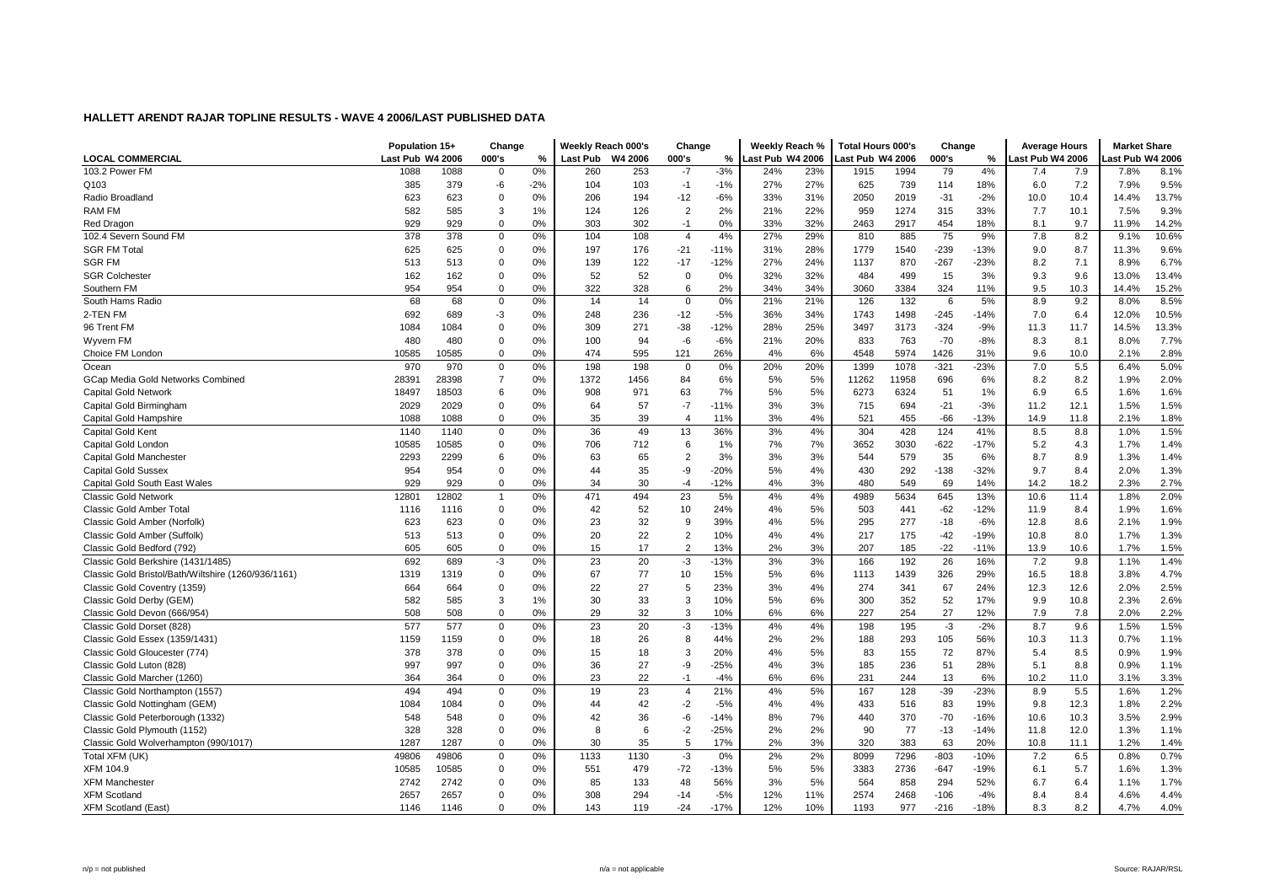|                                                     | Population 15+   |       | Change         |       | Weekly Reach 000's |         | Change         |        | Weekly Reach %   |     | Total Hours 000's |       | Change |        | <b>Average Hours</b> |      | <b>Market Share</b> |       |
|-----------------------------------------------------|------------------|-------|----------------|-------|--------------------|---------|----------------|--------|------------------|-----|-------------------|-------|--------|--------|----------------------|------|---------------------|-------|
| <b>LOCAL COMMERCIAL</b>                             | Last Pub W4 2006 |       | 000's          | %     | <b>Last Pub</b>    | W4 2006 | 000's          | %      | Last Pub W4 2006 |     | Last Pub W4 2006  |       | 000's  | %      | Last Pub W4 2006     |      | ast Pub W4 2006     |       |
| 103.2 Power FM                                      | 1088             | 1088  | $\mathbf 0$    | 0%    | 260                | 253     | $-7$           | $-3%$  | 24%              | 23% | 1915              | 1994  | 79     | 4%     | 7.4                  | 7.9  | 7.8%                | 8.1%  |
| Q103                                                | 385              | 379   | -6             | $-2%$ | 104                | 103     | $-1$           | $-1%$  | 27%              | 27% | 625               | 739   | 114    | 18%    | 6.0                  | 7.2  | 7.9%                | 9.5%  |
| Radio Broadlanc                                     | 623              | 623   | $\mathbf 0$    | 0%    | 206                | 194     | $-12$          | $-6%$  | 33%              | 31% | 2050              | 2019  | $-31$  | $-2%$  | 10.0                 | 10.4 | 14.4%               | 13.7% |
| <b>RAM FM</b>                                       | 582              | 585   | 3              | 1%    | 124                | 126     | $\overline{2}$ | 2%     | 21%              | 22% | 959               | 1274  | 315    | 33%    | 7.7                  | 10.1 | 7.5%                | 9.3%  |
| Red Dragon                                          | 929              | 929   | $\mathbf 0$    | 0%    | 303                | 302     | $-1$           | 0%     | 33%              | 32% | 2463              | 2917  | 454    | 18%    | 8.1                  | 9.7  | 11.9%               | 14.2% |
| 102.4 Severn Sound FM                               | 378              | 378   | $\mathbf 0$    | 0%    | 104                | 108     | $\overline{4}$ | 4%     | 27%              | 29% | 810               | 885   | 75     | 9%     | 7.8                  | 8.2  | 9.1%                | 10.6% |
| <b>SGR FM Total</b>                                 | 625              | 625   | $\mathbf 0$    | 0%    | 197                | 176     | $-21$          | $-11%$ | 31%              | 28% | 1779              | 1540  | $-239$ | $-13%$ | 9.0                  | 8.7  | 11.3%               | 9.6%  |
| <b>SGR FM</b>                                       | 513              | 513   | $\Omega$       | 0%    | 139                | 122     | $-17$          | $-12%$ | 27%              | 24% | 1137              | 870   | $-267$ | $-23%$ | 8.2                  | 7.1  | 8.9%                | 6.7%  |
| <b>SGR Colchester</b>                               | 162              | 162   | $\mathbf 0$    | 0%    | 52                 | 52      | $\Omega$       | 0%     | 32%              | 32% | 484               | 499   | 15     | 3%     | 9.3                  | 9.6  | 13.0%               | 13.4% |
| Southern FM                                         | 954              | 954   | $\Omega$       | 0%    | 322                | 328     | 6              | 2%     | 34%              | 34% | 3060              | 3384  | 324    | 11%    | 9.5                  | 10.3 | 14.4%               | 15.2% |
| South Hams Radio                                    | 68               | 68    | 0              | 0%    | 14                 | 14      | $\mathbf 0$    | 0%     | 21%              | 21% | 126               | 132   | 6      | 5%     | 8.9                  | 9.2  | 8.0%                | 8.5%  |
| 2-TEN FM                                            | 692              | 689   | $-3$           | 0%    | 248                | 236     | $-12$          | $-5%$  | 36%              | 34% | 1743              | 1498  | $-245$ | $-14%$ | 7.0                  | 6.4  | 12.0%               | 10.5% |
| 96 Trent FM                                         | 1084             | 1084  | $\mathbf 0$    | 0%    | 309                | 271     | $-38$          | $-12%$ | 28%              | 25% | 3497              | 3173  | $-324$ | $-9%$  | 11.3                 | 11.7 | 14.5%               | 13.3% |
| Wyvern FM                                           | 480              | 480   | $\mathbf 0$    | 0%    | 100                | 94      | -6             | $-6%$  | 21%              | 20% | 833               | 763   | $-70$  | $-8%$  | 8.3                  | 8.1  | 8.0%                | 7.7%  |
| Choice FM London                                    | 10585            | 10585 | $\Omega$       | 0%    | 474                | 595     | 121            | 26%    | 4%               | 6%  | 4548              | 5974  | 1426   | 31%    | 9.6                  | 10.0 | 2.1%                | 2.8%  |
| Ocean                                               | 970              | 970   | 0              | 0%    | 198                | 198     | $\mathbf 0$    | 0%     | 20%              | 20% | 1399              | 1078  | $-321$ | $-23%$ | 7.0                  | 5.5  | 6.4%                | 5.0%  |
| GCap Media Gold Networks Combined                   | 28391            | 28398 | $\overline{7}$ | 0%    | 1372               | 1456    | 84             | 6%     | 5%               | 5%  | 11262             | 11958 | 696    | 6%     | 8.2                  | 8.2  | 1.9%                | 2.0%  |
| <b>Capital Gold Network</b>                         | 18497            | 18503 | 6              | 0%    | 908                | 971     | 63             | 7%     | 5%               | 5%  | 6273              | 6324  | 51     | 1%     | 6.9                  | 6.5  | 1.6%                | 1.6%  |
| Capital Gold Birmingham                             | 2029             | 2029  | $\mathbf 0$    | 0%    | 64                 | 57      | $-7$           | $-11%$ | 3%               | 3%  | 715               | 694   | $-21$  | $-3%$  | 11.2                 | 12.1 | 1.5%                | 1.5%  |
| Capital Gold Hampshire                              | 1088             | 1088  | $\Omega$       | 0%    | 35                 | 39      | $\overline{4}$ | 11%    | 3%               | 4%  | 521               | 455   | $-66$  | $-13%$ | 14.9                 | 11.8 | 2.1%                | 1.8%  |
| Capital Gold Kent                                   | 1140             | 1140  | $\mathbf 0$    | 0%    | 36                 | 49      | 13             | 36%    | 3%               | 4%  | 304               | 428   | 124    | 41%    | 8.5                  | 8.8  | 1.0%                | 1.5%  |
| Capital Gold London                                 | 10585            | 10585 | $\mathbf 0$    | 0%    | 706                | 712     | 6              | 1%     | 7%               | 7%  | 3652              | 3030  | $-622$ | $-17%$ | 5.2                  | 4.3  | 1.7%                | 1.4%  |
| Capital Gold Manchester                             | 2293             | 2299  | 6              | 0%    | 63                 | 65      | $\overline{2}$ | 3%     | 3%               | 3%  | 544               | 579   | 35     | 6%     | 8.7                  | 8.9  | 1.3%                | 1.4%  |
| <b>Capital Gold Sussex</b>                          | 954              | 954   | $\mathbf 0$    | 0%    | 44                 | 35      | -9             | $-20%$ | 5%               | 4%  | 430               | 292   | $-138$ | $-32%$ | 9.7                  | 8.4  | 2.0%                | 1.3%  |
| Capital Gold South East Wales                       | 929              | 929   | $\Omega$       | 0%    | 34                 | 30      | $-4$           | $-12%$ | 4%               | 3%  | 480               | 549   | 69     | 14%    | 14.2                 | 18.2 | 2.3%                | 2.7%  |
| <b>Classic Gold Network</b>                         | 12801            | 12802 | $\mathbf{1}$   | 0%    | 471                | 494     | 23             | 5%     | 4%               | 4%  | 4989              | 5634  | 645    | 13%    | 10.6                 | 11.4 | 1.8%                | 2.0%  |
| Classic Gold Amber Total                            | 1116             | 1116  | $\mathbf 0$    | 0%    | 42                 | 52      | 10             | 24%    | 4%               | 5%  | 503               | 441   | $-62$  | $-12%$ | 11.9                 | 8.4  | 1.9%                | 1.6%  |
| Classic Gold Amber (Norfolk)                        | 623              | 623   | $\mathbf 0$    | 0%    | 23                 | 32      | 9              | 39%    | 4%               | 5%  | 295               | 277   | $-18$  | $-6%$  | 12.8                 | 8.6  | 2.1%                | 1.9%  |
| Classic Gold Amber (Suffolk)                        | 513              | 513   | $\mathbf 0$    | 0%    | 20                 | 22      | $\overline{2}$ | 10%    | 4%               | 4%  | 217               | 175   | $-42$  | $-19%$ | 10.8                 | 8.0  | 1.7%                | 1.3%  |
| Classic Gold Bedford (792)                          | 605              | 605   | $\Omega$       | 0%    | 15                 | 17      | $\overline{2}$ | 13%    | 2%               | 3%  | 207               | 185   | $-22$  | $-11%$ | 13.9                 | 10.6 | 1.7%                | 1.5%  |
| Classic Gold Berkshire (1431/1485)                  | 692              | 689   | $-3$           | 0%    | 23                 | 20      | -3             | $-13%$ | 3%               | 3%  | 166               | 192   | 26     | 16%    | 7.2                  | 9.8  | 1.1%                | 1.4%  |
| Classic Gold Bristol/Bath/Wiltshire (1260/936/1161) | 1319             | 1319  | $\mathbf 0$    | 0%    | 67                 | 77      | 10             | 15%    | 5%               | 6%  | 1113              | 1439  | 326    | 29%    | 16.5                 | 18.8 | 3.8%                | 4.7%  |
| Classic Gold Coventry (1359)                        | 664              | 664   | $\mathbf 0$    | 0%    | 22                 | 27      | 5              | 23%    | 3%               | 4%  | 274               | 341   | 67     | 24%    | 12.3                 | 12.6 | 2.0%                | 2.5%  |
| Classic Gold Derby (GEM)                            | 582              | 585   | 3              | 1%    | 30                 | 33      | 3              | 10%    | 5%               | 6%  | 300               | 352   | 52     | 17%    | 9.9                  | 10.8 | 2.3%                | 2.6%  |
| Classic Gold Devon (666/954)                        | 508              | 508   | $\Omega$       | 0%    | 29                 | 32      | 3              | 10%    | 6%               | 6%  | 227               | 254   | 27     | 12%    | 7.9                  | 7.8  | 2.0%                | 2.2%  |
| Classic Gold Dorset (828)                           | 577              | 577   | $\Omega$       | 0%    | 23                 | 20      | -3             | $-13%$ | 4%               | 4%  | 198               | 195   | $-3$   | $-2%$  | 8.7                  | 9.6  | 1.5%                | 1.5%  |
| Classic Gold Essex (1359/1431)                      | 1159             | 1159  | $\Omega$       | 0%    | 18                 | 26      | 8              | 44%    | 2%               | 2%  | 188               | 293   | 105    | 56%    | 10.3                 | 11.3 | 0.7%                | 1.1%  |
| Classic Gold Gloucester (774)                       | 378              | 378   | $\mathbf 0$    | 0%    | 15                 | 18      | 3              | 20%    | 4%               | 5%  | 83                | 155   | 72     | 87%    | 5.4                  | 8.5  | 0.9%                | 1.9%  |
| Classic Gold Luton (828)                            | 997              | 997   | $\pmb{0}$      | 0%    | 36                 | 27      | -9             | $-25%$ | 4%               | 3%  | 185               | 236   | 51     | 28%    | 5.1                  | 8.8  | 0.9%                | 1.1%  |
| Classic Gold Marcher (1260)                         | 364              | 364   | $\Omega$       | 0%    | 23                 | 22      | $-1$           | $-4%$  | 6%               | 6%  | 231               | 244   | 13     | 6%     | 10.2                 | 11.0 | 3.1%                | 3.3%  |
| Classic Gold Northampton (1557)                     | 494              | 494   | $\mathbf 0$    | 0%    | 19                 | 23      | $\overline{4}$ | 21%    | 4%               | 5%  | 167               | 128   | $-39$  | $-23%$ | 8.9                  | 5.5  | 1.6%                | 1.2%  |
| Classic Gold Nottingham (GEM)                       | 1084             | 1084  | $\mathbf 0$    | 0%    | 44                 | 42      | $-2$           | $-5%$  | 4%               | 4%  | 433               | 516   | 83     | 19%    | 9.8                  | 12.3 | 1.8%                | 2.2%  |
| Classic Gold Peterborough (1332)                    | 548              | 548   | $\Omega$       | 0%    | 42                 | 36      | -6             | $-14%$ | 8%               | 7%  | 440               | 370   | $-70$  | $-16%$ | 10.6                 | 10.3 | 3.5%                | 2.9%  |
| Classic Gold Plymouth (1152)                        | 328              | 328   | $\Omega$       | 0%    | 8                  | 6       | $-2$           | $-25%$ | 2%               | 2%  | 90                | 77    | $-13$  | $-14%$ | 11.8                 | 12.0 | 1.3%                | 1.1%  |
| Classic Gold Wolverhampton (990/1017)               | 1287             | 1287  | $\mathbf 0$    | 0%    | 30                 | 35      | 5              | 17%    | 2%               | 3%  | 320               | 383   | 63     | 20%    | 10.8                 | 11.1 | 1.2%                | 1.4%  |
| Total XFM (UK)                                      | 49806            | 49806 | 0              | 0%    | 1133               | 1130    | -3             | 0%     | 2%               | 2%  | 8099              | 7296  | $-803$ | $-10%$ | 7.2                  | 6.5  | 0.8%                | 0.7%  |
| XFM 104.9                                           | 10585            | 10585 | $\mathbf 0$    | 0%    | 551                | 479     | $-72$          | $-13%$ | 5%               | 5%  | 3383              | 2736  | $-647$ | $-19%$ | 6.1                  | 5.7  | 1.6%                | 1.3%  |
| <b>XFM Mancheste</b>                                | 2742             | 2742  | $\mathbf 0$    | 0%    | 85                 | 133     | 48             | 56%    | 3%               | 5%  | 564               | 858   | 294    | 52%    | 6.7                  | 6.4  | 1.1%                | 1.7%  |
| <b>XFM Scotland</b>                                 | 2657             | 2657  | $\Omega$       | 0%    | 308                | 294     | $-14$          | $-5%$  | 12%              | 11% | 2574              | 2468  | $-106$ | $-4%$  | 8.4                  | 8.4  | 4.6%                | 4.4%  |
| <b>XFM Scotland (East)</b>                          | 1146             | 1146  | $\Omega$       | 0%    | 143                | 119     | $-24$          | $-17%$ | 12%              | 10% | 1193              | 977   | $-216$ | $-18%$ | 8.3                  | 8.2  | 4.7%                | 4.0%  |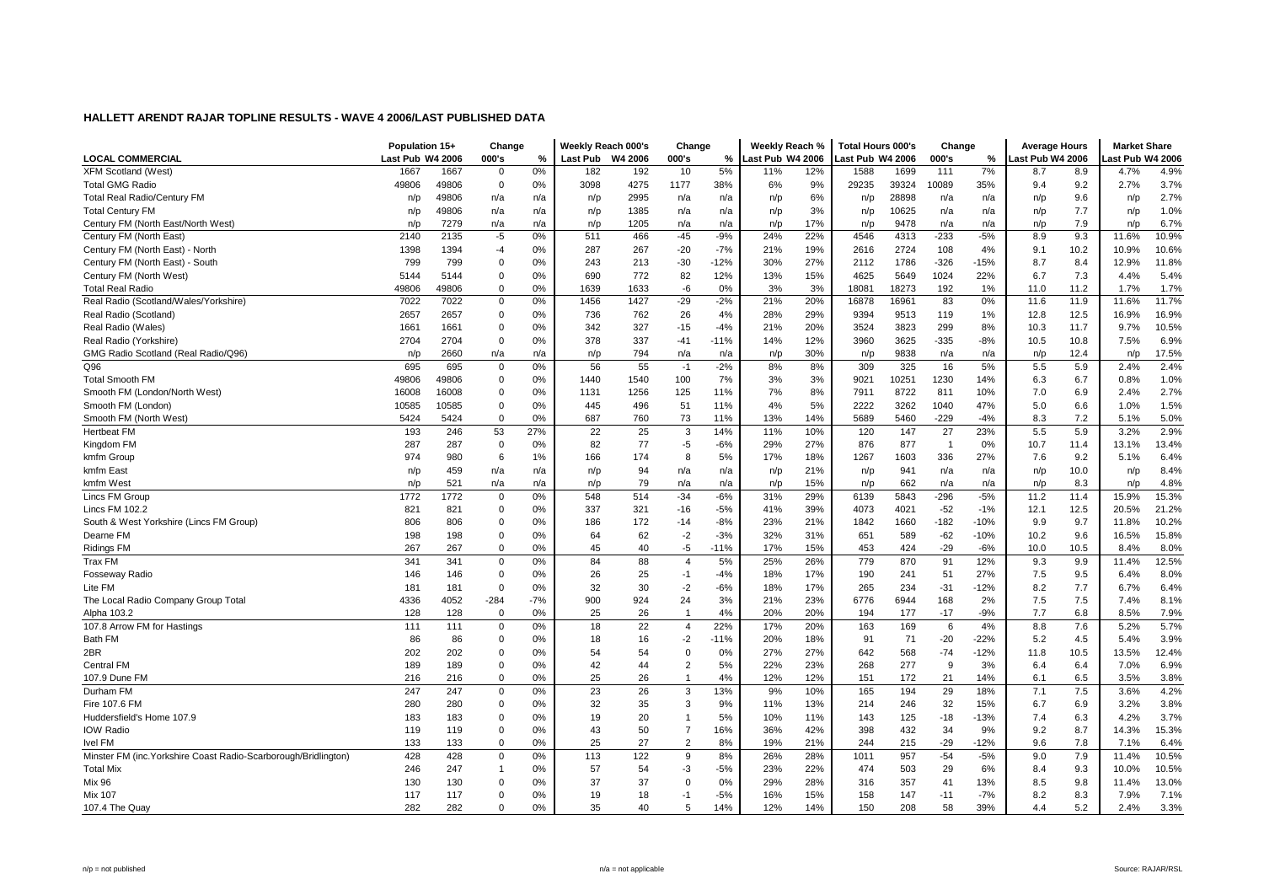|                                                                 | Population 15+   |       | Change         |       | Weekly Reach 000's |         | Change         |        | Weekly Reach %   |     | <b>Total Hours 000's</b> |       | Change         |        | <b>Average Hours</b> |      | <b>Market Share</b> |       |
|-----------------------------------------------------------------|------------------|-------|----------------|-------|--------------------|---------|----------------|--------|------------------|-----|--------------------------|-------|----------------|--------|----------------------|------|---------------------|-------|
| <b>LOCAL COMMERCIAL</b>                                         | Last Pub W4 2006 |       | 000's          | %     | <b>Last Pub</b>    | W4 2006 | 000's          | %      | Last Pub W4 2006 |     | Last Pub W4 2006         |       | 000's          | %      | Last Pub W4 2006     |      | ast Pub W4 2006     |       |
| <b>XFM Scotland (West)</b>                                      | 1667             | 1667  | $\mathbf 0$    | 0%    | 182                | 192     | 10             | 5%     | 11%              | 12% | 1588                     | 1699  | 111            | 7%     | 8.7                  | 8.9  | 4.7%                | 4.9%  |
| <b>Total GMG Radio</b>                                          | 49806            | 49806 | $\mathbf 0$    | 0%    | 3098               | 4275    | 1177           | 38%    | 6%               | 9%  | 29235                    | 39324 | 0089           | 35%    | 9.4                  | 9.2  | 2.7%                | 3.7%  |
| <b>Total Real Radio/Century FM</b>                              | n/p              | 49806 | n/a            | n/a   | n/p                | 2995    | n/a            | n/a    | n/p              | 6%  | n/p                      | 28898 | n/a            | n/a    | n/p                  | 9.6  | n/p                 | 2.7%  |
| <b>Total Century FM</b>                                         | n/p              | 49806 | n/a            | n/a   | n/p                | 1385    | n/a            | n/a    | n/p              | 3%  | n/p                      | 10625 | n/a            | n/a    | n/p                  | 7.7  | n/p                 | 1.0%  |
| Century FM (North East/North West)                              | n/p              | 7279  | n/a            | n/a   | n/p                | 1205    | n/a            | n/a    | n/p              | 17% | n/p                      | 9478  | n/a            | n/a    | n/p                  | 7.9  | n/p                 | 6.7%  |
| Century FM (North East)                                         | 2140             | 2135  | $-5$           | 0%    | 511                | 466     | $-45$          | $-9%$  | 24%              | 22% | 4546                     | 4313  | $-233$         | $-5%$  | 8.9                  | 9.3  | 11.6%               | 10.9% |
| Century FM (North East) - North                                 | 1398             | 1394  | $-4$           | 0%    | 287                | 267     | $-20$          | $-7%$  | 21%              | 19% | 2616                     | 2724  | 108            | 4%     | 9.1                  | 10.2 | 10.9%               | 10.6% |
| Century FM (North East) - South                                 | 799              | 799   | $\mathbf 0$    | 0%    | 243                | 213     | $-30$          | $-12%$ | 30%              | 27% | 2112                     | 1786  | $-326$         | $-15%$ | 8.7                  | 8.4  | 12.9%               | 11.8% |
| Century FM (North West)                                         | 5144             | 5144  | $\mathbf 0$    | 0%    | 690                | 772     | 82             | 12%    | 13%              | 15% | 4625                     | 5649  | 1024           | 22%    | 6.7                  | 7.3  | 4.4%                | 5.4%  |
| <b>Total Real Radio</b>                                         | 49806            | 49806 | 0              | 0%    | 1639               | 1633    | -6             | 0%     | 3%               | 3%  | 18081                    | 18273 | 192            | 1%     | 11.0                 | 11.2 | 1.7%                | 1.7%  |
| Real Radio (Scotland/Wales/Yorkshire)                           | 7022             | 7022  | 0              | 0%    | 1456               | 1427    | $-29$          | $-2%$  | 21%              | 20% | 16878                    | 16961 | 83             | 0%     | 11.6                 | 11.9 | 11.6%               | 11.7% |
| Real Radio (Scotland)                                           | 2657             | 2657  | $\mathbf 0$    | 0%    | 736                | 762     | 26             | 4%     | 28%              | 29% | 9394                     | 9513  | 119            | 1%     | 12.8                 | 12.5 | 16.9%               | 16.9% |
| Real Radio (Wales)                                              | 1661             | 1661  | 0              | 0%    | 342                | 327     | $-15$          | $-4%$  | 21%              | 20% | 3524                     | 3823  | 299            | 8%     | 10.3                 | 11.7 | 9.7%                | 10.5% |
| Real Radio (Yorkshire)                                          | 2704             | 2704  | $\mathbf 0$    | 0%    | 378                | 337     | $-41$          | $-11%$ | 14%              | 12% | 3960                     | 3625  | $-335$         | $-8%$  | 10.5                 | 10.8 | 7.5%                | 6.9%  |
| GMG Radio Scotland (Real Radio/Q96)                             | n/p              | 2660  | n/a            | n/a   | n/p                | 794     | n/a            | n/a    | n/p              | 30% | n/p                      | 9838  | n/a            | n/a    | n/p                  | 12.4 | n/p                 | 17.5% |
| Q96                                                             | 695              | 695   | 0              | 0%    | 56                 | 55      | $-1$           | $-2%$  | 8%               | 8%  | 309                      | 325   | 16             | 5%     | 5.5                  | 5.9  | 2.4%                | 2.4%  |
| <b>Total Smooth FM</b>                                          | 49806            | 49806 | 0              | 0%    | 1440               | 1540    | 100            | 7%     | 3%               | 3%  | 9021                     | 10251 | 1230           | 14%    | 6.3                  | 6.7  | 0.8%                | 1.0%  |
| Smooth FM (London/North West)                                   | 16008            | 16008 | 0              | 0%    | 1131               | 1256    | 125            | 11%    | 7%               | 8%  | 7911                     | 8722  | 811            | 10%    | 7.0                  | 6.9  | 2.4%                | 2.7%  |
| Smooth FM (London)                                              | 10585            | 10585 | $\mathbf 0$    | 0%    | 445                | 496     | 51             | 11%    | 4%               | 5%  | 2222                     | 3262  | 1040           | 47%    | 5.0                  | 6.6  | 1.0%                | 1.5%  |
| Smooth FM (North West)                                          | 5424             | 5424  | 0              | 0%    | 687                | 760     | 73             | 11%    | 13%              | 14% | 5689                     | 5460  | $-229$         | $-4%$  | 8.3                  | 7.2  | 5.1%                | 5.0%  |
| <b>Hertbeat FM</b>                                              | 193              | 246   | 53             | 27%   | 22                 | 25      | 3              | 14%    | 11%              | 10% | 120                      | 147   | 27             | 23%    | 5.5                  | 5.9  | 3.2%                | 2.9%  |
| Kingdom FM                                                      | 287              | 287   | $\mathbf 0$    | 0%    | 82                 | 77      | $-5$           | $-6%$  | 29%              | 27% | 876                      | 877   | $\overline{1}$ | 0%     | 10.7                 | 11.4 | 13.1%               | 13.4% |
| kmfm Group                                                      | 974              | 980   | 6              | 1%    | 166                | 174     | 8              | 5%     | 17%              | 18% | 1267                     | 1603  | 336            | 27%    | 7.6                  | 9.2  | 5.1%                | 6.4%  |
| kmfm East                                                       | n/p              | 459   | n/a            | n/a   | n/p                | 94      | n/a            | n/a    | n/p              | 21% | n/p                      | 941   | n/a            | n/a    | n/p                  | 10.0 | n/p                 | 8.4%  |
| kmfm West                                                       | n/p              | 521   | n/a            | n/a   | n/p                | 79      | n/a            | n/a    | n/p              | 15% | n/p                      | 662   | n/a            | n/a    | n/p                  | 8.3  | n/p                 | 4.8%  |
| Lincs FM Group                                                  | 1772             | 1772  | 0              | 0%    | 548                | 514     | $-34$          | $-6%$  | 31%              | 29% | 6139                     | 5843  | $-296$         | $-5%$  | 11.2                 | 11.4 | 15.9%               | 15.3% |
| Lincs FM 102.2                                                  | 821              | 821   | 0              | 0%    | 337                | 321     | $-16$          | $-5%$  | 41%              | 39% | 4073                     | 4021  | $-52$          | $-1%$  | 12.1                 | 12.5 | 20.5%               | 21.2% |
| South & West Yorkshire (Lincs FM Group)                         | 806              | 806   | $\mathbf 0$    | 0%    | 186                | 172     | $-14$          | $-8%$  | 23%              | 21% | 1842                     | 1660  | $-182$         | $-10%$ | 9.9                  | 9.7  | 11.8%               | 10.2% |
| Dearne FM                                                       | 198              | 198   | $\mathbf 0$    | 0%    | 64                 | 62      | $-2$           | $-3%$  | 32%              | 31% | 651                      | 589   | $-62$          | $-10%$ | 10.2                 | 9.6  | 16.5%               | 15.8% |
| <b>Ridings FM</b>                                               | 267              | 267   | $\mathbf 0$    | 0%    | 45                 | 40      | $-5$           | $-11%$ | 17%              | 15% | 453                      | 424   | $-29$          | $-6%$  | 10.0                 | 10.5 | 8.4%                | 8.0%  |
| Trax FM                                                         | 341              | 341   | $\mathbf 0$    | 0%    | 84                 | 88      | $\overline{4}$ | 5%     | 25%              | 26% | 779                      | 870   | 91             | 12%    | 9.3                  | 9.9  | 11.4%               | 12.5% |
| <b>Fosseway Radio</b>                                           | 146              | 146   | 0              | 0%    | 26                 | 25      | $-1$           | $-4%$  | 18%              | 17% | 190                      | 241   | 51             | 27%    | 7.5                  | 9.5  | 6.4%                | 8.0%  |
| Lite FM                                                         | 181              | 181   | $\mathbf 0$    | 0%    | 32                 | 30      | $-2$           | $-6%$  | 18%              | 17% | 265                      | 234   | $-31$          | $-12%$ | 8.2                  | 7.7  | 6.7%                | 6.4%  |
| The Local Radio Company Group Total                             | 4336             | 4052  | $-284$         | $-7%$ | 900                | 924     | 24             | 3%     | 21%              | 23% | 6776                     | 6944  | 168            | 2%     | 7.5                  | 7.5  | 7.4%                | 8.1%  |
| Alpha 103.2                                                     | 128              | 128   | $\mathbf 0$    | 0%    | 25                 | 26      | $\overline{1}$ | 4%     | 20%              | 20% | 194                      | 177   | $-17$          | $-9%$  | 7.7                  | 6.8  | 8.5%                | 7.9%  |
| 107.8 Arrow FM for Hastings                                     | 111              | 111   | $\mathbf 0$    | 0%    | 18                 | 22      | $\overline{4}$ | 22%    | 17%              | 20% | 163                      | 169   | 6              | 4%     | 8.8                  | 7.6  | 5.2%                | 5.7%  |
| <b>Bath FM</b>                                                  | 86               | 86    | $\mathbf 0$    | 0%    | 18                 | 16      | $-2$           | $-11%$ | 20%              | 18% | 91                       | 71    | $-20$          | $-22%$ | 5.2                  | 4.5  | 5.4%                | 3.9%  |
| 2BR                                                             | 202              | 202   | 0              | 0%    | 54                 | 54      | $\mathbf 0$    | 0%     | 27%              | 27% | 642                      | 568   | $-74$          | $-12%$ | 11.8                 | 10.5 | 13.5%               | 12.4% |
| <b>Central FM</b>                                               | 189              | 189   | $\mathbf 0$    | 0%    | 42                 | 44      | $\overline{2}$ | 5%     | 22%              | 23% | 268                      | 277   | 9              | 3%     | 6.4                  | 6.4  | 7.0%                | 6.9%  |
| 107.9 Dune FM                                                   | 216              | 216   | $\mathbf 0$    | 0%    | 25                 | 26      | $\overline{1}$ | 4%     | 12%              | 12% | 151                      | 172   | 21             | 14%    | 6.1                  | 6.5  | 3.5%                | 3.8%  |
| Durham FM                                                       | 247              | 247   | 0              | 0%    | 23                 | 26      | 3              | 13%    | 9%               | 10% | 165                      | 194   | 29             | 18%    | 7.1                  | 7.5  | 3.6%                | 4.2%  |
| Fire 107.6 FM                                                   | 280              | 280   | 0              | 0%    | 32                 | 35      | 3              | 9%     | 11%              | 13% | 214                      | 246   | 32             | 15%    | 6.7                  | 6.9  | 3.2%                | 3.8%  |
| Huddersfield's Home 107.9                                       | 183              | 183   | $\mathbf 0$    | 0%    | 19                 | 20      | $\overline{1}$ | 5%     | 10%              | 11% | 143                      | 125   | $-18$          | $-13%$ | 7.4                  | 6.3  | 4.2%                | 3.7%  |
| <b>IOW Radio</b>                                                | 119              | 119   | $\mathbf 0$    | 0%    | 43                 | 50      | $\overline{7}$ | 16%    | 36%              | 42% | 398                      | 432   | 34             | 9%     | 9.2                  | 8.7  | 14.3%               | 15.3% |
| <b>Ivel FM</b>                                                  | 133              | 133   | $\mathbf 0$    | 0%    | 25                 | 27      | $\overline{2}$ | 8%     | 19%              | 21% | 244                      | 215   | $-29$          | $-12%$ | 9.6                  | 7.8  | 7.1%                | 6.4%  |
| Minster FM (inc. Yorkshire Coast Radio-Scarborough/Bridlington) | 428              | 428   | 0              | 0%    | 113                | 122     | 9              | 8%     | 26%              | 28% | 1011                     | 957   | $-54$          | $-5%$  | 9.0                  | 7.9  | 11.4%               | 10.5% |
| <b>Total Mix</b>                                                | 246              | 247   | $\overline{1}$ | 0%    | 57                 | 54      | -3             | $-5%$  | 23%              | 22% | 474                      | 503   | 29             | 6%     | 8.4                  | 9.3  | 10.0%               | 10.5% |
| Mix 96                                                          | 130              | 130   | 0              | 0%    | 37                 | 37      | $\mathbf 0$    | 0%     | 29%              | 28% | 316                      | 357   | 41             | 13%    | 8.5                  | 9.8  | 11.4%               | 13.0% |
| <b>Mix 107</b>                                                  | 117              | 117   | 0              | 0%    | 19                 | 18      | $-1$           | $-5%$  | 16%              | 15% | 158                      | 147   | $-11$          | $-7%$  | 8.2                  | 8.3  | 7.9%                | 7.1%  |
| 107.4 The Quay                                                  | 282              | 282   | $\Omega$       | 0%    | 35                 | 40      | 5              | 14%    | 12%              | 14% | 150                      | 208   | 58             | 39%    | 4.4                  | 5.2  | 2.4%                | 3.3%  |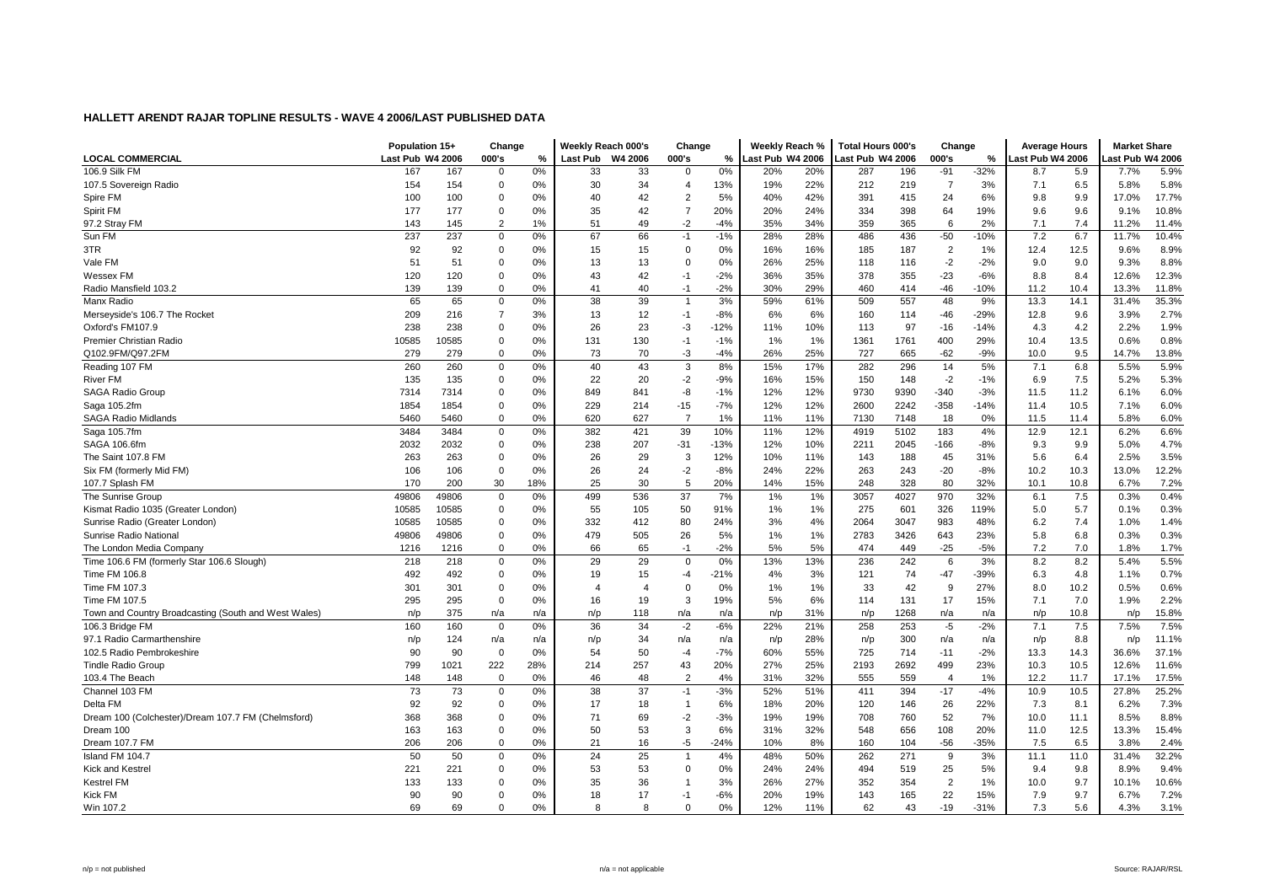| <b>LOCAL COMMERCIAL</b><br>Last Pub W4 2006<br>000's<br>%<br><b>Last Pub</b><br>W4 2006<br>000's<br>%<br>Last Pub W4 2006<br>Last Pub W4 2006<br>000's<br>%<br>ast Pub W4 2006<br>ast Pub W4 2006<br>0%<br>106.9 Silk FM<br>$-32%$<br>5.9%<br>167<br>167<br>0%<br>33<br>33<br>20%<br>287<br>196<br>$-91$<br>5.9<br>7.7%<br>$\Omega$<br>$\Omega$<br>20%<br>8.7<br>$\Omega$<br>0%<br>34<br>19%<br>22%<br>212<br>6.5<br>5.8%<br>107.5 Sovereign Radio<br>154<br>154<br>30<br>13%<br>219<br>$\overline{7}$<br>3%<br>7.1<br>5.8%<br>$\overline{4}$<br>100<br>100<br>$\mathbf 0$<br>42<br>$\overline{2}$<br>5%<br>40%<br>42%<br>391<br>24<br>9.9<br>17.7%<br>Spire FM<br>0%<br>40<br>415<br>6%<br>9.8<br>17.0%<br>177<br>$\pmb{0}$<br>35<br>42<br>$\overline{7}$<br>20%<br>20%<br>24%<br>334<br>398<br>19%<br>9.6<br>10.8%<br>Spirit FM<br>177<br>0%<br>64<br>9.6<br>9.1%<br>$\overline{2}$<br>49<br>$-2$<br>6<br>7.4<br>1%<br>51<br>$-4%$<br>35%<br>34%<br>359<br>365<br>2%<br>7.1<br>11.4%<br>97.2 Stray FM<br>143<br>145<br>11.2%<br>Sun FM<br>237<br>237<br>$\mathbf 0$<br>0%<br>67<br>66<br>$-1%$<br>28%<br>28%<br>436<br>$-50$<br>$-10%$<br>7.2<br>6.7<br>11.7%<br>10.4%<br>$-1$<br>486<br>92<br>8.9%<br>3TR<br>92<br>0<br>0%<br>15<br>15<br>$\mathbf 0$<br>0%<br>16%<br>16%<br>185<br>187<br>$\overline{2}$<br>1%<br>12.4<br>12.5<br>9.6%<br>51<br>0%<br>25%<br>$-2$<br>9.0<br>8.8%<br>Vale FM<br>51<br>$\Omega$<br>0%<br>13<br>13<br>$\Omega$<br>26%<br>118<br>116<br>$-2%$<br>9.0<br>9.3%<br>35%<br>$-23$<br>12.3%<br>120<br>120<br>$\Omega$<br>0%<br>43<br>42<br>$-2%$<br>36%<br>378<br>355<br>$-6%$<br>8.8<br>8.4<br>12.6%<br>$-1$<br><b>Wessex FM</b><br>139<br>139<br>$\mathbf 0$<br>0%<br>40<br>$-1$<br>$-2%$<br>30%<br>29%<br>460<br>$-46$<br>$-10%$<br>11.2<br>10.4<br>13.3%<br>11.8%<br>Radio Mansfield 103.2<br>41<br>414<br>65<br>39<br>35.3%<br>0%<br>38<br>3%<br>59%<br>509<br>557<br>48<br>Manx Radio<br>65<br>0<br>$\overline{1}$<br>61%<br>9%<br>13.3<br>14.1<br>31.4%<br>$\overline{7}$<br>12<br>6%<br>2.7%<br>209<br>216<br>3%<br>13<br>$-1$<br>$-8%$<br>6%<br>-46<br>$-29%$<br>12.8<br>9.6<br>3.9%<br>Merseyside's 106.7 The Rocket<br>160<br>114<br>238<br>238<br>23<br>-3<br>$-12%$<br>11%<br>10%<br>97<br>$-14%$<br>4.2<br>2.2%<br>1.9%<br>Oxford's FM107.9<br>$\mathbf 0$<br>0%<br>26<br>113<br>$-16$<br>4.3<br>Premier Christian Radio<br>10585<br>10585<br>$\mathbf 0$<br>131<br>130<br>1%<br>400<br>29%<br>13.5<br>0.8%<br>0%<br>$-1$<br>$-1%$<br>1%<br>1361<br>1761<br>10.4<br>0.6%<br>Q102.9FM/Q97.2FM<br>279<br>$\Omega$<br>0%<br>73<br>70<br>-3<br>$-4%$<br>26%<br>25%<br>727<br>665<br>$-62$<br>$-9%$<br>10.0<br>9.5<br>14.7%<br>13.8%<br>279<br>$\mathbf 0$<br>0%<br>40<br>43<br>3<br>8%<br>17%<br>282<br>14<br>5%<br>7.1<br>6.8<br>5.5%<br>5.9%<br>Reading 107 FM<br>260<br>260<br>15%<br>296<br>135<br>$-2$<br>15%<br>$-2$<br>7.5<br>River FM<br>135<br>$\mathbf 0$<br>0%<br>22<br>20<br>$-9%$<br>16%<br>150<br>148<br>$-1%$<br>6.9<br>5.2%<br>5.3%<br>-8<br>12%<br>$-340$<br>$-3%$<br>6.0%<br>SAGA Radio Group<br>7314<br>7314<br>$\mathbf 0$<br>0%<br>849<br>841<br>$-1%$<br>12%<br>9730<br>9390<br>11.5<br>11.2<br>6.1%<br>$-7%$<br>12%<br>$-358$<br>6.0%<br>Saga 105.2fm<br>1854<br>1854<br>$\mathbf 0$<br>0%<br>229<br>214<br>$-15$<br>12%<br>2600<br>2242<br>$-14%$<br>11.4<br>10.5<br>7.1%<br>$\mathbf 0$<br>0%<br>620<br>627<br>$\overline{7}$<br>1%<br>11%<br>7130<br>6.0%<br>SAGA Radio Midlands<br>5460<br>5460<br>11%<br>7148<br>18<br>0%<br>11.5<br>11.4<br>5.8%<br>382<br>39<br>12%<br>183<br>12.9<br>Saga 105.7fm<br>3484<br>3484<br>$\mathbf 0$<br>0%<br>421<br>10%<br>11%<br>4919<br>5102<br>4%<br>12.1<br>6.2%<br>6.6%<br>4.7%<br>SAGA 106.6fm<br>2032<br>2032<br>0<br>238<br>207<br>$-31$<br>$-13%$<br>12%<br>10%<br>2211<br>2045<br>$-166$<br>9.3<br>9.9<br>5.0%<br>0%<br>-8%<br>$\mathbf 0$<br>26<br>45<br>6.4<br>2.5%<br>3.5%<br>The Saint 107.8 FM<br>263<br>263<br>0%<br>29<br>3<br>12%<br>10%<br>11%<br>143<br>188<br>31%<br>5.6<br>106<br>$\mathbf 0$<br>$-2$<br>$-8%$<br>24%<br>22%<br>$-20$<br>$-8%$<br>10.3<br>13.0%<br>12.2%<br>Six FM (formerly Mid FM)<br>106<br>0%<br>26<br>24<br>263<br>243<br>10.2<br>30<br>25<br>30<br>5<br>20%<br>14%<br>15%<br>328<br>80<br>32%<br>7.2%<br>107.7 Splash FM<br>170<br>200<br>18%<br>248<br>10.1<br>10.8<br>6.7%<br>37<br>49806<br>0%<br>499<br>536<br>7%<br>1%<br>1%<br>3057<br>4027<br>970<br>32%<br>7.5<br>0.3%<br>0.4%<br>The Sunrise Group<br>49806<br>$\Omega$<br>6.1<br>10585<br>$\Omega$<br>55<br>50<br>91%<br>1%<br>275<br>601<br>326<br>119%<br>5.7<br>0.3%<br>Kismat Radio 1035 (Greater London)<br>10585<br>0%<br>105<br>1%<br>0.1%<br>5.0<br>Sunrise Radio (Greater London)<br>10585<br>10585<br>$\mathbf 0$<br>0%<br>332<br>412<br>80<br>24%<br>3%<br>4%<br>2064<br>3047<br>983<br>48%<br>6.2<br>7.4<br>1.0%<br>1.4%<br>479<br>0.3%<br>Sunrise Radio National<br>49806<br>49806<br>$\mathbf 0$<br>0%<br>505<br>26<br>5%<br>1%<br>1%<br>2783<br>3426<br>643<br>23%<br>5.8<br>6.8<br>0.3%<br>$\Omega$<br>5%<br>7.0<br>The London Media Company<br>1216<br>0%<br>66<br>65<br>$-1$<br>$-2%$<br>5%<br>474<br>449<br>$-25$<br>$-5%$<br>7.2<br>1.7%<br>1216<br>1.8%<br>29<br>29<br>0%<br>13%<br>13%<br>8.2<br>5.5%<br>Time 106.6 FM (formerly Star 106.6 Slough)<br>218<br>218<br>$\mathbf 0$<br>0%<br>$\mathbf 0$<br>236<br>242<br>6<br>3%<br>8.2<br>5.4%<br>492<br>3%<br>0.7%<br>Time FM 106.8<br>492<br>0<br>0%<br>19<br>15<br>$-4$<br>$-21%$<br>4%<br>121<br>74<br>$-47$<br>-39%<br>6.3<br>4.8<br>1.1%<br>301<br>$\pmb{0}$<br>0%<br>$\overline{0}$<br>0%<br>1%<br>42<br>9<br>27%<br>10.2<br>0.6%<br>Time FM 107.3<br>301<br>$\overline{4}$<br>1%<br>33<br>8.0<br>0.5%<br>$\overline{4}$<br>295<br>3<br>17<br>7.0<br>2.2%<br>Time FM 107.5<br>295<br>0<br>0%<br>16<br>19<br>19%<br>5%<br>6%<br>114<br>131<br>15%<br>7.1<br>1.9%<br>15.8%<br>Town and Country Broadcasting (South and West Wales)<br>375<br>n/a<br>n/p<br>118<br>n/a<br>31%<br>1268<br>n/a<br>10.8<br>n/p<br>n/a<br>n/a<br>n/p<br>n/p<br>n/a<br>n/p<br>n/p<br>0%<br>36<br>34<br>$-2$<br>$-6%$<br>22%<br>21%<br>253<br>$-2%$<br>7.5<br>7.5%<br>7.5%<br>160<br>160<br>$\mathbf 0$<br>258<br>$-5$<br>7.1<br>106.3 Bridge FM<br>11.1%<br>97.1 Radio Carmarthenshire<br>n/p<br>124<br>n/a<br>n/p<br>34<br>28%<br>n/p<br>300<br>n/a<br>8.8<br>n/a<br>n/a<br>n/a<br>n/p<br>n/a<br>n/p<br>n/p<br>$-7%$<br>90<br>$\mathbf 0$<br>0%<br>54<br>50<br>60%<br>55%<br>725<br>$-11$<br>$-2%$<br>14.3<br>36.6%<br>37.1%<br>102.5 Radio Pembrokeshire<br>90<br>714<br>13.3<br>$-4$<br>799<br>1021<br>222<br>28%<br>214<br>257<br>43<br>20%<br>27%<br>25%<br>2193<br>2692<br>499<br>23%<br>10.3<br>10.5<br>12.6%<br>11.6%<br><b>Tindle Radio Group</b><br>$\overline{2}$<br>4%<br>103.4 The Beach<br>148<br>148<br>$\mathbf 0$<br>0%<br>46<br>48<br>31%<br>32%<br>555<br>559<br>1%<br>12.2<br>11.7<br>17.5%<br>$\overline{4}$<br>17.1%<br>Channel 103 FM<br>73<br>73<br>37<br>$-3%$<br>52%<br>51%<br>10.5<br>25.2%<br>0<br>0%<br>38<br>$-1$<br>411<br>394<br>$-17$<br>$-4%$<br>10.9<br>27.8%<br>Delta FM<br>92<br>92<br>$\mathbf 0$<br>18<br>20%<br>26<br>22%<br>6.2%<br>7.3%<br>0%<br>17<br>$\overline{1}$<br>6%<br>18%<br>120<br>146<br>7.3<br>8.1<br>Dream 100 (Colchester)/Dream 107.7 FM (Chelmsford)<br>$-2$<br>$-3%$<br>19%<br>19%<br>708<br>52<br>7%<br>8.8%<br>368<br>368<br>$\mathbf 0$<br>0%<br>71<br>69<br>760<br>10.0<br>11.1<br>8.5%<br>$\Omega$<br>53<br>3<br>6%<br>32%<br>12.5<br>15.4%<br>Dream 100<br>163<br>163<br>0%<br>50<br>31%<br>548<br>656<br>108<br>20%<br>11.0<br>13.3%<br>8%<br>206<br>206<br>$\mathbf 0$<br>0%<br>21<br>16<br>-5<br>$-24%$<br>10%<br>160<br>104<br>$-56$<br>$-35%$<br>7.5<br>6.5<br>3.8%<br>2.4%<br>Dream 107.7 FM<br>50<br>25<br>4%<br>50%<br>32.2%<br>Island FM 104.7<br>50<br>0<br>0%<br>24<br>$\overline{1}$<br>48%<br>262<br>271<br>9<br>3%<br>11.1<br>11.0<br>31.4%<br>221<br>221<br>$\mathbf 0$<br>0%<br>53<br>53<br>$\mathbf 0$<br>0%<br>24%<br>24%<br>494<br>519<br>25<br>5%<br>9.4<br>9.8<br>8.9%<br>9.4%<br>Kick and Kestrel<br>3%<br>27%<br>352<br>$\overline{2}$<br>9.7<br>10.6%<br><b>Kestrel FM</b><br>133<br>133<br>$\mathbf 0$<br>0%<br>35<br>36<br>26%<br>354<br>1%<br>10.0<br>10.1%<br>90<br>90<br>$\mathbf 0$<br>18<br>17<br>$-6%$<br>19%<br>143<br>165<br>22<br>15%<br>9.7<br>7.2%<br><b>Kick FM</b><br>0%<br>20%<br>7.9<br>6.7%<br>-1<br>69<br>69<br>$\Omega$<br>0%<br>$\mathsf{R}$<br>$\Omega$<br>0%<br>12%<br>11%<br>62<br>43<br>$-19$<br>$-31%$<br>7.3<br>5.6<br>4.3%<br>3.1%<br>Win 107.2<br>8 | Population 15+ | Change | Weekly Reach 000's | Change | Weekly Reach % | <b>Total Hours 000's</b> | Change | <b>Average Hours</b> | <b>Market Share</b> |  |
|-------------------------------------------------------------------------------------------------------------------------------------------------------------------------------------------------------------------------------------------------------------------------------------------------------------------------------------------------------------------------------------------------------------------------------------------------------------------------------------------------------------------------------------------------------------------------------------------------------------------------------------------------------------------------------------------------------------------------------------------------------------------------------------------------------------------------------------------------------------------------------------------------------------------------------------------------------------------------------------------------------------------------------------------------------------------------------------------------------------------------------------------------------------------------------------------------------------------------------------------------------------------------------------------------------------------------------------------------------------------------------------------------------------------------------------------------------------------------------------------------------------------------------------------------------------------------------------------------------------------------------------------------------------------------------------------------------------------------------------------------------------------------------------------------------------------------------------------------------------------------------------------------------------------------------------------------------------------------------------------------------------------------------------------------------------------------------------------------------------------------------------------------------------------------------------------------------------------------------------------------------------------------------------------------------------------------------------------------------------------------------------------------------------------------------------------------------------------------------------------------------------------------------------------------------------------------------------------------------------------------------------------------------------------------------------------------------------------------------------------------------------------------------------------------------------------------------------------------------------------------------------------------------------------------------------------------------------------------------------------------------------------------------------------------------------------------------------------------------------------------------------------------------------------------------------------------------------------------------------------------------------------------------------------------------------------------------------------------------------------------------------------------------------------------------------------------------------------------------------------------------------------------------------------------------------------------------------------------------------------------------------------------------------------------------------------------------------------------------------------------------------------------------------------------------------------------------------------------------------------------------------------------------------------------------------------------------------------------------------------------------------------------------------------------------------------------------------------------------------------------------------------------------------------------------------------------------------------------------------------------------------------------------------------------------------------------------------------------------------------------------------------------------------------------------------------------------------------------------------------------------------------------------------------------------------------------------------------------------------------------------------------------------------------------------------------------------------------------------------------------------------------------------------------------------------------------------------------------------------------------------------------------------------------------------------------------------------------------------------------------------------------------------------------------------------------------------------------------------------------------------------------------------------------------------------------------------------------------------------------------------------------------------------------------------------------------------------------------------------------------------------------------------------------------------------------------------------------------------------------------------------------------------------------------------------------------------------------------------------------------------------------------------------------------------------------------------------------------------------------------------------------------------------------------------------------------------------------------------------------------------------------------------------------------------------------------------------------------------------------------------------------------------------------------------------------------------------------------------------------------------------------------------------------------------------------------------------------------------------------------------------------------------------------------------------------------------------------------------------------------------------------------------------------------------------------------------------------------------------------------------------------------------------------------------------------------------------------------------------------------------------------------------------------------------------------------------------------------------------------------------------------------------------------------------------------------------------------------------------------------------------------------------------------------------------------------------------------------------------------------------------------------------------------------------------------------------------------------------------------------------------------------------------------------------------------------------------------------------------------------------------------------------------------------------------------------------------------------------------------------------------------------------------------------------------------------------------------------------------------------------------------------------------------------------------------------------------------------------------------------------------------------------------------------------------------------------------------------------------------------------------------------------------------------------------------------------------------------------------------------------------------------------------------------------------------------------------------------------------------------------------------------------------------------------------------------------------------------------------------------------------------------------------------------------------------------------------------------------------------------------------------------------------------------------------------------------------------------------------------------------------------------------------------------------------------------------------------------------------------------------------------------------------|----------------|--------|--------------------|--------|----------------|--------------------------|--------|----------------------|---------------------|--|
|                                                                                                                                                                                                                                                                                                                                                                                                                                                                                                                                                                                                                                                                                                                                                                                                                                                                                                                                                                                                                                                                                                                                                                                                                                                                                                                                                                                                                                                                                                                                                                                                                                                                                                                                                                                                                                                                                                                                                                                                                                                                                                                                                                                                                                                                                                                                                                                                                                                                                                                                                                                                                                                                                                                                                                                                                                                                                                                                                                                                                                                                                                                                                                                                                                                                                                                                                                                                                                                                                                                                                                                                                                                                                                                                                                                                                                                                                                                                                                                                                                                                                                                                                                                                                                                                                                                                                                                                                                                                                                                                                                                                                                                                                                                                                                                                                                                                                                                                                                                                                                                                                                                                                                                                                                                                                                                                                                                                                                                                                                                                                                                                                                                                                                                                                                                                                                                                                                                                                                                                                                                                                                                                                                                                                                                                                                                                                                                                                                                                                                                                                                                                                                                                                                                                                                                                                                                                                                                                                                                                                                                                                                                                                                                                                                                                                                                                                                                                                                                                                                                                                                                                                                                                                                                                                                                                                                                                                                                                                                                                                                                                                                                                                                                                                                                                                                                                                                                                                                                                                                                                     |                |        |                    |        |                |                          |        |                      |                     |  |
|                                                                                                                                                                                                                                                                                                                                                                                                                                                                                                                                                                                                                                                                                                                                                                                                                                                                                                                                                                                                                                                                                                                                                                                                                                                                                                                                                                                                                                                                                                                                                                                                                                                                                                                                                                                                                                                                                                                                                                                                                                                                                                                                                                                                                                                                                                                                                                                                                                                                                                                                                                                                                                                                                                                                                                                                                                                                                                                                                                                                                                                                                                                                                                                                                                                                                                                                                                                                                                                                                                                                                                                                                                                                                                                                                                                                                                                                                                                                                                                                                                                                                                                                                                                                                                                                                                                                                                                                                                                                                                                                                                                                                                                                                                                                                                                                                                                                                                                                                                                                                                                                                                                                                                                                                                                                                                                                                                                                                                                                                                                                                                                                                                                                                                                                                                                                                                                                                                                                                                                                                                                                                                                                                                                                                                                                                                                                                                                                                                                                                                                                                                                                                                                                                                                                                                                                                                                                                                                                                                                                                                                                                                                                                                                                                                                                                                                                                                                                                                                                                                                                                                                                                                                                                                                                                                                                                                                                                                                                                                                                                                                                                                                                                                                                                                                                                                                                                                                                                                                                                                                                     |                |        |                    |        |                |                          |        |                      |                     |  |
|                                                                                                                                                                                                                                                                                                                                                                                                                                                                                                                                                                                                                                                                                                                                                                                                                                                                                                                                                                                                                                                                                                                                                                                                                                                                                                                                                                                                                                                                                                                                                                                                                                                                                                                                                                                                                                                                                                                                                                                                                                                                                                                                                                                                                                                                                                                                                                                                                                                                                                                                                                                                                                                                                                                                                                                                                                                                                                                                                                                                                                                                                                                                                                                                                                                                                                                                                                                                                                                                                                                                                                                                                                                                                                                                                                                                                                                                                                                                                                                                                                                                                                                                                                                                                                                                                                                                                                                                                                                                                                                                                                                                                                                                                                                                                                                                                                                                                                                                                                                                                                                                                                                                                                                                                                                                                                                                                                                                                                                                                                                                                                                                                                                                                                                                                                                                                                                                                                                                                                                                                                                                                                                                                                                                                                                                                                                                                                                                                                                                                                                                                                                                                                                                                                                                                                                                                                                                                                                                                                                                                                                                                                                                                                                                                                                                                                                                                                                                                                                                                                                                                                                                                                                                                                                                                                                                                                                                                                                                                                                                                                                                                                                                                                                                                                                                                                                                                                                                                                                                                                                                     |                |        |                    |        |                |                          |        |                      |                     |  |
|                                                                                                                                                                                                                                                                                                                                                                                                                                                                                                                                                                                                                                                                                                                                                                                                                                                                                                                                                                                                                                                                                                                                                                                                                                                                                                                                                                                                                                                                                                                                                                                                                                                                                                                                                                                                                                                                                                                                                                                                                                                                                                                                                                                                                                                                                                                                                                                                                                                                                                                                                                                                                                                                                                                                                                                                                                                                                                                                                                                                                                                                                                                                                                                                                                                                                                                                                                                                                                                                                                                                                                                                                                                                                                                                                                                                                                                                                                                                                                                                                                                                                                                                                                                                                                                                                                                                                                                                                                                                                                                                                                                                                                                                                                                                                                                                                                                                                                                                                                                                                                                                                                                                                                                                                                                                                                                                                                                                                                                                                                                                                                                                                                                                                                                                                                                                                                                                                                                                                                                                                                                                                                                                                                                                                                                                                                                                                                                                                                                                                                                                                                                                                                                                                                                                                                                                                                                                                                                                                                                                                                                                                                                                                                                                                                                                                                                                                                                                                                                                                                                                                                                                                                                                                                                                                                                                                                                                                                                                                                                                                                                                                                                                                                                                                                                                                                                                                                                                                                                                                                                                     |                |        |                    |        |                |                          |        |                      |                     |  |
|                                                                                                                                                                                                                                                                                                                                                                                                                                                                                                                                                                                                                                                                                                                                                                                                                                                                                                                                                                                                                                                                                                                                                                                                                                                                                                                                                                                                                                                                                                                                                                                                                                                                                                                                                                                                                                                                                                                                                                                                                                                                                                                                                                                                                                                                                                                                                                                                                                                                                                                                                                                                                                                                                                                                                                                                                                                                                                                                                                                                                                                                                                                                                                                                                                                                                                                                                                                                                                                                                                                                                                                                                                                                                                                                                                                                                                                                                                                                                                                                                                                                                                                                                                                                                                                                                                                                                                                                                                                                                                                                                                                                                                                                                                                                                                                                                                                                                                                                                                                                                                                                                                                                                                                                                                                                                                                                                                                                                                                                                                                                                                                                                                                                                                                                                                                                                                                                                                                                                                                                                                                                                                                                                                                                                                                                                                                                                                                                                                                                                                                                                                                                                                                                                                                                                                                                                                                                                                                                                                                                                                                                                                                                                                                                                                                                                                                                                                                                                                                                                                                                                                                                                                                                                                                                                                                                                                                                                                                                                                                                                                                                                                                                                                                                                                                                                                                                                                                                                                                                                                                                     |                |        |                    |        |                |                          |        |                      |                     |  |
|                                                                                                                                                                                                                                                                                                                                                                                                                                                                                                                                                                                                                                                                                                                                                                                                                                                                                                                                                                                                                                                                                                                                                                                                                                                                                                                                                                                                                                                                                                                                                                                                                                                                                                                                                                                                                                                                                                                                                                                                                                                                                                                                                                                                                                                                                                                                                                                                                                                                                                                                                                                                                                                                                                                                                                                                                                                                                                                                                                                                                                                                                                                                                                                                                                                                                                                                                                                                                                                                                                                                                                                                                                                                                                                                                                                                                                                                                                                                                                                                                                                                                                                                                                                                                                                                                                                                                                                                                                                                                                                                                                                                                                                                                                                                                                                                                                                                                                                                                                                                                                                                                                                                                                                                                                                                                                                                                                                                                                                                                                                                                                                                                                                                                                                                                                                                                                                                                                                                                                                                                                                                                                                                                                                                                                                                                                                                                                                                                                                                                                                                                                                                                                                                                                                                                                                                                                                                                                                                                                                                                                                                                                                                                                                                                                                                                                                                                                                                                                                                                                                                                                                                                                                                                                                                                                                                                                                                                                                                                                                                                                                                                                                                                                                                                                                                                                                                                                                                                                                                                                                                     |                |        |                    |        |                |                          |        |                      |                     |  |
|                                                                                                                                                                                                                                                                                                                                                                                                                                                                                                                                                                                                                                                                                                                                                                                                                                                                                                                                                                                                                                                                                                                                                                                                                                                                                                                                                                                                                                                                                                                                                                                                                                                                                                                                                                                                                                                                                                                                                                                                                                                                                                                                                                                                                                                                                                                                                                                                                                                                                                                                                                                                                                                                                                                                                                                                                                                                                                                                                                                                                                                                                                                                                                                                                                                                                                                                                                                                                                                                                                                                                                                                                                                                                                                                                                                                                                                                                                                                                                                                                                                                                                                                                                                                                                                                                                                                                                                                                                                                                                                                                                                                                                                                                                                                                                                                                                                                                                                                                                                                                                                                                                                                                                                                                                                                                                                                                                                                                                                                                                                                                                                                                                                                                                                                                                                                                                                                                                                                                                                                                                                                                                                                                                                                                                                                                                                                                                                                                                                                                                                                                                                                                                                                                                                                                                                                                                                                                                                                                                                                                                                                                                                                                                                                                                                                                                                                                                                                                                                                                                                                                                                                                                                                                                                                                                                                                                                                                                                                                                                                                                                                                                                                                                                                                                                                                                                                                                                                                                                                                                                                     |                |        |                    |        |                |                          |        |                      |                     |  |
|                                                                                                                                                                                                                                                                                                                                                                                                                                                                                                                                                                                                                                                                                                                                                                                                                                                                                                                                                                                                                                                                                                                                                                                                                                                                                                                                                                                                                                                                                                                                                                                                                                                                                                                                                                                                                                                                                                                                                                                                                                                                                                                                                                                                                                                                                                                                                                                                                                                                                                                                                                                                                                                                                                                                                                                                                                                                                                                                                                                                                                                                                                                                                                                                                                                                                                                                                                                                                                                                                                                                                                                                                                                                                                                                                                                                                                                                                                                                                                                                                                                                                                                                                                                                                                                                                                                                                                                                                                                                                                                                                                                                                                                                                                                                                                                                                                                                                                                                                                                                                                                                                                                                                                                                                                                                                                                                                                                                                                                                                                                                                                                                                                                                                                                                                                                                                                                                                                                                                                                                                                                                                                                                                                                                                                                                                                                                                                                                                                                                                                                                                                                                                                                                                                                                                                                                                                                                                                                                                                                                                                                                                                                                                                                                                                                                                                                                                                                                                                                                                                                                                                                                                                                                                                                                                                                                                                                                                                                                                                                                                                                                                                                                                                                                                                                                                                                                                                                                                                                                                                                                     |                |        |                    |        |                |                          |        |                      |                     |  |
|                                                                                                                                                                                                                                                                                                                                                                                                                                                                                                                                                                                                                                                                                                                                                                                                                                                                                                                                                                                                                                                                                                                                                                                                                                                                                                                                                                                                                                                                                                                                                                                                                                                                                                                                                                                                                                                                                                                                                                                                                                                                                                                                                                                                                                                                                                                                                                                                                                                                                                                                                                                                                                                                                                                                                                                                                                                                                                                                                                                                                                                                                                                                                                                                                                                                                                                                                                                                                                                                                                                                                                                                                                                                                                                                                                                                                                                                                                                                                                                                                                                                                                                                                                                                                                                                                                                                                                                                                                                                                                                                                                                                                                                                                                                                                                                                                                                                                                                                                                                                                                                                                                                                                                                                                                                                                                                                                                                                                                                                                                                                                                                                                                                                                                                                                                                                                                                                                                                                                                                                                                                                                                                                                                                                                                                                                                                                                                                                                                                                                                                                                                                                                                                                                                                                                                                                                                                                                                                                                                                                                                                                                                                                                                                                                                                                                                                                                                                                                                                                                                                                                                                                                                                                                                                                                                                                                                                                                                                                                                                                                                                                                                                                                                                                                                                                                                                                                                                                                                                                                                                                     |                |        |                    |        |                |                          |        |                      |                     |  |
|                                                                                                                                                                                                                                                                                                                                                                                                                                                                                                                                                                                                                                                                                                                                                                                                                                                                                                                                                                                                                                                                                                                                                                                                                                                                                                                                                                                                                                                                                                                                                                                                                                                                                                                                                                                                                                                                                                                                                                                                                                                                                                                                                                                                                                                                                                                                                                                                                                                                                                                                                                                                                                                                                                                                                                                                                                                                                                                                                                                                                                                                                                                                                                                                                                                                                                                                                                                                                                                                                                                                                                                                                                                                                                                                                                                                                                                                                                                                                                                                                                                                                                                                                                                                                                                                                                                                                                                                                                                                                                                                                                                                                                                                                                                                                                                                                                                                                                                                                                                                                                                                                                                                                                                                                                                                                                                                                                                                                                                                                                                                                                                                                                                                                                                                                                                                                                                                                                                                                                                                                                                                                                                                                                                                                                                                                                                                                                                                                                                                                                                                                                                                                                                                                                                                                                                                                                                                                                                                                                                                                                                                                                                                                                                                                                                                                                                                                                                                                                                                                                                                                                                                                                                                                                                                                                                                                                                                                                                                                                                                                                                                                                                                                                                                                                                                                                                                                                                                                                                                                                                                     |                |        |                    |        |                |                          |        |                      |                     |  |
|                                                                                                                                                                                                                                                                                                                                                                                                                                                                                                                                                                                                                                                                                                                                                                                                                                                                                                                                                                                                                                                                                                                                                                                                                                                                                                                                                                                                                                                                                                                                                                                                                                                                                                                                                                                                                                                                                                                                                                                                                                                                                                                                                                                                                                                                                                                                                                                                                                                                                                                                                                                                                                                                                                                                                                                                                                                                                                                                                                                                                                                                                                                                                                                                                                                                                                                                                                                                                                                                                                                                                                                                                                                                                                                                                                                                                                                                                                                                                                                                                                                                                                                                                                                                                                                                                                                                                                                                                                                                                                                                                                                                                                                                                                                                                                                                                                                                                                                                                                                                                                                                                                                                                                                                                                                                                                                                                                                                                                                                                                                                                                                                                                                                                                                                                                                                                                                                                                                                                                                                                                                                                                                                                                                                                                                                                                                                                                                                                                                                                                                                                                                                                                                                                                                                                                                                                                                                                                                                                                                                                                                                                                                                                                                                                                                                                                                                                                                                                                                                                                                                                                                                                                                                                                                                                                                                                                                                                                                                                                                                                                                                                                                                                                                                                                                                                                                                                                                                                                                                                                                                     |                |        |                    |        |                |                          |        |                      |                     |  |
|                                                                                                                                                                                                                                                                                                                                                                                                                                                                                                                                                                                                                                                                                                                                                                                                                                                                                                                                                                                                                                                                                                                                                                                                                                                                                                                                                                                                                                                                                                                                                                                                                                                                                                                                                                                                                                                                                                                                                                                                                                                                                                                                                                                                                                                                                                                                                                                                                                                                                                                                                                                                                                                                                                                                                                                                                                                                                                                                                                                                                                                                                                                                                                                                                                                                                                                                                                                                                                                                                                                                                                                                                                                                                                                                                                                                                                                                                                                                                                                                                                                                                                                                                                                                                                                                                                                                                                                                                                                                                                                                                                                                                                                                                                                                                                                                                                                                                                                                                                                                                                                                                                                                                                                                                                                                                                                                                                                                                                                                                                                                                                                                                                                                                                                                                                                                                                                                                                                                                                                                                                                                                                                                                                                                                                                                                                                                                                                                                                                                                                                                                                                                                                                                                                                                                                                                                                                                                                                                                                                                                                                                                                                                                                                                                                                                                                                                                                                                                                                                                                                                                                                                                                                                                                                                                                                                                                                                                                                                                                                                                                                                                                                                                                                                                                                                                                                                                                                                                                                                                                                                     |                |        |                    |        |                |                          |        |                      |                     |  |
|                                                                                                                                                                                                                                                                                                                                                                                                                                                                                                                                                                                                                                                                                                                                                                                                                                                                                                                                                                                                                                                                                                                                                                                                                                                                                                                                                                                                                                                                                                                                                                                                                                                                                                                                                                                                                                                                                                                                                                                                                                                                                                                                                                                                                                                                                                                                                                                                                                                                                                                                                                                                                                                                                                                                                                                                                                                                                                                                                                                                                                                                                                                                                                                                                                                                                                                                                                                                                                                                                                                                                                                                                                                                                                                                                                                                                                                                                                                                                                                                                                                                                                                                                                                                                                                                                                                                                                                                                                                                                                                                                                                                                                                                                                                                                                                                                                                                                                                                                                                                                                                                                                                                                                                                                                                                                                                                                                                                                                                                                                                                                                                                                                                                                                                                                                                                                                                                                                                                                                                                                                                                                                                                                                                                                                                                                                                                                                                                                                                                                                                                                                                                                                                                                                                                                                                                                                                                                                                                                                                                                                                                                                                                                                                                                                                                                                                                                                                                                                                                                                                                                                                                                                                                                                                                                                                                                                                                                                                                                                                                                                                                                                                                                                                                                                                                                                                                                                                                                                                                                                                                     |                |        |                    |        |                |                          |        |                      |                     |  |
|                                                                                                                                                                                                                                                                                                                                                                                                                                                                                                                                                                                                                                                                                                                                                                                                                                                                                                                                                                                                                                                                                                                                                                                                                                                                                                                                                                                                                                                                                                                                                                                                                                                                                                                                                                                                                                                                                                                                                                                                                                                                                                                                                                                                                                                                                                                                                                                                                                                                                                                                                                                                                                                                                                                                                                                                                                                                                                                                                                                                                                                                                                                                                                                                                                                                                                                                                                                                                                                                                                                                                                                                                                                                                                                                                                                                                                                                                                                                                                                                                                                                                                                                                                                                                                                                                                                                                                                                                                                                                                                                                                                                                                                                                                                                                                                                                                                                                                                                                                                                                                                                                                                                                                                                                                                                                                                                                                                                                                                                                                                                                                                                                                                                                                                                                                                                                                                                                                                                                                                                                                                                                                                                                                                                                                                                                                                                                                                                                                                                                                                                                                                                                                                                                                                                                                                                                                                                                                                                                                                                                                                                                                                                                                                                                                                                                                                                                                                                                                                                                                                                                                                                                                                                                                                                                                                                                                                                                                                                                                                                                                                                                                                                                                                                                                                                                                                                                                                                                                                                                                                                     |                |        |                    |        |                |                          |        |                      |                     |  |
|                                                                                                                                                                                                                                                                                                                                                                                                                                                                                                                                                                                                                                                                                                                                                                                                                                                                                                                                                                                                                                                                                                                                                                                                                                                                                                                                                                                                                                                                                                                                                                                                                                                                                                                                                                                                                                                                                                                                                                                                                                                                                                                                                                                                                                                                                                                                                                                                                                                                                                                                                                                                                                                                                                                                                                                                                                                                                                                                                                                                                                                                                                                                                                                                                                                                                                                                                                                                                                                                                                                                                                                                                                                                                                                                                                                                                                                                                                                                                                                                                                                                                                                                                                                                                                                                                                                                                                                                                                                                                                                                                                                                                                                                                                                                                                                                                                                                                                                                                                                                                                                                                                                                                                                                                                                                                                                                                                                                                                                                                                                                                                                                                                                                                                                                                                                                                                                                                                                                                                                                                                                                                                                                                                                                                                                                                                                                                                                                                                                                                                                                                                                                                                                                                                                                                                                                                                                                                                                                                                                                                                                                                                                                                                                                                                                                                                                                                                                                                                                                                                                                                                                                                                                                                                                                                                                                                                                                                                                                                                                                                                                                                                                                                                                                                                                                                                                                                                                                                                                                                                                                     |                |        |                    |        |                |                          |        |                      |                     |  |
|                                                                                                                                                                                                                                                                                                                                                                                                                                                                                                                                                                                                                                                                                                                                                                                                                                                                                                                                                                                                                                                                                                                                                                                                                                                                                                                                                                                                                                                                                                                                                                                                                                                                                                                                                                                                                                                                                                                                                                                                                                                                                                                                                                                                                                                                                                                                                                                                                                                                                                                                                                                                                                                                                                                                                                                                                                                                                                                                                                                                                                                                                                                                                                                                                                                                                                                                                                                                                                                                                                                                                                                                                                                                                                                                                                                                                                                                                                                                                                                                                                                                                                                                                                                                                                                                                                                                                                                                                                                                                                                                                                                                                                                                                                                                                                                                                                                                                                                                                                                                                                                                                                                                                                                                                                                                                                                                                                                                                                                                                                                                                                                                                                                                                                                                                                                                                                                                                                                                                                                                                                                                                                                                                                                                                                                                                                                                                                                                                                                                                                                                                                                                                                                                                                                                                                                                                                                                                                                                                                                                                                                                                                                                                                                                                                                                                                                                                                                                                                                                                                                                                                                                                                                                                                                                                                                                                                                                                                                                                                                                                                                                                                                                                                                                                                                                                                                                                                                                                                                                                                                                     |                |        |                    |        |                |                          |        |                      |                     |  |
|                                                                                                                                                                                                                                                                                                                                                                                                                                                                                                                                                                                                                                                                                                                                                                                                                                                                                                                                                                                                                                                                                                                                                                                                                                                                                                                                                                                                                                                                                                                                                                                                                                                                                                                                                                                                                                                                                                                                                                                                                                                                                                                                                                                                                                                                                                                                                                                                                                                                                                                                                                                                                                                                                                                                                                                                                                                                                                                                                                                                                                                                                                                                                                                                                                                                                                                                                                                                                                                                                                                                                                                                                                                                                                                                                                                                                                                                                                                                                                                                                                                                                                                                                                                                                                                                                                                                                                                                                                                                                                                                                                                                                                                                                                                                                                                                                                                                                                                                                                                                                                                                                                                                                                                                                                                                                                                                                                                                                                                                                                                                                                                                                                                                                                                                                                                                                                                                                                                                                                                                                                                                                                                                                                                                                                                                                                                                                                                                                                                                                                                                                                                                                                                                                                                                                                                                                                                                                                                                                                                                                                                                                                                                                                                                                                                                                                                                                                                                                                                                                                                                                                                                                                                                                                                                                                                                                                                                                                                                                                                                                                                                                                                                                                                                                                                                                                                                                                                                                                                                                                                                     |                |        |                    |        |                |                          |        |                      |                     |  |
|                                                                                                                                                                                                                                                                                                                                                                                                                                                                                                                                                                                                                                                                                                                                                                                                                                                                                                                                                                                                                                                                                                                                                                                                                                                                                                                                                                                                                                                                                                                                                                                                                                                                                                                                                                                                                                                                                                                                                                                                                                                                                                                                                                                                                                                                                                                                                                                                                                                                                                                                                                                                                                                                                                                                                                                                                                                                                                                                                                                                                                                                                                                                                                                                                                                                                                                                                                                                                                                                                                                                                                                                                                                                                                                                                                                                                                                                                                                                                                                                                                                                                                                                                                                                                                                                                                                                                                                                                                                                                                                                                                                                                                                                                                                                                                                                                                                                                                                                                                                                                                                                                                                                                                                                                                                                                                                                                                                                                                                                                                                                                                                                                                                                                                                                                                                                                                                                                                                                                                                                                                                                                                                                                                                                                                                                                                                                                                                                                                                                                                                                                                                                                                                                                                                                                                                                                                                                                                                                                                                                                                                                                                                                                                                                                                                                                                                                                                                                                                                                                                                                                                                                                                                                                                                                                                                                                                                                                                                                                                                                                                                                                                                                                                                                                                                                                                                                                                                                                                                                                                                                     |                |        |                    |        |                |                          |        |                      |                     |  |
|                                                                                                                                                                                                                                                                                                                                                                                                                                                                                                                                                                                                                                                                                                                                                                                                                                                                                                                                                                                                                                                                                                                                                                                                                                                                                                                                                                                                                                                                                                                                                                                                                                                                                                                                                                                                                                                                                                                                                                                                                                                                                                                                                                                                                                                                                                                                                                                                                                                                                                                                                                                                                                                                                                                                                                                                                                                                                                                                                                                                                                                                                                                                                                                                                                                                                                                                                                                                                                                                                                                                                                                                                                                                                                                                                                                                                                                                                                                                                                                                                                                                                                                                                                                                                                                                                                                                                                                                                                                                                                                                                                                                                                                                                                                                                                                                                                                                                                                                                                                                                                                                                                                                                                                                                                                                                                                                                                                                                                                                                                                                                                                                                                                                                                                                                                                                                                                                                                                                                                                                                                                                                                                                                                                                                                                                                                                                                                                                                                                                                                                                                                                                                                                                                                                                                                                                                                                                                                                                                                                                                                                                                                                                                                                                                                                                                                                                                                                                                                                                                                                                                                                                                                                                                                                                                                                                                                                                                                                                                                                                                                                                                                                                                                                                                                                                                                                                                                                                                                                                                                                                     |                |        |                    |        |                |                          |        |                      |                     |  |
|                                                                                                                                                                                                                                                                                                                                                                                                                                                                                                                                                                                                                                                                                                                                                                                                                                                                                                                                                                                                                                                                                                                                                                                                                                                                                                                                                                                                                                                                                                                                                                                                                                                                                                                                                                                                                                                                                                                                                                                                                                                                                                                                                                                                                                                                                                                                                                                                                                                                                                                                                                                                                                                                                                                                                                                                                                                                                                                                                                                                                                                                                                                                                                                                                                                                                                                                                                                                                                                                                                                                                                                                                                                                                                                                                                                                                                                                                                                                                                                                                                                                                                                                                                                                                                                                                                                                                                                                                                                                                                                                                                                                                                                                                                                                                                                                                                                                                                                                                                                                                                                                                                                                                                                                                                                                                                                                                                                                                                                                                                                                                                                                                                                                                                                                                                                                                                                                                                                                                                                                                                                                                                                                                                                                                                                                                                                                                                                                                                                                                                                                                                                                                                                                                                                                                                                                                                                                                                                                                                                                                                                                                                                                                                                                                                                                                                                                                                                                                                                                                                                                                                                                                                                                                                                                                                                                                                                                                                                                                                                                                                                                                                                                                                                                                                                                                                                                                                                                                                                                                                                                     |                |        |                    |        |                |                          |        |                      |                     |  |
|                                                                                                                                                                                                                                                                                                                                                                                                                                                                                                                                                                                                                                                                                                                                                                                                                                                                                                                                                                                                                                                                                                                                                                                                                                                                                                                                                                                                                                                                                                                                                                                                                                                                                                                                                                                                                                                                                                                                                                                                                                                                                                                                                                                                                                                                                                                                                                                                                                                                                                                                                                                                                                                                                                                                                                                                                                                                                                                                                                                                                                                                                                                                                                                                                                                                                                                                                                                                                                                                                                                                                                                                                                                                                                                                                                                                                                                                                                                                                                                                                                                                                                                                                                                                                                                                                                                                                                                                                                                                                                                                                                                                                                                                                                                                                                                                                                                                                                                                                                                                                                                                                                                                                                                                                                                                                                                                                                                                                                                                                                                                                                                                                                                                                                                                                                                                                                                                                                                                                                                                                                                                                                                                                                                                                                                                                                                                                                                                                                                                                                                                                                                                                                                                                                                                                                                                                                                                                                                                                                                                                                                                                                                                                                                                                                                                                                                                                                                                                                                                                                                                                                                                                                                                                                                                                                                                                                                                                                                                                                                                                                                                                                                                                                                                                                                                                                                                                                                                                                                                                                                                     |                |        |                    |        |                |                          |        |                      |                     |  |
|                                                                                                                                                                                                                                                                                                                                                                                                                                                                                                                                                                                                                                                                                                                                                                                                                                                                                                                                                                                                                                                                                                                                                                                                                                                                                                                                                                                                                                                                                                                                                                                                                                                                                                                                                                                                                                                                                                                                                                                                                                                                                                                                                                                                                                                                                                                                                                                                                                                                                                                                                                                                                                                                                                                                                                                                                                                                                                                                                                                                                                                                                                                                                                                                                                                                                                                                                                                                                                                                                                                                                                                                                                                                                                                                                                                                                                                                                                                                                                                                                                                                                                                                                                                                                                                                                                                                                                                                                                                                                                                                                                                                                                                                                                                                                                                                                                                                                                                                                                                                                                                                                                                                                                                                                                                                                                                                                                                                                                                                                                                                                                                                                                                                                                                                                                                                                                                                                                                                                                                                                                                                                                                                                                                                                                                                                                                                                                                                                                                                                                                                                                                                                                                                                                                                                                                                                                                                                                                                                                                                                                                                                                                                                                                                                                                                                                                                                                                                                                                                                                                                                                                                                                                                                                                                                                                                                                                                                                                                                                                                                                                                                                                                                                                                                                                                                                                                                                                                                                                                                                                                     |                |        |                    |        |                |                          |        |                      |                     |  |
|                                                                                                                                                                                                                                                                                                                                                                                                                                                                                                                                                                                                                                                                                                                                                                                                                                                                                                                                                                                                                                                                                                                                                                                                                                                                                                                                                                                                                                                                                                                                                                                                                                                                                                                                                                                                                                                                                                                                                                                                                                                                                                                                                                                                                                                                                                                                                                                                                                                                                                                                                                                                                                                                                                                                                                                                                                                                                                                                                                                                                                                                                                                                                                                                                                                                                                                                                                                                                                                                                                                                                                                                                                                                                                                                                                                                                                                                                                                                                                                                                                                                                                                                                                                                                                                                                                                                                                                                                                                                                                                                                                                                                                                                                                                                                                                                                                                                                                                                                                                                                                                                                                                                                                                                                                                                                                                                                                                                                                                                                                                                                                                                                                                                                                                                                                                                                                                                                                                                                                                                                                                                                                                                                                                                                                                                                                                                                                                                                                                                                                                                                                                                                                                                                                                                                                                                                                                                                                                                                                                                                                                                                                                                                                                                                                                                                                                                                                                                                                                                                                                                                                                                                                                                                                                                                                                                                                                                                                                                                                                                                                                                                                                                                                                                                                                                                                                                                                                                                                                                                                                                     |                |        |                    |        |                |                          |        |                      |                     |  |
|                                                                                                                                                                                                                                                                                                                                                                                                                                                                                                                                                                                                                                                                                                                                                                                                                                                                                                                                                                                                                                                                                                                                                                                                                                                                                                                                                                                                                                                                                                                                                                                                                                                                                                                                                                                                                                                                                                                                                                                                                                                                                                                                                                                                                                                                                                                                                                                                                                                                                                                                                                                                                                                                                                                                                                                                                                                                                                                                                                                                                                                                                                                                                                                                                                                                                                                                                                                                                                                                                                                                                                                                                                                                                                                                                                                                                                                                                                                                                                                                                                                                                                                                                                                                                                                                                                                                                                                                                                                                                                                                                                                                                                                                                                                                                                                                                                                                                                                                                                                                                                                                                                                                                                                                                                                                                                                                                                                                                                                                                                                                                                                                                                                                                                                                                                                                                                                                                                                                                                                                                                                                                                                                                                                                                                                                                                                                                                                                                                                                                                                                                                                                                                                                                                                                                                                                                                                                                                                                                                                                                                                                                                                                                                                                                                                                                                                                                                                                                                                                                                                                                                                                                                                                                                                                                                                                                                                                                                                                                                                                                                                                                                                                                                                                                                                                                                                                                                                                                                                                                                                                     |                |        |                    |        |                |                          |        |                      |                     |  |
|                                                                                                                                                                                                                                                                                                                                                                                                                                                                                                                                                                                                                                                                                                                                                                                                                                                                                                                                                                                                                                                                                                                                                                                                                                                                                                                                                                                                                                                                                                                                                                                                                                                                                                                                                                                                                                                                                                                                                                                                                                                                                                                                                                                                                                                                                                                                                                                                                                                                                                                                                                                                                                                                                                                                                                                                                                                                                                                                                                                                                                                                                                                                                                                                                                                                                                                                                                                                                                                                                                                                                                                                                                                                                                                                                                                                                                                                                                                                                                                                                                                                                                                                                                                                                                                                                                                                                                                                                                                                                                                                                                                                                                                                                                                                                                                                                                                                                                                                                                                                                                                                                                                                                                                                                                                                                                                                                                                                                                                                                                                                                                                                                                                                                                                                                                                                                                                                                                                                                                                                                                                                                                                                                                                                                                                                                                                                                                                                                                                                                                                                                                                                                                                                                                                                                                                                                                                                                                                                                                                                                                                                                                                                                                                                                                                                                                                                                                                                                                                                                                                                                                                                                                                                                                                                                                                                                                                                                                                                                                                                                                                                                                                                                                                                                                                                                                                                                                                                                                                                                                                                     |                |        |                    |        |                |                          |        |                      |                     |  |
|                                                                                                                                                                                                                                                                                                                                                                                                                                                                                                                                                                                                                                                                                                                                                                                                                                                                                                                                                                                                                                                                                                                                                                                                                                                                                                                                                                                                                                                                                                                                                                                                                                                                                                                                                                                                                                                                                                                                                                                                                                                                                                                                                                                                                                                                                                                                                                                                                                                                                                                                                                                                                                                                                                                                                                                                                                                                                                                                                                                                                                                                                                                                                                                                                                                                                                                                                                                                                                                                                                                                                                                                                                                                                                                                                                                                                                                                                                                                                                                                                                                                                                                                                                                                                                                                                                                                                                                                                                                                                                                                                                                                                                                                                                                                                                                                                                                                                                                                                                                                                                                                                                                                                                                                                                                                                                                                                                                                                                                                                                                                                                                                                                                                                                                                                                                                                                                                                                                                                                                                                                                                                                                                                                                                                                                                                                                                                                                                                                                                                                                                                                                                                                                                                                                                                                                                                                                                                                                                                                                                                                                                                                                                                                                                                                                                                                                                                                                                                                                                                                                                                                                                                                                                                                                                                                                                                                                                                                                                                                                                                                                                                                                                                                                                                                                                                                                                                                                                                                                                                                                                     |                |        |                    |        |                |                          |        |                      |                     |  |
|                                                                                                                                                                                                                                                                                                                                                                                                                                                                                                                                                                                                                                                                                                                                                                                                                                                                                                                                                                                                                                                                                                                                                                                                                                                                                                                                                                                                                                                                                                                                                                                                                                                                                                                                                                                                                                                                                                                                                                                                                                                                                                                                                                                                                                                                                                                                                                                                                                                                                                                                                                                                                                                                                                                                                                                                                                                                                                                                                                                                                                                                                                                                                                                                                                                                                                                                                                                                                                                                                                                                                                                                                                                                                                                                                                                                                                                                                                                                                                                                                                                                                                                                                                                                                                                                                                                                                                                                                                                                                                                                                                                                                                                                                                                                                                                                                                                                                                                                                                                                                                                                                                                                                                                                                                                                                                                                                                                                                                                                                                                                                                                                                                                                                                                                                                                                                                                                                                                                                                                                                                                                                                                                                                                                                                                                                                                                                                                                                                                                                                                                                                                                                                                                                                                                                                                                                                                                                                                                                                                                                                                                                                                                                                                                                                                                                                                                                                                                                                                                                                                                                                                                                                                                                                                                                                                                                                                                                                                                                                                                                                                                                                                                                                                                                                                                                                                                                                                                                                                                                                                                     |                |        |                    |        |                |                          |        |                      |                     |  |
|                                                                                                                                                                                                                                                                                                                                                                                                                                                                                                                                                                                                                                                                                                                                                                                                                                                                                                                                                                                                                                                                                                                                                                                                                                                                                                                                                                                                                                                                                                                                                                                                                                                                                                                                                                                                                                                                                                                                                                                                                                                                                                                                                                                                                                                                                                                                                                                                                                                                                                                                                                                                                                                                                                                                                                                                                                                                                                                                                                                                                                                                                                                                                                                                                                                                                                                                                                                                                                                                                                                                                                                                                                                                                                                                                                                                                                                                                                                                                                                                                                                                                                                                                                                                                                                                                                                                                                                                                                                                                                                                                                                                                                                                                                                                                                                                                                                                                                                                                                                                                                                                                                                                                                                                                                                                                                                                                                                                                                                                                                                                                                                                                                                                                                                                                                                                                                                                                                                                                                                                                                                                                                                                                                                                                                                                                                                                                                                                                                                                                                                                                                                                                                                                                                                                                                                                                                                                                                                                                                                                                                                                                                                                                                                                                                                                                                                                                                                                                                                                                                                                                                                                                                                                                                                                                                                                                                                                                                                                                                                                                                                                                                                                                                                                                                                                                                                                                                                                                                                                                                                                     |                |        |                    |        |                |                          |        |                      |                     |  |
|                                                                                                                                                                                                                                                                                                                                                                                                                                                                                                                                                                                                                                                                                                                                                                                                                                                                                                                                                                                                                                                                                                                                                                                                                                                                                                                                                                                                                                                                                                                                                                                                                                                                                                                                                                                                                                                                                                                                                                                                                                                                                                                                                                                                                                                                                                                                                                                                                                                                                                                                                                                                                                                                                                                                                                                                                                                                                                                                                                                                                                                                                                                                                                                                                                                                                                                                                                                                                                                                                                                                                                                                                                                                                                                                                                                                                                                                                                                                                                                                                                                                                                                                                                                                                                                                                                                                                                                                                                                                                                                                                                                                                                                                                                                                                                                                                                                                                                                                                                                                                                                                                                                                                                                                                                                                                                                                                                                                                                                                                                                                                                                                                                                                                                                                                                                                                                                                                                                                                                                                                                                                                                                                                                                                                                                                                                                                                                                                                                                                                                                                                                                                                                                                                                                                                                                                                                                                                                                                                                                                                                                                                                                                                                                                                                                                                                                                                                                                                                                                                                                                                                                                                                                                                                                                                                                                                                                                                                                                                                                                                                                                                                                                                                                                                                                                                                                                                                                                                                                                                                                                     |                |        |                    |        |                |                          |        |                      |                     |  |
|                                                                                                                                                                                                                                                                                                                                                                                                                                                                                                                                                                                                                                                                                                                                                                                                                                                                                                                                                                                                                                                                                                                                                                                                                                                                                                                                                                                                                                                                                                                                                                                                                                                                                                                                                                                                                                                                                                                                                                                                                                                                                                                                                                                                                                                                                                                                                                                                                                                                                                                                                                                                                                                                                                                                                                                                                                                                                                                                                                                                                                                                                                                                                                                                                                                                                                                                                                                                                                                                                                                                                                                                                                                                                                                                                                                                                                                                                                                                                                                                                                                                                                                                                                                                                                                                                                                                                                                                                                                                                                                                                                                                                                                                                                                                                                                                                                                                                                                                                                                                                                                                                                                                                                                                                                                                                                                                                                                                                                                                                                                                                                                                                                                                                                                                                                                                                                                                                                                                                                                                                                                                                                                                                                                                                                                                                                                                                                                                                                                                                                                                                                                                                                                                                                                                                                                                                                                                                                                                                                                                                                                                                                                                                                                                                                                                                                                                                                                                                                                                                                                                                                                                                                                                                                                                                                                                                                                                                                                                                                                                                                                                                                                                                                                                                                                                                                                                                                                                                                                                                                                                     |                |        |                    |        |                |                          |        |                      |                     |  |
|                                                                                                                                                                                                                                                                                                                                                                                                                                                                                                                                                                                                                                                                                                                                                                                                                                                                                                                                                                                                                                                                                                                                                                                                                                                                                                                                                                                                                                                                                                                                                                                                                                                                                                                                                                                                                                                                                                                                                                                                                                                                                                                                                                                                                                                                                                                                                                                                                                                                                                                                                                                                                                                                                                                                                                                                                                                                                                                                                                                                                                                                                                                                                                                                                                                                                                                                                                                                                                                                                                                                                                                                                                                                                                                                                                                                                                                                                                                                                                                                                                                                                                                                                                                                                                                                                                                                                                                                                                                                                                                                                                                                                                                                                                                                                                                                                                                                                                                                                                                                                                                                                                                                                                                                                                                                                                                                                                                                                                                                                                                                                                                                                                                                                                                                                                                                                                                                                                                                                                                                                                                                                                                                                                                                                                                                                                                                                                                                                                                                                                                                                                                                                                                                                                                                                                                                                                                                                                                                                                                                                                                                                                                                                                                                                                                                                                                                                                                                                                                                                                                                                                                                                                                                                                                                                                                                                                                                                                                                                                                                                                                                                                                                                                                                                                                                                                                                                                                                                                                                                                                                     |                |        |                    |        |                |                          |        |                      |                     |  |
|                                                                                                                                                                                                                                                                                                                                                                                                                                                                                                                                                                                                                                                                                                                                                                                                                                                                                                                                                                                                                                                                                                                                                                                                                                                                                                                                                                                                                                                                                                                                                                                                                                                                                                                                                                                                                                                                                                                                                                                                                                                                                                                                                                                                                                                                                                                                                                                                                                                                                                                                                                                                                                                                                                                                                                                                                                                                                                                                                                                                                                                                                                                                                                                                                                                                                                                                                                                                                                                                                                                                                                                                                                                                                                                                                                                                                                                                                                                                                                                                                                                                                                                                                                                                                                                                                                                                                                                                                                                                                                                                                                                                                                                                                                                                                                                                                                                                                                                                                                                                                                                                                                                                                                                                                                                                                                                                                                                                                                                                                                                                                                                                                                                                                                                                                                                                                                                                                                                                                                                                                                                                                                                                                                                                                                                                                                                                                                                                                                                                                                                                                                                                                                                                                                                                                                                                                                                                                                                                                                                                                                                                                                                                                                                                                                                                                                                                                                                                                                                                                                                                                                                                                                                                                                                                                                                                                                                                                                                                                                                                                                                                                                                                                                                                                                                                                                                                                                                                                                                                                                                                     |                |        |                    |        |                |                          |        |                      |                     |  |
|                                                                                                                                                                                                                                                                                                                                                                                                                                                                                                                                                                                                                                                                                                                                                                                                                                                                                                                                                                                                                                                                                                                                                                                                                                                                                                                                                                                                                                                                                                                                                                                                                                                                                                                                                                                                                                                                                                                                                                                                                                                                                                                                                                                                                                                                                                                                                                                                                                                                                                                                                                                                                                                                                                                                                                                                                                                                                                                                                                                                                                                                                                                                                                                                                                                                                                                                                                                                                                                                                                                                                                                                                                                                                                                                                                                                                                                                                                                                                                                                                                                                                                                                                                                                                                                                                                                                                                                                                                                                                                                                                                                                                                                                                                                                                                                                                                                                                                                                                                                                                                                                                                                                                                                                                                                                                                                                                                                                                                                                                                                                                                                                                                                                                                                                                                                                                                                                                                                                                                                                                                                                                                                                                                                                                                                                                                                                                                                                                                                                                                                                                                                                                                                                                                                                                                                                                                                                                                                                                                                                                                                                                                                                                                                                                                                                                                                                                                                                                                                                                                                                                                                                                                                                                                                                                                                                                                                                                                                                                                                                                                                                                                                                                                                                                                                                                                                                                                                                                                                                                                                                     |                |        |                    |        |                |                          |        |                      |                     |  |
|                                                                                                                                                                                                                                                                                                                                                                                                                                                                                                                                                                                                                                                                                                                                                                                                                                                                                                                                                                                                                                                                                                                                                                                                                                                                                                                                                                                                                                                                                                                                                                                                                                                                                                                                                                                                                                                                                                                                                                                                                                                                                                                                                                                                                                                                                                                                                                                                                                                                                                                                                                                                                                                                                                                                                                                                                                                                                                                                                                                                                                                                                                                                                                                                                                                                                                                                                                                                                                                                                                                                                                                                                                                                                                                                                                                                                                                                                                                                                                                                                                                                                                                                                                                                                                                                                                                                                                                                                                                                                                                                                                                                                                                                                                                                                                                                                                                                                                                                                                                                                                                                                                                                                                                                                                                                                                                                                                                                                                                                                                                                                                                                                                                                                                                                                                                                                                                                                                                                                                                                                                                                                                                                                                                                                                                                                                                                                                                                                                                                                                                                                                                                                                                                                                                                                                                                                                                                                                                                                                                                                                                                                                                                                                                                                                                                                                                                                                                                                                                                                                                                                                                                                                                                                                                                                                                                                                                                                                                                                                                                                                                                                                                                                                                                                                                                                                                                                                                                                                                                                                                                     |                |        |                    |        |                |                          |        |                      |                     |  |
|                                                                                                                                                                                                                                                                                                                                                                                                                                                                                                                                                                                                                                                                                                                                                                                                                                                                                                                                                                                                                                                                                                                                                                                                                                                                                                                                                                                                                                                                                                                                                                                                                                                                                                                                                                                                                                                                                                                                                                                                                                                                                                                                                                                                                                                                                                                                                                                                                                                                                                                                                                                                                                                                                                                                                                                                                                                                                                                                                                                                                                                                                                                                                                                                                                                                                                                                                                                                                                                                                                                                                                                                                                                                                                                                                                                                                                                                                                                                                                                                                                                                                                                                                                                                                                                                                                                                                                                                                                                                                                                                                                                                                                                                                                                                                                                                                                                                                                                                                                                                                                                                                                                                                                                                                                                                                                                                                                                                                                                                                                                                                                                                                                                                                                                                                                                                                                                                                                                                                                                                                                                                                                                                                                                                                                                                                                                                                                                                                                                                                                                                                                                                                                                                                                                                                                                                                                                                                                                                                                                                                                                                                                                                                                                                                                                                                                                                                                                                                                                                                                                                                                                                                                                                                                                                                                                                                                                                                                                                                                                                                                                                                                                                                                                                                                                                                                                                                                                                                                                                                                                                     |                |        |                    |        |                |                          |        |                      |                     |  |
|                                                                                                                                                                                                                                                                                                                                                                                                                                                                                                                                                                                                                                                                                                                                                                                                                                                                                                                                                                                                                                                                                                                                                                                                                                                                                                                                                                                                                                                                                                                                                                                                                                                                                                                                                                                                                                                                                                                                                                                                                                                                                                                                                                                                                                                                                                                                                                                                                                                                                                                                                                                                                                                                                                                                                                                                                                                                                                                                                                                                                                                                                                                                                                                                                                                                                                                                                                                                                                                                                                                                                                                                                                                                                                                                                                                                                                                                                                                                                                                                                                                                                                                                                                                                                                                                                                                                                                                                                                                                                                                                                                                                                                                                                                                                                                                                                                                                                                                                                                                                                                                                                                                                                                                                                                                                                                                                                                                                                                                                                                                                                                                                                                                                                                                                                                                                                                                                                                                                                                                                                                                                                                                                                                                                                                                                                                                                                                                                                                                                                                                                                                                                                                                                                                                                                                                                                                                                                                                                                                                                                                                                                                                                                                                                                                                                                                                                                                                                                                                                                                                                                                                                                                                                                                                                                                                                                                                                                                                                                                                                                                                                                                                                                                                                                                                                                                                                                                                                                                                                                                                                     |                |        |                    |        |                |                          |        |                      |                     |  |
|                                                                                                                                                                                                                                                                                                                                                                                                                                                                                                                                                                                                                                                                                                                                                                                                                                                                                                                                                                                                                                                                                                                                                                                                                                                                                                                                                                                                                                                                                                                                                                                                                                                                                                                                                                                                                                                                                                                                                                                                                                                                                                                                                                                                                                                                                                                                                                                                                                                                                                                                                                                                                                                                                                                                                                                                                                                                                                                                                                                                                                                                                                                                                                                                                                                                                                                                                                                                                                                                                                                                                                                                                                                                                                                                                                                                                                                                                                                                                                                                                                                                                                                                                                                                                                                                                                                                                                                                                                                                                                                                                                                                                                                                                                                                                                                                                                                                                                                                                                                                                                                                                                                                                                                                                                                                                                                                                                                                                                                                                                                                                                                                                                                                                                                                                                                                                                                                                                                                                                                                                                                                                                                                                                                                                                                                                                                                                                                                                                                                                                                                                                                                                                                                                                                                                                                                                                                                                                                                                                                                                                                                                                                                                                                                                                                                                                                                                                                                                                                                                                                                                                                                                                                                                                                                                                                                                                                                                                                                                                                                                                                                                                                                                                                                                                                                                                                                                                                                                                                                                                                                     |                |        |                    |        |                |                          |        |                      |                     |  |
|                                                                                                                                                                                                                                                                                                                                                                                                                                                                                                                                                                                                                                                                                                                                                                                                                                                                                                                                                                                                                                                                                                                                                                                                                                                                                                                                                                                                                                                                                                                                                                                                                                                                                                                                                                                                                                                                                                                                                                                                                                                                                                                                                                                                                                                                                                                                                                                                                                                                                                                                                                                                                                                                                                                                                                                                                                                                                                                                                                                                                                                                                                                                                                                                                                                                                                                                                                                                                                                                                                                                                                                                                                                                                                                                                                                                                                                                                                                                                                                                                                                                                                                                                                                                                                                                                                                                                                                                                                                                                                                                                                                                                                                                                                                                                                                                                                                                                                                                                                                                                                                                                                                                                                                                                                                                                                                                                                                                                                                                                                                                                                                                                                                                                                                                                                                                                                                                                                                                                                                                                                                                                                                                                                                                                                                                                                                                                                                                                                                                                                                                                                                                                                                                                                                                                                                                                                                                                                                                                                                                                                                                                                                                                                                                                                                                                                                                                                                                                                                                                                                                                                                                                                                                                                                                                                                                                                                                                                                                                                                                                                                                                                                                                                                                                                                                                                                                                                                                                                                                                                                                     |                |        |                    |        |                |                          |        |                      |                     |  |
|                                                                                                                                                                                                                                                                                                                                                                                                                                                                                                                                                                                                                                                                                                                                                                                                                                                                                                                                                                                                                                                                                                                                                                                                                                                                                                                                                                                                                                                                                                                                                                                                                                                                                                                                                                                                                                                                                                                                                                                                                                                                                                                                                                                                                                                                                                                                                                                                                                                                                                                                                                                                                                                                                                                                                                                                                                                                                                                                                                                                                                                                                                                                                                                                                                                                                                                                                                                                                                                                                                                                                                                                                                                                                                                                                                                                                                                                                                                                                                                                                                                                                                                                                                                                                                                                                                                                                                                                                                                                                                                                                                                                                                                                                                                                                                                                                                                                                                                                                                                                                                                                                                                                                                                                                                                                                                                                                                                                                                                                                                                                                                                                                                                                                                                                                                                                                                                                                                                                                                                                                                                                                                                                                                                                                                                                                                                                                                                                                                                                                                                                                                                                                                                                                                                                                                                                                                                                                                                                                                                                                                                                                                                                                                                                                                                                                                                                                                                                                                                                                                                                                                                                                                                                                                                                                                                                                                                                                                                                                                                                                                                                                                                                                                                                                                                                                                                                                                                                                                                                                                                                     |                |        |                    |        |                |                          |        |                      |                     |  |
|                                                                                                                                                                                                                                                                                                                                                                                                                                                                                                                                                                                                                                                                                                                                                                                                                                                                                                                                                                                                                                                                                                                                                                                                                                                                                                                                                                                                                                                                                                                                                                                                                                                                                                                                                                                                                                                                                                                                                                                                                                                                                                                                                                                                                                                                                                                                                                                                                                                                                                                                                                                                                                                                                                                                                                                                                                                                                                                                                                                                                                                                                                                                                                                                                                                                                                                                                                                                                                                                                                                                                                                                                                                                                                                                                                                                                                                                                                                                                                                                                                                                                                                                                                                                                                                                                                                                                                                                                                                                                                                                                                                                                                                                                                                                                                                                                                                                                                                                                                                                                                                                                                                                                                                                                                                                                                                                                                                                                                                                                                                                                                                                                                                                                                                                                                                                                                                                                                                                                                                                                                                                                                                                                                                                                                                                                                                                                                                                                                                                                                                                                                                                                                                                                                                                                                                                                                                                                                                                                                                                                                                                                                                                                                                                                                                                                                                                                                                                                                                                                                                                                                                                                                                                                                                                                                                                                                                                                                                                                                                                                                                                                                                                                                                                                                                                                                                                                                                                                                                                                                                                     |                |        |                    |        |                |                          |        |                      |                     |  |
|                                                                                                                                                                                                                                                                                                                                                                                                                                                                                                                                                                                                                                                                                                                                                                                                                                                                                                                                                                                                                                                                                                                                                                                                                                                                                                                                                                                                                                                                                                                                                                                                                                                                                                                                                                                                                                                                                                                                                                                                                                                                                                                                                                                                                                                                                                                                                                                                                                                                                                                                                                                                                                                                                                                                                                                                                                                                                                                                                                                                                                                                                                                                                                                                                                                                                                                                                                                                                                                                                                                                                                                                                                                                                                                                                                                                                                                                                                                                                                                                                                                                                                                                                                                                                                                                                                                                                                                                                                                                                                                                                                                                                                                                                                                                                                                                                                                                                                                                                                                                                                                                                                                                                                                                                                                                                                                                                                                                                                                                                                                                                                                                                                                                                                                                                                                                                                                                                                                                                                                                                                                                                                                                                                                                                                                                                                                                                                                                                                                                                                                                                                                                                                                                                                                                                                                                                                                                                                                                                                                                                                                                                                                                                                                                                                                                                                                                                                                                                                                                                                                                                                                                                                                                                                                                                                                                                                                                                                                                                                                                                                                                                                                                                                                                                                                                                                                                                                                                                                                                                                                                     |                |        |                    |        |                |                          |        |                      |                     |  |
|                                                                                                                                                                                                                                                                                                                                                                                                                                                                                                                                                                                                                                                                                                                                                                                                                                                                                                                                                                                                                                                                                                                                                                                                                                                                                                                                                                                                                                                                                                                                                                                                                                                                                                                                                                                                                                                                                                                                                                                                                                                                                                                                                                                                                                                                                                                                                                                                                                                                                                                                                                                                                                                                                                                                                                                                                                                                                                                                                                                                                                                                                                                                                                                                                                                                                                                                                                                                                                                                                                                                                                                                                                                                                                                                                                                                                                                                                                                                                                                                                                                                                                                                                                                                                                                                                                                                                                                                                                                                                                                                                                                                                                                                                                                                                                                                                                                                                                                                                                                                                                                                                                                                                                                                                                                                                                                                                                                                                                                                                                                                                                                                                                                                                                                                                                                                                                                                                                                                                                                                                                                                                                                                                                                                                                                                                                                                                                                                                                                                                                                                                                                                                                                                                                                                                                                                                                                                                                                                                                                                                                                                                                                                                                                                                                                                                                                                                                                                                                                                                                                                                                                                                                                                                                                                                                                                                                                                                                                                                                                                                                                                                                                                                                                                                                                                                                                                                                                                                                                                                                                                     |                |        |                    |        |                |                          |        |                      |                     |  |
|                                                                                                                                                                                                                                                                                                                                                                                                                                                                                                                                                                                                                                                                                                                                                                                                                                                                                                                                                                                                                                                                                                                                                                                                                                                                                                                                                                                                                                                                                                                                                                                                                                                                                                                                                                                                                                                                                                                                                                                                                                                                                                                                                                                                                                                                                                                                                                                                                                                                                                                                                                                                                                                                                                                                                                                                                                                                                                                                                                                                                                                                                                                                                                                                                                                                                                                                                                                                                                                                                                                                                                                                                                                                                                                                                                                                                                                                                                                                                                                                                                                                                                                                                                                                                                                                                                                                                                                                                                                                                                                                                                                                                                                                                                                                                                                                                                                                                                                                                                                                                                                                                                                                                                                                                                                                                                                                                                                                                                                                                                                                                                                                                                                                                                                                                                                                                                                                                                                                                                                                                                                                                                                                                                                                                                                                                                                                                                                                                                                                                                                                                                                                                                                                                                                                                                                                                                                                                                                                                                                                                                                                                                                                                                                                                                                                                                                                                                                                                                                                                                                                                                                                                                                                                                                                                                                                                                                                                                                                                                                                                                                                                                                                                                                                                                                                                                                                                                                                                                                                                                                                     |                |        |                    |        |                |                          |        |                      |                     |  |
|                                                                                                                                                                                                                                                                                                                                                                                                                                                                                                                                                                                                                                                                                                                                                                                                                                                                                                                                                                                                                                                                                                                                                                                                                                                                                                                                                                                                                                                                                                                                                                                                                                                                                                                                                                                                                                                                                                                                                                                                                                                                                                                                                                                                                                                                                                                                                                                                                                                                                                                                                                                                                                                                                                                                                                                                                                                                                                                                                                                                                                                                                                                                                                                                                                                                                                                                                                                                                                                                                                                                                                                                                                                                                                                                                                                                                                                                                                                                                                                                                                                                                                                                                                                                                                                                                                                                                                                                                                                                                                                                                                                                                                                                                                                                                                                                                                                                                                                                                                                                                                                                                                                                                                                                                                                                                                                                                                                                                                                                                                                                                                                                                                                                                                                                                                                                                                                                                                                                                                                                                                                                                                                                                                                                                                                                                                                                                                                                                                                                                                                                                                                                                                                                                                                                                                                                                                                                                                                                                                                                                                                                                                                                                                                                                                                                                                                                                                                                                                                                                                                                                                                                                                                                                                                                                                                                                                                                                                                                                                                                                                                                                                                                                                                                                                                                                                                                                                                                                                                                                                                                     |                |        |                    |        |                |                          |        |                      |                     |  |
|                                                                                                                                                                                                                                                                                                                                                                                                                                                                                                                                                                                                                                                                                                                                                                                                                                                                                                                                                                                                                                                                                                                                                                                                                                                                                                                                                                                                                                                                                                                                                                                                                                                                                                                                                                                                                                                                                                                                                                                                                                                                                                                                                                                                                                                                                                                                                                                                                                                                                                                                                                                                                                                                                                                                                                                                                                                                                                                                                                                                                                                                                                                                                                                                                                                                                                                                                                                                                                                                                                                                                                                                                                                                                                                                                                                                                                                                                                                                                                                                                                                                                                                                                                                                                                                                                                                                                                                                                                                                                                                                                                                                                                                                                                                                                                                                                                                                                                                                                                                                                                                                                                                                                                                                                                                                                                                                                                                                                                                                                                                                                                                                                                                                                                                                                                                                                                                                                                                                                                                                                                                                                                                                                                                                                                                                                                                                                                                                                                                                                                                                                                                                                                                                                                                                                                                                                                                                                                                                                                                                                                                                                                                                                                                                                                                                                                                                                                                                                                                                                                                                                                                                                                                                                                                                                                                                                                                                                                                                                                                                                                                                                                                                                                                                                                                                                                                                                                                                                                                                                                                                     |                |        |                    |        |                |                          |        |                      |                     |  |
|                                                                                                                                                                                                                                                                                                                                                                                                                                                                                                                                                                                                                                                                                                                                                                                                                                                                                                                                                                                                                                                                                                                                                                                                                                                                                                                                                                                                                                                                                                                                                                                                                                                                                                                                                                                                                                                                                                                                                                                                                                                                                                                                                                                                                                                                                                                                                                                                                                                                                                                                                                                                                                                                                                                                                                                                                                                                                                                                                                                                                                                                                                                                                                                                                                                                                                                                                                                                                                                                                                                                                                                                                                                                                                                                                                                                                                                                                                                                                                                                                                                                                                                                                                                                                                                                                                                                                                                                                                                                                                                                                                                                                                                                                                                                                                                                                                                                                                                                                                                                                                                                                                                                                                                                                                                                                                                                                                                                                                                                                                                                                                                                                                                                                                                                                                                                                                                                                                                                                                                                                                                                                                                                                                                                                                                                                                                                                                                                                                                                                                                                                                                                                                                                                                                                                                                                                                                                                                                                                                                                                                                                                                                                                                                                                                                                                                                                                                                                                                                                                                                                                                                                                                                                                                                                                                                                                                                                                                                                                                                                                                                                                                                                                                                                                                                                                                                                                                                                                                                                                                                                     |                |        |                    |        |                |                          |        |                      |                     |  |
|                                                                                                                                                                                                                                                                                                                                                                                                                                                                                                                                                                                                                                                                                                                                                                                                                                                                                                                                                                                                                                                                                                                                                                                                                                                                                                                                                                                                                                                                                                                                                                                                                                                                                                                                                                                                                                                                                                                                                                                                                                                                                                                                                                                                                                                                                                                                                                                                                                                                                                                                                                                                                                                                                                                                                                                                                                                                                                                                                                                                                                                                                                                                                                                                                                                                                                                                                                                                                                                                                                                                                                                                                                                                                                                                                                                                                                                                                                                                                                                                                                                                                                                                                                                                                                                                                                                                                                                                                                                                                                                                                                                                                                                                                                                                                                                                                                                                                                                                                                                                                                                                                                                                                                                                                                                                                                                                                                                                                                                                                                                                                                                                                                                                                                                                                                                                                                                                                                                                                                                                                                                                                                                                                                                                                                                                                                                                                                                                                                                                                                                                                                                                                                                                                                                                                                                                                                                                                                                                                                                                                                                                                                                                                                                                                                                                                                                                                                                                                                                                                                                                                                                                                                                                                                                                                                                                                                                                                                                                                                                                                                                                                                                                                                                                                                                                                                                                                                                                                                                                                                                                     |                |        |                    |        |                |                          |        |                      |                     |  |
|                                                                                                                                                                                                                                                                                                                                                                                                                                                                                                                                                                                                                                                                                                                                                                                                                                                                                                                                                                                                                                                                                                                                                                                                                                                                                                                                                                                                                                                                                                                                                                                                                                                                                                                                                                                                                                                                                                                                                                                                                                                                                                                                                                                                                                                                                                                                                                                                                                                                                                                                                                                                                                                                                                                                                                                                                                                                                                                                                                                                                                                                                                                                                                                                                                                                                                                                                                                                                                                                                                                                                                                                                                                                                                                                                                                                                                                                                                                                                                                                                                                                                                                                                                                                                                                                                                                                                                                                                                                                                                                                                                                                                                                                                                                                                                                                                                                                                                                                                                                                                                                                                                                                                                                                                                                                                                                                                                                                                                                                                                                                                                                                                                                                                                                                                                                                                                                                                                                                                                                                                                                                                                                                                                                                                                                                                                                                                                                                                                                                                                                                                                                                                                                                                                                                                                                                                                                                                                                                                                                                                                                                                                                                                                                                                                                                                                                                                                                                                                                                                                                                                                                                                                                                                                                                                                                                                                                                                                                                                                                                                                                                                                                                                                                                                                                                                                                                                                                                                                                                                                                                     |                |        |                    |        |                |                          |        |                      |                     |  |
|                                                                                                                                                                                                                                                                                                                                                                                                                                                                                                                                                                                                                                                                                                                                                                                                                                                                                                                                                                                                                                                                                                                                                                                                                                                                                                                                                                                                                                                                                                                                                                                                                                                                                                                                                                                                                                                                                                                                                                                                                                                                                                                                                                                                                                                                                                                                                                                                                                                                                                                                                                                                                                                                                                                                                                                                                                                                                                                                                                                                                                                                                                                                                                                                                                                                                                                                                                                                                                                                                                                                                                                                                                                                                                                                                                                                                                                                                                                                                                                                                                                                                                                                                                                                                                                                                                                                                                                                                                                                                                                                                                                                                                                                                                                                                                                                                                                                                                                                                                                                                                                                                                                                                                                                                                                                                                                                                                                                                                                                                                                                                                                                                                                                                                                                                                                                                                                                                                                                                                                                                                                                                                                                                                                                                                                                                                                                                                                                                                                                                                                                                                                                                                                                                                                                                                                                                                                                                                                                                                                                                                                                                                                                                                                                                                                                                                                                                                                                                                                                                                                                                                                                                                                                                                                                                                                                                                                                                                                                                                                                                                                                                                                                                                                                                                                                                                                                                                                                                                                                                                                                     |                |        |                    |        |                |                          |        |                      |                     |  |
|                                                                                                                                                                                                                                                                                                                                                                                                                                                                                                                                                                                                                                                                                                                                                                                                                                                                                                                                                                                                                                                                                                                                                                                                                                                                                                                                                                                                                                                                                                                                                                                                                                                                                                                                                                                                                                                                                                                                                                                                                                                                                                                                                                                                                                                                                                                                                                                                                                                                                                                                                                                                                                                                                                                                                                                                                                                                                                                                                                                                                                                                                                                                                                                                                                                                                                                                                                                                                                                                                                                                                                                                                                                                                                                                                                                                                                                                                                                                                                                                                                                                                                                                                                                                                                                                                                                                                                                                                                                                                                                                                                                                                                                                                                                                                                                                                                                                                                                                                                                                                                                                                                                                                                                                                                                                                                                                                                                                                                                                                                                                                                                                                                                                                                                                                                                                                                                                                                                                                                                                                                                                                                                                                                                                                                                                                                                                                                                                                                                                                                                                                                                                                                                                                                                                                                                                                                                                                                                                                                                                                                                                                                                                                                                                                                                                                                                                                                                                                                                                                                                                                                                                                                                                                                                                                                                                                                                                                                                                                                                                                                                                                                                                                                                                                                                                                                                                                                                                                                                                                                                                     |                |        |                    |        |                |                          |        |                      |                     |  |
|                                                                                                                                                                                                                                                                                                                                                                                                                                                                                                                                                                                                                                                                                                                                                                                                                                                                                                                                                                                                                                                                                                                                                                                                                                                                                                                                                                                                                                                                                                                                                                                                                                                                                                                                                                                                                                                                                                                                                                                                                                                                                                                                                                                                                                                                                                                                                                                                                                                                                                                                                                                                                                                                                                                                                                                                                                                                                                                                                                                                                                                                                                                                                                                                                                                                                                                                                                                                                                                                                                                                                                                                                                                                                                                                                                                                                                                                                                                                                                                                                                                                                                                                                                                                                                                                                                                                                                                                                                                                                                                                                                                                                                                                                                                                                                                                                                                                                                                                                                                                                                                                                                                                                                                                                                                                                                                                                                                                                                                                                                                                                                                                                                                                                                                                                                                                                                                                                                                                                                                                                                                                                                                                                                                                                                                                                                                                                                                                                                                                                                                                                                                                                                                                                                                                                                                                                                                                                                                                                                                                                                                                                                                                                                                                                                                                                                                                                                                                                                                                                                                                                                                                                                                                                                                                                                                                                                                                                                                                                                                                                                                                                                                                                                                                                                                                                                                                                                                                                                                                                                                                     |                |        |                    |        |                |                          |        |                      |                     |  |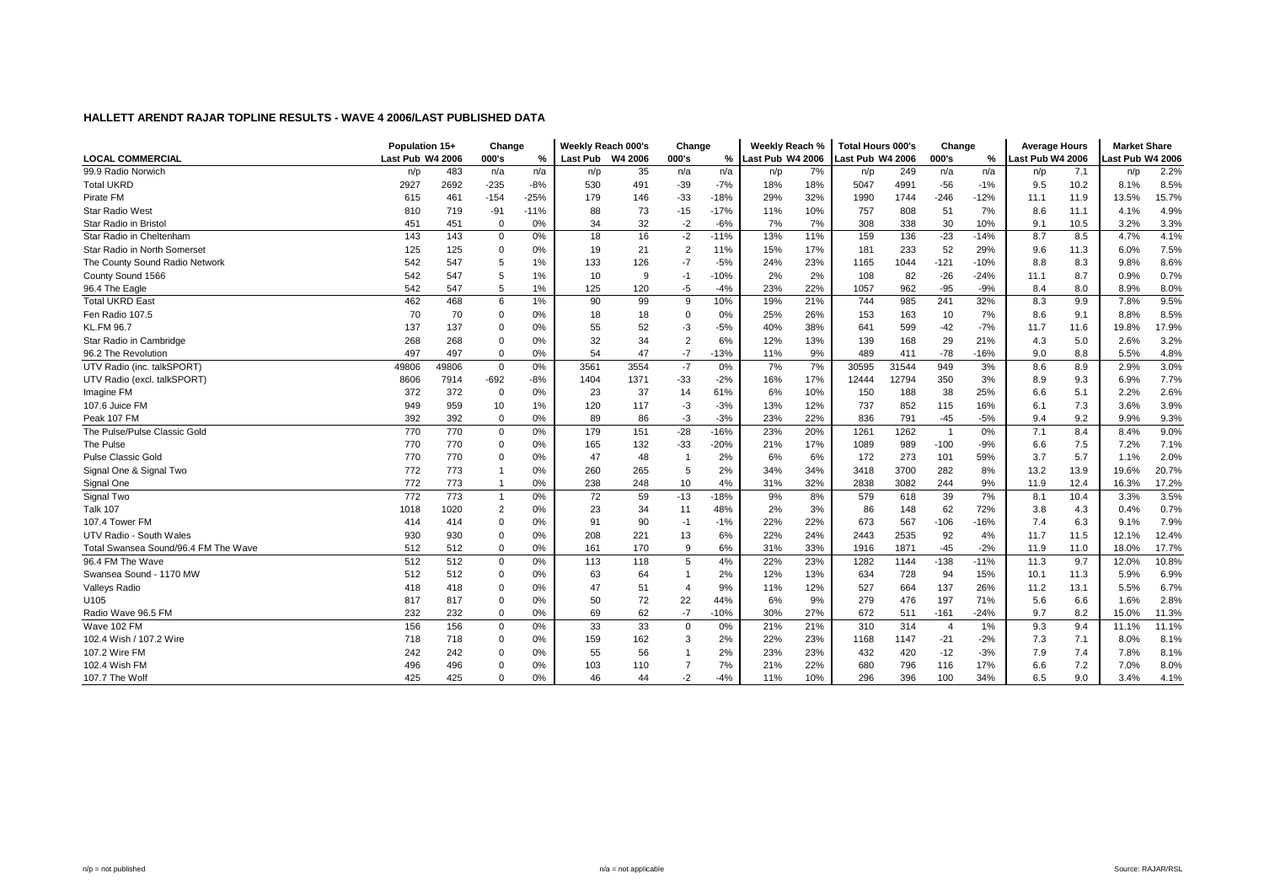|                                      | Population 15+   |       | Change         |        | Weekly Reach 000's |      | Change                 |               | Weekly Reach %   |     | <b>Total Hours 000's</b> |       | Change         |        | <b>Average Hours</b> |      | <b>Market Share</b> |       |
|--------------------------------------|------------------|-------|----------------|--------|--------------------|------|------------------------|---------------|------------------|-----|--------------------------|-------|----------------|--------|----------------------|------|---------------------|-------|
| <b>LOCAL COMMERCIAL</b>              | Last Pub W4 2006 |       | 000's          | %      | Last Pub W4 2006   |      | 000's                  | $\frac{9}{6}$ | Last Pub W4 2006 |     | Last Pub W4 2006         |       | 000's          | %      | Last Pub W4 2006     |      | ast Pub W4 2006.    |       |
| 99.9 Radio Norwich                   | n/p              | 483   | n/a            | n/a    | n/p                | 35   | n/a                    | n/a           | n/p              | 7%  | n/p                      | 249   | n/a            | n/a    | n/p                  | 7.1  | n/p                 | 2.2%  |
| <b>Total UKRD</b>                    | 2927             | 2692  | $-235$         | $-8%$  | 530                | 491  | $-39$                  | $-7%$         | 18%              | 18% | 5047                     | 4991  | $-56$          | $-1%$  | 9.5                  | 10.2 | 8.1%                | 8.5%  |
| Pirate FM                            | 615              | 461   | $-154$         | $-25%$ | 179                | 146  | $-33$                  | $-18%$        | 29%              | 32% | 1990                     | 1744  | $-246$         | $-12%$ | 11.1                 | 11.9 | 13.5%               | 15.7% |
| <b>Star Radio West</b>               | 810              | 719   | -91            | $-11%$ | 88                 | 73   | $-15$                  | $-17%$        | 11%              | 10% | 757                      | 808   | 51             | 7%     | 8.6                  | 11.1 | 4.1%                | 4.9%  |
| Star Radio in Bristol                | 451              | 451   | $\mathbf 0$    | 0%     | 34                 | 32   | $-2$                   | $-6%$         | 7%               | 7%  | 308                      | 338   | 30             | 10%    | 9.1                  | 10.5 | 3.2%                | 3.3%  |
| Star Radio in Cheltenham             | 143              | 143   | 0              | 0%     | 18                 | 16   | $-2$                   | $-11%$        | 13%              | 11% | 159                      | 136   | $-23$          | $-14%$ | 8.7                  | 8.5  | 4.7%                | 4.1%  |
| Star Radio in North Somerset         | 125              | 125   | 0              | $0\%$  | 19                 | 21   | $\overline{2}$         | 11%           | 15%              | 17% | 181                      | 233   | 52             | 29%    | 9.6                  | 11.3 | 6.0%                | 7.5%  |
| The County Sound Radio Network       | 542              | 547   | 5              | 1%     | 133                | 126  | $-7$                   | $-5%$         | 24%              | 23% | 1165                     | 1044  | $-121$         | $-10%$ | 8.8                  | 8.3  | 9.8%                | 8.6%  |
| County Sound 1566                    | 542              | 547   | 5              | 1%     | 10                 | 9    | $-1$                   | $-10%$        | 2%               | 2%  | 108                      | 82    | $-26$          | $-24%$ | 11.1                 | 8.7  | 0.9%                | 0.7%  |
| 96.4 The Eagle                       | 542              | 547   | 5              | 1%     | 125                | 120  | $-5$                   | $-4%$         | 23%              | 22% | 1057                     | 962   | $-95$          | $-9%$  | 8.4                  | 8.0  | 8.9%                | 8.0%  |
| <b>Total UKRD East</b>               | 462              | 468   | 6              | 1%     | 90                 | 99   | 9                      | 10%           | 19%              | 21% | 744                      | 985   | 241            | 32%    | 8.3                  | 9.9  | 7.8%                | 9.5%  |
| Fen Radio 107.5                      | 70               | 70    | $\mathbf 0$    | 0%     | 18                 | 18   | $\Omega$               | 0%            | 25%              | 26% | 153                      | 163   | 10             | 7%     | 8.6                  | 9.1  | 8.8%                | 8.5%  |
| <b>KL.FM 96.7</b>                    | 137              | 137   | 0              | 0%     | 55                 | 52   | -3                     | $-5%$         | 40%              | 38% | 641                      | 599   | $-42$          | $-7%$  | 11.7                 | 11.6 | 19.8%               | 17.9% |
| Star Radio in Cambridge              | 268              | 268   | 0              | 0%     | 32                 | 34   | $\overline{2}$         | 6%            | 12%              | 13% | 139                      | 168   | 29             | 21%    | 4.3                  | 5.0  | 2.6%                | 3.2%  |
| 96.2 The Revolution                  | 497              | 497   | $\mathbf 0$    | 0%     | 54                 | 47   | $-7$                   | $-13%$        | 11%              | 9%  | 489                      | 411   | $-78$          | $-16%$ | 9.0                  | 8.8  | 5.5%                | 4.8%  |
| UTV Radio (inc. talkSPORT)           | 49806            | 49806 | $\mathbf{0}$   | 0%     | 3561               | 3554 | $-7$                   | 0%            | 7%               | 7%  | 30595                    | 31544 | 949            | 3%     | 8.6                  | 8.9  | 2.9%                | 3.0%  |
| UTV Radio (excl. talkSPORT)          | 8606             | 7914  | $-692$         | $-8%$  | 1404               | 1371 | $-33$                  | $-2%$         | 16%              | 17% | 12444                    | 12794 | 350            | 3%     | 8.9                  | 9.3  | 6.9%                | 7.7%  |
| Imagine FM                           | 372              | 372   | $\mathbf 0$    | 0%     | 23                 | 37   | 14                     | 61%           | 6%               | 10% | 150                      | 188   | 38             | 25%    | 6.6                  | 5.1  | 2.2%                | 2.6%  |
| 107.6 Juice FM                       | 949              | 959   | 10             | 1%     | 120                | 117  | -3                     | $-3%$         | 13%              | 12% | 737                      | 852   | 115            | 16%    | 6.1                  | 7.3  | 3.6%                | 3.9%  |
| Peak 107 FM                          | 392              | 392   | $\mathbf 0$    | 0%     | 89                 | 86   | -3                     | $-3%$         | 23%              | 22% | 836                      | 791   | $-45$          | $-5%$  | 9.4                  | 9.2  | 9.9%                | 9.3%  |
| The Pulse/Pulse Classic Gold         | 770              | 770   | $\mathbf 0$    | 0%     | 179                | 151  | $-28$                  | $-16%$        | 23%              | 20% | 1261                     | 1262  | -1             | 0%     | 7.1                  | 8.4  | 8.4%                | 9.0%  |
| The Pulse                            | 770              | 770   | 0              | 0%     | 165                | 132  | $-33$                  | $-20%$        | 21%              | 17% | 1089                     | 989   | $-100$         | $-9%$  | 6.6                  | 7.5  | 7.2%                | 7.1%  |
| <b>Pulse Classic Gold</b>            | 770              | 770   | 0              | 0%     | 47                 | 48   | $\overline{1}$         | 2%            | 6%               | 6%  | 172                      | 273   | 101            | 59%    | 3.7                  | 5.7  | 1.1%                | 2.0%  |
| Signal One & Signal Two              | 772              | 773   | $\overline{1}$ | 0%     | 260                | 265  | 5                      | 2%            | 34%              | 34% | 3418                     | 3700  | 282            | 8%     | 13.2                 | 13.9 | 19.6%               | 20.7% |
| Signal One                           | 772              | 773   | $\overline{1}$ | 0%     | 238                | 248  | 10                     | 4%            | 31%              | 32% | 2838                     | 3082  | 244            | 9%     | 11.9                 | 12.4 | 16.3%               | 17.2% |
| Signal Two                           | 772              | 773   | $\overline{1}$ | 0%     | 72                 | 59   | $-13$                  | $-18%$        | 9%               | 8%  | 579                      | 618   | 39             | 7%     | 8.1                  | 10.4 | 3.3%                | 3.5%  |
| <b>Talk 107</b>                      | 1018             | 1020  | $\overline{2}$ | 0%     | 23                 | 34   | 11                     | 48%           | 2%               | 3%  | 86                       | 148   | 62             | 72%    | 3.8                  | 4.3  | 0.4%                | 0.7%  |
| 107.4 Tower FM                       | 414              | 414   | $\mathbf 0$    | 0%     | 91                 | 90   | $-1$                   | $-1%$         | 22%              | 22% | 673                      | 567   | $-106$         | $-16%$ | 7.4                  | 6.3  | 9.1%                | 7.9%  |
| UTV Radio - South Wales              | 930              | 930   | $\mathbf 0$    | 0%     | 208                | 221  | 13                     | 6%            | 22%              | 24% | 2443                     | 2535  | 92             | 4%     | 11.7                 | 11.5 | 12.1%               | 12.4% |
| Total Swansea Sound/96.4 FM The Wave | 512              | 512   | $\mathbf 0$    | 0%     | 161                | 170  | 9                      | 6%            | 31%              | 33% | 1916                     | 1871  | $-45$          | $-2%$  | 11.9                 | 11.0 | 18.0%               | 17.7% |
| 96.4 FM The Wave                     | 512              | 512   | 0              | 0%     | 113                | 118  | 5                      | 4%            | 22%              | 23% | 1282                     | 1144  | $-138$         | $-11%$ | 11.3                 | 9.7  | 12.0%               | 10.8% |
| Swansea Sound - 1170 MW              | 512              | 512   | 0              | $0\%$  | 63                 | 64   | $\overline{1}$         | 2%            | 12%              | 13% | 634                      | 728   | 94             | 15%    | 10.1                 | 11.3 | 5.9%                | 6.9%  |
| Valleys Radio                        | 418              | 418   | 0              | 0%     | 47                 | 51   | $\boldsymbol{\Lambda}$ | 9%            | 11%              | 12% | 527                      | 664   | 137            | 26%    | 11.2                 | 13.1 | 5.5%                | 6.7%  |
| U105                                 | 817              | 817   | 0              | 0%     | 50                 | 72   | 22                     | 44%           | 6%               | 9%  | 279                      | 476   | 197            | 71%    | 5.6                  | 6.6  | 1.6%                | 2.8%  |
| Radio Wave 96.5 FM                   | 232              | 232   | $\mathbf 0$    | 0%     | 69                 | 62   | $-7$                   | $-10%$        | 30%              | 27% | 672                      | 511   | $-161$         | $-24%$ | 9.7                  | 8.2  | 15.0%               | 11.3% |
| Wave 102 FM                          | 156              | 156   | $\mathbf 0$    | 0%     | 33                 | 33   | $\mathbf 0$            | 0%            | 21%              | 21% | 310                      | 314   | $\overline{4}$ | 1%     | 9.3                  | 9.4  | 11.1%               | 11.1% |
| 102.4 Wish / 107.2 Wire              | 718              | 718   | $\mathbf 0$    | 0%     | 159                | 162  | 3                      | 2%            | 22%              | 23% | 1168                     | 1147  | $-21$          | $-2%$  | 7.3                  | 7.1  | 8.0%                | 8.1%  |
| 107.2 Wire FM                        | 242              | 242   | 0              | 0%     | 55                 | 56   | -1                     | 2%            | 23%              | 23% | 432                      | 420   | $-12$          | $-3%$  | 7.9                  | 7.4  | 7.8%                | 8.1%  |
| 102.4 Wish FM                        | 496              | 496   | 0              | $0\%$  | 103                | 110  |                        | 7%            | 21%              | 22% | 680                      | 796   | 116            | 17%    | 6.6                  | 7.2  | 7.0%                | 8.0%  |
| 107.7 The Wolf                       | 425              | 425   | $\Omega$       | 0%     | 46                 | 44   | $-2$                   | $-4%$         | 11%              | 10% | 296                      | 396   | 100            | 34%    | 6.5                  | 9.0  | 3.4%                | 4.1%  |